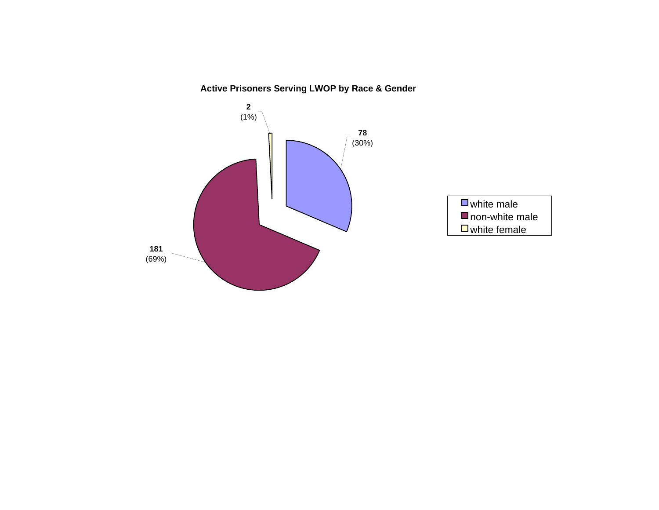**Active Prisoners Serving LWOP by Race & Gender**

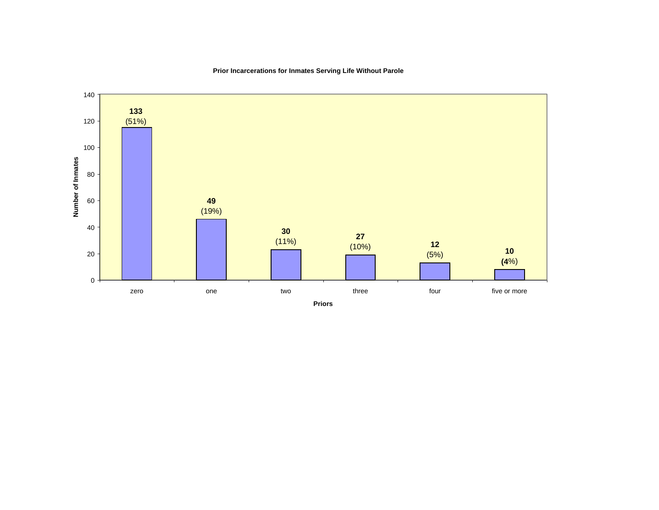**Prior Incarcerations for Inmates Serving Life Without Parole**

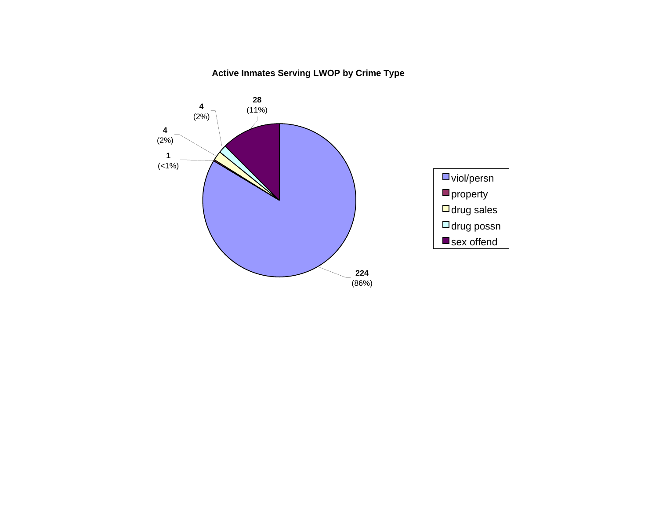# **Active Inmates Serving LWOP by Crime Type**

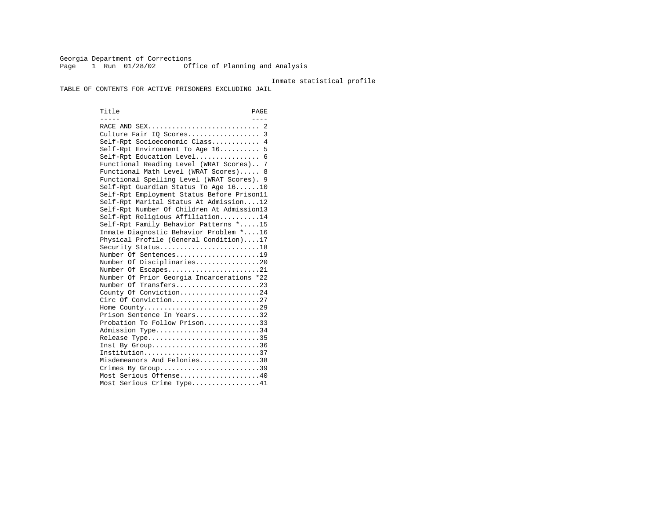Georgia Department of Corrections Page 1 Run 01/28/02 Office of Planning and Analysis

#### Inmate statistical profile

TABLE OF CONTENTS FOR ACTIVE PRISONERS EXCLUDING JAIL

Title PAGE ----- ---- RACE AND SEX............................ 2 Culture Fair IQ Scores.................. 3 Self-Rpt Socioeconomic Class............ 4 Self-Rpt Environment To Age 16.......... 5 Self-Rpt Education Level................ 6 Functional Reading Level (WRAT Scores).. 7 Functional Math Level (WRAT Scores)..... 8 Functional Spelling Level (WRAT Scores). 9 Self-Rpt Guardian Status To Age 16......10 Self-Rpt Employment Status Before Prison11 Self-Rpt Marital Status At Admission....12 Self-Rpt Number Of Children At Admission13 Self-Rpt Religious Affiliation..........14 Self-Rpt Family Behavior Patterns \*.....15 Inmate Diagnostic Behavior Problem \*....16 Physical Profile (General Condition)....17 Security Status...........................18 Number Of Sentences.....................19 Number Of Disciplinaries................20 Number Of Escapes........................21 Number Of Prior Georgia Incarcerations \*22 Number Of Transfers.....................23 County Of Conviction....................24 Circ Of Conviction......................27 Home County.............................29 Prison Sentence In Years.................32 Probation To Follow Prison..............33Admission Type............................34 Release Type..............................35 Inst By Group..............................36 Institution.............................37 Misdemeanors And Felonies...............38 Crimes By Group.............................39 Most Serious Offense....................40 Most Serious Crime Type.................41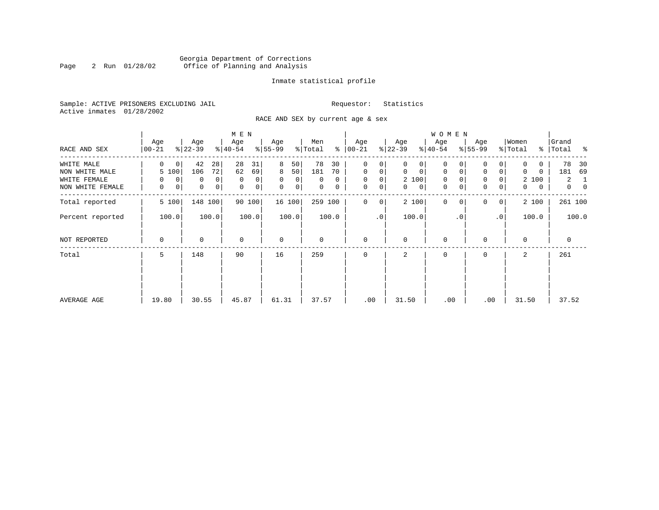### Georgia Department of Corrections<br>2 Run 01/28/02 Office of Planning and Analysis Page 2 Run 01/28/02 Office of Planning and Analysis

#### Inmate statistical profile

Sample: ACTIVE PRISONERS EXCLUDING JAIL **Requestor:** Statistics Active inmates 01/28/2002

RACE AND SEX by current age & sex

|                  |                         |                            | M E N            |                   |                     |                  |                   | W O M E N               |                            |                   |                                  |
|------------------|-------------------------|----------------------------|------------------|-------------------|---------------------|------------------|-------------------|-------------------------|----------------------------|-------------------|----------------------------------|
| RACE AND SEX     | Age<br>$ 00 - 21$       | Age<br>$ 22-39 $           | Age<br>$ 40-54 $ | Age<br>$ 55-99$   | Men<br>% Total<br>ႜ | Age<br>$ 00-21$  | Age<br>$ 22-39 $  | Age<br>$ 40-54 $        | Age<br>$8 55-99$           | Women<br>% Total  | Grand<br>%   Total<br>ႜ          |
| WHITE MALE       | $\Omega$<br>0           | 42<br>28                   | 28<br>31         | 8<br>50           | 78<br>30            | 0<br>0           | 0                 | 0                       |                            | 0                 | 78<br>30                         |
| NON WHITE MALE   | 5 100                   | 72<br>106                  | 62<br>69         | 50 <br>8          | 181<br>70           | $\mathbf 0$<br>0 | 0<br>$\mathbf{0}$ | 0<br>0                  | $\mathbf 0$<br>0           | 0<br>0            | 69<br>181                        |
| WHITE FEMALE     | $\mathbf 0$<br>$\Omega$ | $\Omega$<br>0              | $\mathbf 0$<br>0 | 0<br>0            | $\Omega$<br>0       | $\mathbf 0$<br>0 | 2 100             | $\mathbf 0$<br>$\Omega$ | $\mathbf 0$<br>$\Omega$    | 2 100             | 2<br>1                           |
| NON WHITE FEMALE | 0<br>0                  | $\mathbf 0$<br>$\mathbf 0$ | 0<br>0           | $\mathbf 0$<br> 0 | 0<br>0              | $\mathbf 0$<br>0 | $\mathbf{0}$<br>0 | $\mathbf 0$<br>0        | $\mathbf 0$<br>0           | $\mathbf{0}$<br>0 | $\overline{0}$<br>$\overline{0}$ |
| Total reported   | 5 100                   | 148<br>100                 | 90 100           | 16 100            | 259 100             | $\Omega$<br>0    | 2 100             | $\mathbf{0}$            | $\Omega$<br>0 <sup>1</sup> | 2 100             | 261 100                          |
| Percent reported | 100.0                   | 100.0                      | 100.0            | 100.0             | 100.0               | $\cdot$ 0        | 100.0             | . 0                     | .0'                        | 100.0             | 100.0                            |
| NOT REPORTED     | 0                       | 0                          | $\mathbf 0$      | $\mathbf 0$       | 0                   | $\mathbf 0$      | $\mathbf 0$       | 0                       | $\Omega$                   | $\Omega$          | 0                                |
| Total            | 5                       | 148                        | 90               | 16                | 259                 | $\Omega$         | 2                 | 0                       | $\Omega$                   | 2                 | 261                              |
|                  |                         |                            |                  |                   |                     |                  |                   |                         |                            |                   |                                  |
|                  |                         |                            |                  |                   |                     |                  |                   |                         |                            |                   |                                  |
| AVERAGE AGE      | 19.80                   | 30.55                      | 45.87            | 61.31             | 37.57               | .00              | 31.50             | .00                     | .00                        | 31.50             | 37.52                            |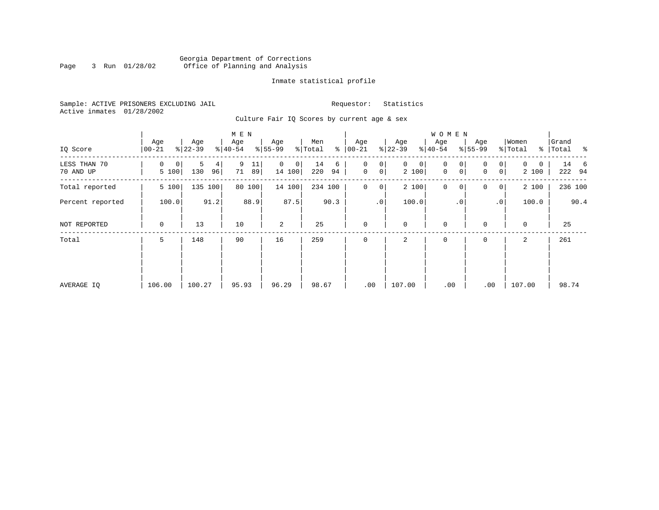### Georgia Department of Corrections<br>3 Run 01/28/02 Office of Planning and Analysis Page 3 Run 01/28/02 Office of Planning and Analysis

#### Inmate statistical profile

Sample: ACTIVE PRISONERS EXCLUDING JAIL **Requestor:** Statistics Active inmates 01/28/2002

Culture Fair IQ Scores by current age & sex

| IQ Score                  | Age<br>$00 - 21$ | Age<br>$ 22-39 $    | M E N<br>Age<br>$\frac{1}{6}$   40-54 | Age<br>$8 55-99$        | Men<br>နွ<br>% Total | Age<br>$ 00-21 $                        | Age<br>$ 22-39 $          | WOMEN<br>Age<br>$8 40-54$  | Age<br>$ 55-99 $                | Women<br>% Total       | Grand<br>% Total % |
|---------------------------|------------------|---------------------|---------------------------------------|-------------------------|----------------------|-----------------------------------------|---------------------------|----------------------------|---------------------------------|------------------------|--------------------|
| LESS THAN 70<br>70 AND UP | 0<br>0<br>5 100  | 5<br>4<br>130<br>96 | 9<br>11<br>71<br>89                   | $\Omega$<br>0<br>14 100 | 14<br>6<br>220<br>94 | 0<br>0<br>$\mathbf 0$<br>0 <sup>1</sup> | $\mathbf 0$<br>0<br>2 100 | $\mathbf 0$<br>0<br>0<br>0 | $\overline{0}$<br>0<br> 0 <br>0 | $\Omega$<br>0<br>2 100 | 14 6<br>222 94     |
| Total reported            | 5 100            | 135 100             | 80 100                                | 14 100                  | 234 100              | 0<br>0                                  | 2 100                     | $\mathbf 0$<br>$\mathbf 0$ | 0<br>$\overline{0}$             | 2 100                  | 236 100            |
| Percent reported          | 100.0            | 91.2                | 88.9                                  | 87.5                    | 90.3                 | .0 <sup>1</sup>                         | 100.0                     | . 0                        | .0 <sup>1</sup>                 | 100.0                  | 90.4               |
| NOT REPORTED              | 0                | 13                  | 10                                    | 2                       | 25                   | $\mathbf 0$                             | $\mathbf 0$               | $\mathbf 0$                | 0                               | $\mathbf 0$            | 25                 |
| Total                     | 5                | 148                 | 90                                    | 16                      | 259                  | $\mathbf 0$                             | 2                         | 0                          | 0                               | 2                      | 261                |
|                           |                  |                     |                                       |                         |                      |                                         |                           |                            |                                 |                        |                    |
| AVERAGE IQ                | 106.00           | 100.27              | 95.93                                 | 96.29                   | 98.67                | .00                                     | 107.00                    | .00                        | .00                             | 107.00                 | 98.74              |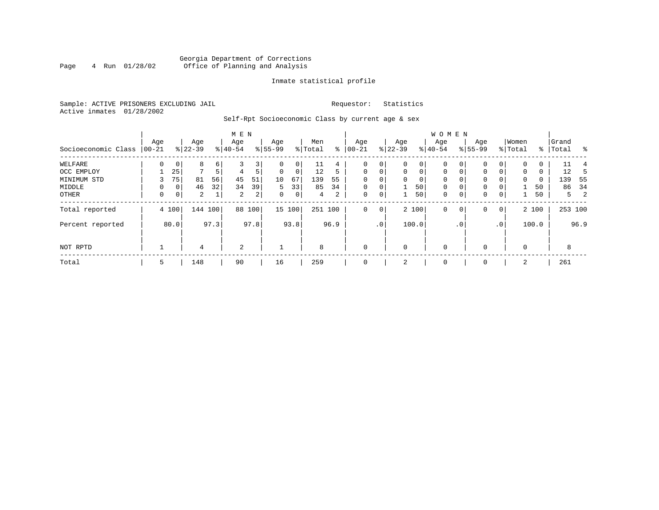### Georgia Department of Corrections<br>4 Run 01/28/02 Office of Planning and Analysis Page 4 Run 01/28/02 Office of Planning and Analysis

#### Inmate statistical profile

Sample: ACTIVE PRISONERS EXCLUDING JAIL **Requestor:** Statistics Active inmates 01/28/2002

Self-Rpt Socioeconomic Class by current age & sex

|                     |                 |                |                  |      | M E N            |                |                  |             |                |      |                  |                 |                  |             | <b>WOMEN</b>     |             |                  |                 |                  |       |                    |         |
|---------------------|-----------------|----------------|------------------|------|------------------|----------------|------------------|-------------|----------------|------|------------------|-----------------|------------------|-------------|------------------|-------------|------------------|-----------------|------------------|-------|--------------------|---------|
| Socioeconomic Class | Age<br>$ 00-21$ |                | Age<br>$ 22-39 $ |      | Age<br>$8 40-54$ |                | Age<br>$8 55-99$ |             | Men<br>% Total | ి    | Age<br>$00 - 21$ |                 | Age<br>$ 22-39 $ |             | Age<br>$8 40-54$ |             | Age<br>$8 55-99$ |                 | Women<br>% Total |       | Grand<br>%   Total | - 왕     |
| WELFARE             | 0               | 0 <sup>1</sup> | 8                | 6    |                  | 3'             | 0                | 0           | 11             | 4    | 0                | 0               | 0                | 0           | 0                | 0           | 0                | 0               |                  | Ü     | 11                 |         |
| OCC EMPLOY          |                 | 25             | $\overline{ }$   | 5    | 4                | 5              | $\Omega$         | $\mathbf 0$ | 12             | 5    | $\mathbf 0$      | $\mathbf 0$     | 0                | $\mathbf 0$ | $\mathbf 0$      | $\mathbf 0$ | $\Omega$         | 0               | $\mathbf 0$      | 0     | 12                 |         |
| MINIMUM STD         |                 | 75             | 81               | 56   | 45               | 51             | 10               | 67          | 139            | 55   | $\Omega$         |                 | $\Omega$         | 0           | $\mathbf 0$      | $\Omega$    | 0                |                 | $\Omega$         | 0     | 139                | - 55    |
| MIDDLE              | 0               | 0 <sup>1</sup> | 46               | 32   | 34               | 39             | 5                | 33          | 85             | 34   | $\mathbf 0$      | 0               |                  | 50          | $\mathbf 0$      | $\mathbf 0$ | $\mathbf 0$      | 0               |                  | 50    | 86                 | -34     |
| OTHER               | $\mathbf 0$     | 0 <sup>1</sup> | $\overline{a}$   |      | 2                | 2 <sub>1</sub> | 0                | 0           | 4              | 2    | 0                | 0               |                  | 50          | $\mathbf 0$      | $\mathbf 0$ | $\mathbf 0$      | 0               |                  | 50    |                    | 5<br>-2 |
| Total reported      |                 | 4 100          | 144 100          |      | 88               | 100            |                  | 15 100      | 251 100        |      | $\mathbf{0}$     | 0               |                  | 2 100       | $\mathbf 0$      | 0           | 0                | $\overline{0}$  |                  | 2 100 |                    | 253 100 |
| Percent reported    |                 | 80.0           |                  | 97.3 |                  | 97.8           |                  | 93.8        |                | 96.9 |                  | .0 <sup>1</sup> |                  | 100.0       |                  | . 0         |                  | .0 <sup>1</sup> |                  | 100.0 |                    | 96.9    |
| NOT RPTD            |                 |                | 4                |      | 2                |                |                  |             | 8              |      | $\mathbf{0}$     |                 | $\mathbf 0$      |             | $\mathbf 0$      |             | $\Omega$         |                 | $\Omega$         |       | 8                  |         |
| Total               | 5               |                | 148              |      | 90               |                | 16               |             | 259            |      | $\mathbf{0}$     |                 | 2                |             | 0                |             | 0                |                 | 2                |       | 261                |         |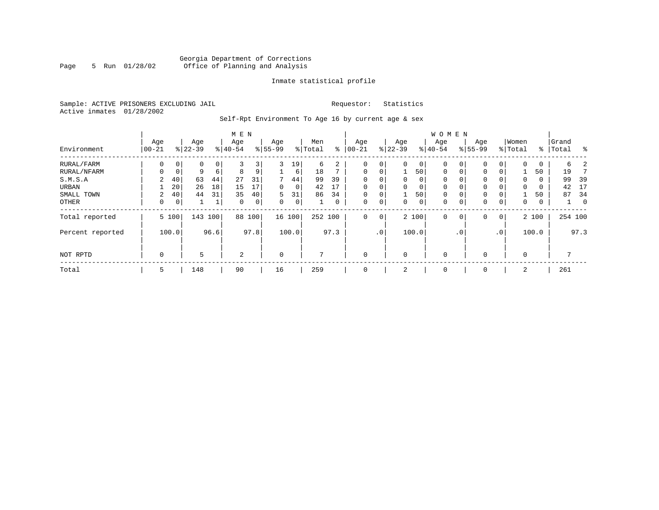### Georgia Department of Corrections<br>5 Run 01/28/02 Office of Planning and Analysis Page 5 Run 01/28/02 Office of Planning and Analysis

#### Inmate statistical profile

Sample: ACTIVE PRISONERS EXCLUDING JAIL **Requestor:** Statistics Active inmates 01/28/2002

Self-Rpt Environment To Age 16 by current age & sex

|                  | M E N       |             |             |      |             |      |          |        |              |      |             |                 |             |       | W O M E N   |             |           |              |              |       |           |          |
|------------------|-------------|-------------|-------------|------|-------------|------|----------|--------|--------------|------|-------------|-----------------|-------------|-------|-------------|-------------|-----------|--------------|--------------|-------|-----------|----------|
|                  | Age         |             | Age         |      | Age         |      | Age      |        | Men          |      | Age         |                 | Age         |       | Age         |             | Age       |              | Women        |       | Grand     |          |
| Environment      | $00 - 21$   | ႜ           | $ 22 - 39 $ |      | $ 40-54$    |      | $ 55-99$ |        | % Total      | ႜ    | $00 - 21$   |                 | $ 22-39 $   |       | $ 40-54$    |             | $8 55-99$ |              | % Total      |       | %   Total | ႜ        |
| RURAL/FARM       | 0           | $\mathbf 0$ | 0           | 0    | 3           | 3    | 3        | 19     | 6            | 2    | 0           | $\mathbf{0}$    | $\mathbf 0$ | 0     | $\mathbf 0$ | 0           | 0         | 0            | $\mathbf 0$  | 0     | 6         |          |
| RURAL/NFARM      | 0           | $\mathbf 0$ | 9           | 6    | 8           | 9    |          | 6      | 18           |      | $\mathbf 0$ | $\mathbf{0}$    |             | 50    | $\mathbf 0$ | $\mathbf 0$ | 0         | 0            |              | 50    | 19        |          |
| S.M.S.A          | 2           | 40          | 63          | 44   | 27          | 31   | 7        | 44     | 99           | 39   | 0           | 0               | $\mathbf 0$ | 0     | 0           | 0           | 0         |              | 0            | 0     | 99        | 39       |
| URBAN            |             | 20          | 26          | 18   | 15          |      | 0        | 0      | 42           | 17   | $\Omega$    | 0               | 0           | 0     | 0           | 0           | 0         |              | 0            | 0     | 42        | 17       |
| SMALL TOWN       | 2           | 40          | 44          | 31   | 35          | 40   | 5        | 31     | 86           | 34   | $\Omega$    | 0               |             | 50    | 0           | 0           | 0         |              |              | 50    | 87        | 34       |
| OTHER            | 0           | 0           |             |      | $\mathbf 0$ | 0    | 0        | 0      |              | 0    | 0           | 0               | 0           | 0     | 0           | 0           | 0         | 0            | $\mathbf{0}$ | 0     |           | $\Omega$ |
| Total reported   |             | 5 100       | 143         | 100  | 88          | 100  |          | 16 100 | 252 100      |      | 0           | $\overline{0}$  |             | 2 100 | $\mathbf 0$ | 0           | 0         | $\mathbf{0}$ |              | 2 100 |           | 254 100  |
| Percent reported |             | 100.0       |             | 96.6 |             | 97.8 |          | 100.0  |              | 97.3 |             | .0 <sup>1</sup> |             | 100.0 |             | . 0         |           | $\cdot$ 0    |              | 100.0 |           | 97.3     |
| NOT RPTD         | $\mathbf 0$ |             | 5           |      | 2           |      | $\Omega$ |        | $\mathbf{r}$ |      | $\Omega$    |                 | $\Omega$    |       | $\Omega$    |             | $\Omega$  |              | $\Omega$     |       |           |          |
| Total            | 5           |             | 148         |      | 90          |      | 16       |        | 259          |      |             |                 | 2           |       | 0           |             | $\Omega$  |              | 2            |       | 261       |          |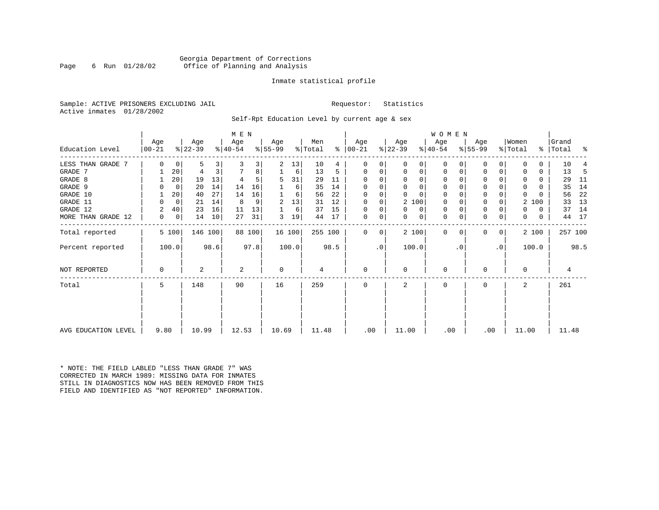#### Georgia Department of Corrections<br>6 Run 01/28/02 Office of Planning and Analysis Page 6 Run 01/28/02 Office of Planning and Analysis

#### Inmate statistical profile

Sample: ACTIVE PRISONERS EXCLUDING JAIL **Requestor:** Statistics Active inmates 01/28/2002

Self-Rpt Education Level by current age & sex

|                     | M E N           |         |                  |      |                  |        |                 |        |                |      |                 |             |                  |             | WOMEN            |          |                  |              |                  |       |                    |         |
|---------------------|-----------------|---------|------------------|------|------------------|--------|-----------------|--------|----------------|------|-----------------|-------------|------------------|-------------|------------------|----------|------------------|--------------|------------------|-------|--------------------|---------|
| Education Level     | Age<br>$ 00-21$ |         | Age<br>$ 22-39 $ |      | Age<br>$ 40-54 $ |        | Age<br>$ 55-99$ |        | Men<br>% Total | ⊱    | Age<br>$ 00-21$ |             | Age<br>$ 22-39 $ |             | Age<br>$ 40-54 $ |          | Age<br>$8 55-99$ |              | Women<br>% Total |       | Grand<br>%   Total | နွ      |
| LESS THAN GRADE 7   | $\Omega$        | 0       | 5                | 3    |                  | 3      | 2               | 13     | 10             | 4    | 0               | 0           | $\Omega$         | 0           | 0                | 0        | 0                | 0            |                  | 0     | 10                 |         |
| GRADE 7             |                 | 20      | 4                |      |                  | 8      |                 | 6      | 13             | 5    | 0               | 0           | $\mathbf 0$      | 0           | $\mathbf 0$      | 0        | $\Omega$         |              |                  | 0     | 13                 | -5      |
| GRADE 8             |                 | 20      | 19               | 13   |                  | 5      | 5               | 31     | 29             | 11   | $\Omega$        |             | $\Omega$         | $\Omega$    | $\Omega$         |          | $\Omega$         |              | O                | 0     | 29                 | 11      |
| GRADE 9             |                 | 0       | 20               | 14   | 14               | 16     |                 | 6      | 35             | 14   | 0               |             | $\Omega$         | $\Omega$    | 0                |          | 0                |              | $\Omega$         | 0     | 35                 | 14      |
| GRADE 10            |                 | 20      | 40               | 27   | 14               | 16     |                 | 6      | 56             | 22   | 0               | $\Omega$    | $\Omega$         | $\Omega$    | $\mathbf 0$      | $\Omega$ | 0                |              | $\Omega$         |       | 56                 | 22      |
| GRADE 11            |                 | $\circ$ | 21               | 14   | 8                | 9      | 2               | 13     | 31             | 12   | 0               |             |                  | 2 100       | 0                |          | $\Omega$         |              | 2                | 100   | 33                 | 13      |
| GRADE 12            | 2               | 40      | 23               | 16   | 11               | 13     |                 | 6      | 37             | 15   | 0               | 0           | $\Omega$         | 0           | 0                | $\Omega$ | 0                |              | 0                | 0     | 37                 | 14      |
| MORE THAN GRADE 12  | 0               | 0       | 14               | 10   | 27               | 31     | 3               | 19     | 44             | 17   | 0               | 0           | 0                | $\mathbf 0$ | $\mathbf 0$      | 0        | $\mathbf 0$      | 0            | 0                | 0     | 44                 | 17      |
| Total reported      |                 | 5 100   | 146 100          |      |                  | 88 100 |                 | 16 100 | 255 100        |      | $\mathbf{0}$    | $\mathbf 0$ |                  | 2 100       | $\mathbf 0$      | $\Omega$ | $\Omega$         | $\mathbf{0}$ |                  | 2 100 |                    | 257 100 |
| Percent reported    |                 | 100.0   |                  | 98.6 |                  | 97.8   |                 | 100.0  |                | 98.5 |                 | $\cdot$ 0   |                  | 100.0       |                  | . 0      |                  | $\cdot$ 0    |                  | 100.0 |                    | 98.5    |
| NOT REPORTED        | 0               |         | 2                |      | 2                |        | 0               |        | 4              |      | 0               |             | 0                |             | $\mathbf 0$      |          | $\Omega$         |              | 0                |       | 4                  |         |
| Total               | 5               |         | 148              |      | 90               |        | 16              |        | 259            |      | $\Omega$        |             | 2                |             | $\Omega$         |          | $\Omega$         |              | $\overline{a}$   |       | 261                |         |
|                     |                 |         |                  |      |                  |        |                 |        |                |      |                 |             |                  |             |                  |          |                  |              |                  |       |                    |         |
| AVG EDUCATION LEVEL | 9.80            |         | 10.99            |      | 12.53            |        | 10.69           |        | 11.48          |      | .00             |             | 11.00            |             | .00              |          |                  | .00          | 11.00            |       | 11.48              |         |

\* NOTE: THE FIELD LABLED "LESS THAN GRADE 7" WAS CORRECTED IN MARCH 1989: MISSING DATA FOR INMATES STILL IN DIAGNOSTICS NOW HAS BEEN REMOVED FROM THIS FIELD AND IDENTIFIED AS "NOT REPORTED" INFORMATION.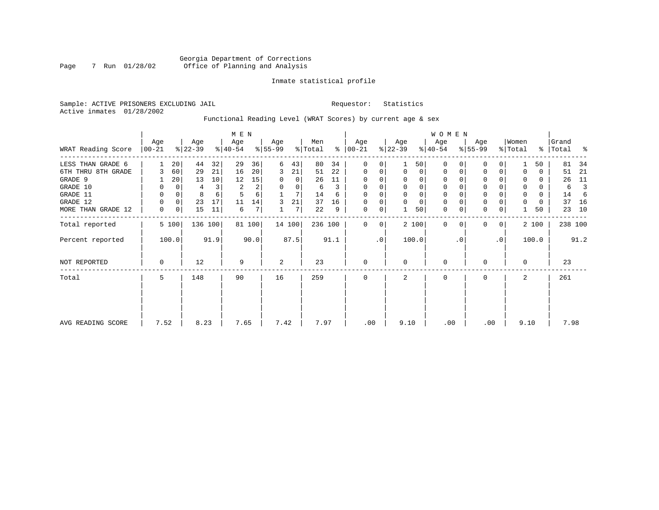### Georgia Department of Corrections<br>7 Run 01/28/02 Office of Planning and Analysis Page 7 Run 01/28/02 Office of Planning and Analysis

#### Inmate statistical profile

Sample: ACTIVE PRISONERS EXCLUDING JAIL **Requestor:** Statistics Active inmates 01/28/2002

Functional Reading Level (WRAT Scores) by current age & sex

|                    |                 |          |                  |         | M E N            |        |                 |        |                |      |                      |           |                  |                | W O M E N        |           |                  |                 |                  |       |                |      |
|--------------------|-----------------|----------|------------------|---------|------------------|--------|-----------------|--------|----------------|------|----------------------|-----------|------------------|----------------|------------------|-----------|------------------|-----------------|------------------|-------|----------------|------|
| WRAT Reading Score | Age<br>$ 00-21$ |          | Age<br>$ 22-39 $ |         | Age<br>$ 40-54 $ |        | Age<br>$ 55-99$ |        | Men<br>% Total |      | Age<br>$8   00 - 21$ |           | Age<br>$ 22-39 $ |                | Age<br>$ 40-54 $ |           | Age<br>$ 55-99 $ |                 | Women<br>% Total | %     | Grand<br>Total | ႜ    |
| LESS THAN GRADE 6  |                 | 20       | 44               | 32      | 29               | 36     | 6               | 43     | 80             | 34   | $\Omega$             | 0         |                  | 501            | $\Omega$         |           | 0                | $\Omega$        |                  | 50    | 81             | 34   |
| 6TH THRU 8TH GRADE |                 | 60       | 29               | 21      | 16               | 20     | 3               | 21     | 51             | 22   | $\mathbf 0$          | 0         | $\Omega$         | $\overline{0}$ | 0                | 0         | 0                | 0               |                  | 0     | 51             | 21   |
| GRADE 9            |                 | 20       | 13               | 10      | 12               | 15     |                 | 0      | 26             | 11   | 0                    | $\Omega$  |                  | $\Omega$       | $\Omega$         |           | 0                |                 |                  | 0     | 26             | 11   |
| GRADE 10           | 0               | 0        | 4                | 3       | 2                | 2      | 0               | 0      | 6              | 3    | 0                    | 0         |                  |                | 0                |           | $\mathbf 0$      |                 | 0                | 0     | 6              |      |
| GRADE 11           | 0               | $\Omega$ | 8                |         |                  | 6      |                 |        | 14             | 6    | $\Omega$             |           |                  |                |                  |           | $\mathbf 0$      |                 | $\Omega$         | 0     | 14             | 6    |
| GRADE 12           | 0               | 0        | 23               | 17      | 11               | 14     | 3               | 21     | 37             | 16   | 0                    | 0         | $\Omega$         | $\Omega$       | 0                |           | $\mathbf 0$      |                 | 0                | 0     | 37             | 16   |
| MORE THAN GRADE 12 | 0               | 0        | 15               | 11      | 6                | 7      |                 | 7      | 22             | 9    | 0                    | 0         |                  | 50             | 0                | 0         | $\mathbf 0$      | 0               |                  | 50    | 23             | 10   |
| Total reported     |                 | 5 100    |                  | 136 100 |                  | 81 100 |                 | 14 100 | 236 100        |      | $\Omega$             | 0         |                  | 2 100          | $\mathbf 0$      | $\Omega$  | $\mathbf{0}$     | $\mathbf 0$     |                  | 2 100 | 238 100        |      |
| Percent reported   |                 | 100.0    |                  | 91.9    |                  | 90.0   |                 | 87.5   |                | 91.1 |                      | $\cdot$ 0 |                  | 100.0          |                  | $\cdot$ 0 |                  | .0 <sup>1</sup> |                  | 100.0 |                | 91.2 |
| NOT REPORTED       | $\mathbf 0$     |          | 12               |         | 9                |        | 2               |        | 23             |      | $\mathbf 0$          |           | $\Omega$         |                | 0                |           | 0                |                 | $\Omega$         |       | 23             |      |
| Total              | 5               |          | 148              |         | 90               |        | 16              |        | 259            |      | $\mathbf 0$          |           | 2                |                | 0                |           | $\mathbf 0$      |                 | 2                |       | 261            |      |
|                    |                 |          |                  |         |                  |        |                 |        |                |      |                      |           |                  |                |                  |           |                  |                 |                  |       |                |      |
| AVG READING SCORE  | 7.52            |          | 8.23             |         | 7.65             |        | 7.42            |        | 7.97           |      | .00                  |           | 9.10             |                | .00              |           | .00              |                 | 9.10             |       | 7.98           |      |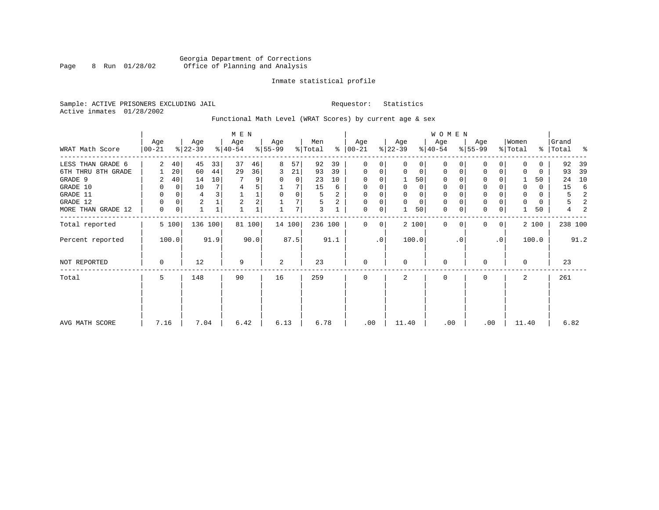### Georgia Department of Corrections Page 8 Run 01/28/02 Office of Planning and Analysis

#### Inmate statistical profile

Sample: ACTIVE PRISONERS EXCLUDING JAIL **Requestor:** Statistics Active inmates 01/28/2002

### Functional Math Level (WRAT Scores) by current age & sex

|                    |                  |                 |                  |              | M E N            |        |                  |        |                |      |                |           |                  |          | <b>WOMEN</b>     |          |                  |           |                  |       |                    |       |
|--------------------|------------------|-----------------|------------------|--------------|------------------|--------|------------------|--------|----------------|------|----------------|-----------|------------------|----------|------------------|----------|------------------|-----------|------------------|-------|--------------------|-------|
| WRAT Math Score    | Age<br>$ 00-21 $ |                 | Age<br>$ 22-39 $ |              | Age<br>$ 40-54 $ |        | Age<br>$8 55-99$ |        | Men<br>% Total | ွေ   | Age<br>  00-21 |           | Age<br>$ 22-39 $ |          | Age<br>$ 40-54 $ |          | Age<br>$8 55-99$ |           | Women<br>% Total |       | Grand<br>%   Total | း - ေ |
| LESS THAN GRADE 6  | $\overline{2}$   | 40 <sup>°</sup> | 45               | 33           | 37               | 46     | 8                | 57     | 92             | 39   | $\mathbf 0$    | 0         | $\Omega$         | 0        | $\Omega$         | $\Omega$ | $\Omega$         | $\Omega$  | $\Omega$         | 0     | 92                 | 39    |
| 6TH THRU 8TH GRADE |                  | 20              | 60               | 44           | 29               | 36     | 3                | 21     | 93             | 39   | 0              | 0         | $\mathbf 0$      | 0        | $\mathbf 0$      | 0        | 0                | 0         |                  | 0     | 93                 | 39    |
| GRADE 9            | 2                | 40 <sup>1</sup> | 14               | 10           |                  | 9      | 0                | 0      | 23             | 10   | 0              |           |                  | 50       | $\mathbf 0$      | $\Omega$ | $\Omega$         |           |                  | 50    | 24                 | 10    |
| GRADE 10           | 0                | $\overline{0}$  | 10               |              | 4                |        |                  |        | 15             | 6    | 0              |           | 0                | 0        | 0                |          | 0                |           | $\Omega$         | 0     | 15                 | 6     |
| GRADE 11           | $\Omega$         |                 | 4                |              |                  | 1      | $\Omega$         | 0      | 5              | 2    | $\Omega$       |           |                  | 0        | $\Omega$         |          | $\Omega$         |           |                  | 0     | 5                  | 2     |
| GRADE 12           | O                | $\Omega$        | $\overline{2}$   |              | $\overline{2}$   | 2      |                  |        | 5              | 2    | $\Omega$       | 0         | $\Omega$         | $\Omega$ | $\mathbf 0$      | $\Omega$ | 0                |           | O                | 0     | 5                  | 2     |
| MORE THAN GRADE 12 | $\Omega$         | 0               |                  | $\mathbf{1}$ |                  |        |                  | 7      | 3              |      | 0              | 0         |                  | 50       | $\mathbf 0$      | 0        | $\Omega$         | 0         |                  | 50    | $\overline{4}$     | 2     |
| Total reported     |                  | 5 100           |                  | 136 100      |                  | 81 100 |                  | 14 100 | 236 100        |      | 0              | 0         |                  | 2 100    | 0                | $\Omega$ | $\Omega$         | 0         |                  | 2 100 | 238 100            |       |
| Percent reported   |                  | 100.0           |                  | 91.9         |                  | 90.0   |                  | 87.5   |                | 91.1 |                | $\cdot$ 0 |                  | 100.0    |                  | . 0      |                  | $\cdot$ 0 |                  | 100.0 |                    | 91.2  |
| NOT REPORTED       | 0                |                 | 12               |              | 9                |        | 2                |        | 23             |      | $\mathbf 0$    |           | $\Omega$         |          | $\mathbf 0$      |          | $\Omega$         |           | $\Omega$         |       | 23                 |       |
| Total              | 5                |                 | 148              |              | 90               |        | 16               |        | 259            |      | $\mathbf 0$    |           | 2                |          | 0                |          | 0                |           | 2                |       | 261                |       |
|                    |                  |                 |                  |              |                  |        |                  |        |                |      |                |           |                  |          |                  |          |                  |           |                  |       |                    |       |
| AVG MATH SCORE     | 7.16             |                 | 7.04             |              | 6.42             |        | 6.13             |        | 6.78           |      | .00            |           | 11.40            |          | .00              |          | .00              |           | 11.40            |       | 6.82               |       |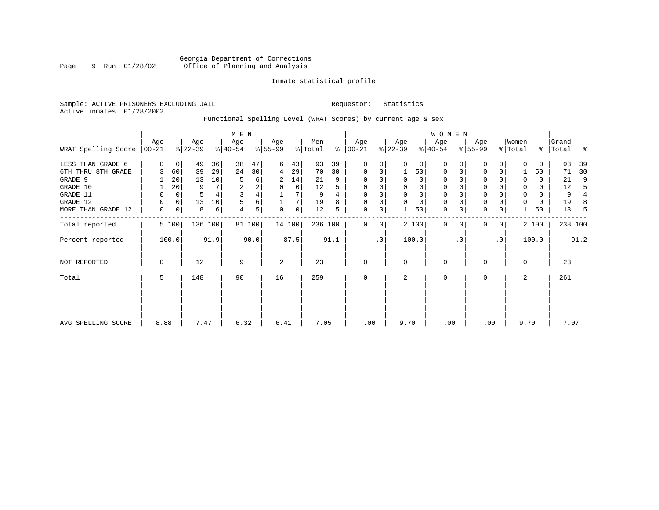#### Inmate statistical profile

Sample: ACTIVE PRISONERS EXCLUDING JAIL **Requestor:** Statistics Active inmates 01/28/2002

Functional Spelling Level (WRAT Scores) by current age & sex

|                             |          |       |                  |         | M E N            |        |                  |        |                |      |                 |           |                  |          | W O M E N        |           |                  |                |                  |          |                |      |
|-----------------------------|----------|-------|------------------|---------|------------------|--------|------------------|--------|----------------|------|-----------------|-----------|------------------|----------|------------------|-----------|------------------|----------------|------------------|----------|----------------|------|
| WRAT Spelling Score   00-21 | Age      |       | Age<br>$ 22-39 $ |         | Age<br>$ 40-54 $ |        | Age<br>$8 55-99$ |        | Men<br>% Total | ွေ   | Age<br>$ 00-21$ |           | Age<br>$ 22-39 $ |          | Age<br>$ 40-54 $ |           | Age<br>$ 55-99 $ |                | Women<br>% Total | ွေ       | Grand<br>Total | ႜ    |
| LESS THAN GRADE 6           | $\Omega$ | 0     | 49               | 36      | 38               | 47     | 6                | 43     | 93             | 39   | $\mathbf 0$     | 0         | $\Omega$         | $\Omega$ | 0                | 0         | 0                | 0              | $\Omega$         | $\Omega$ | 93             | 39   |
| 6TH THRU 8TH GRADE          |          | 60    | 39               | 29      | 24               | 30     | 4                | 29     | 70             | 30   | $\mathbf 0$     | 0         |                  | 50       | 0                |           | 0                | 0              |                  | 50       | 71             | 30   |
| GRADE 9                     |          | 20    | 13               | 10      | 5                | 6      | 2                | 14     | 21             | 9    | $\mathbf 0$     | 0         |                  | 0        | 0                |           |                  |                | 0                | 0        | 21             | 9    |
| GRADE 10                    |          | 20    | 9                |         | 2                | 2      | 0                | 0      | 12             |      | $\mathbf 0$     | 0         | 0                | 0        | 0                |           | $\Omega$         |                | 0                | $\Omega$ | 12             |      |
| GRADE 11                    | 0        | 0     |                  |         | $\overline{3}$   |        |                  |        | 9              |      | $\Omega$        |           |                  | $\Omega$ | $\Omega$         |           | $\Omega$         |                | 0                | 0        | 9              |      |
| GRADE 12                    | 0        | 0     | 13               | 10      | 5                | 6      |                  |        | 19             |      | $\Omega$        | 0         | $\Omega$         | $\Omega$ | 0                |           | $\mathbf{0}$     |                | 0                | 0        | 19             | 8    |
| MORE THAN GRADE 12          | 0        | 0     | 8                | 6       | 4                | 5      | $\Omega$         | 0      | 12             | 5    | $\mathbf 0$     | 0         |                  | 50       | $\mathbf 0$      | 0         | $\mathbf 0$      | 0              |                  | 50       | 13             | 5    |
| Total reported              |          | 5 100 |                  | 136 100 |                  | 81 100 |                  | 14 100 | 236 100        |      | 0               | 0         |                  | 2 100    | $\mathbf{0}$     | $\Omega$  | $\Omega$         | $\overline{0}$ |                  | 2 100    | 238 100        |      |
| Percent reported            |          | 100.0 |                  | 91.9    |                  | 90.0   |                  | 87.5   |                | 91.1 |                 | $\cdot$ 0 |                  | 100.0    |                  | $\cdot$ 0 |                  | .0             |                  | 100.0    |                | 91.2 |
| NOT REPORTED                | 0        |       | 12               |         | 9                |        | 2                |        | 23             |      | $\mathbf 0$     |           | $\Omega$         |          | 0                |           | $\Omega$         |                | $\mathbf 0$      |          | 23             |      |
| Total                       | 5        |       | 148              |         | 90               |        | 16               |        | 259            |      | $\mathbf 0$     |           | 2                |          | 0                |           | $\mathbf 0$      |                | 2                |          | 261            |      |
|                             |          |       |                  |         |                  |        |                  |        |                |      |                 |           |                  |          |                  |           |                  |                |                  |          |                |      |
| AVG SPELLING SCORE          | 8.88     |       | 7.47             |         | 6.32             |        | 6.41             |        | 7.05           |      | .00             |           | 9.70             |          | .00              |           | .00              |                | 9.70             |          | 7.07           |      |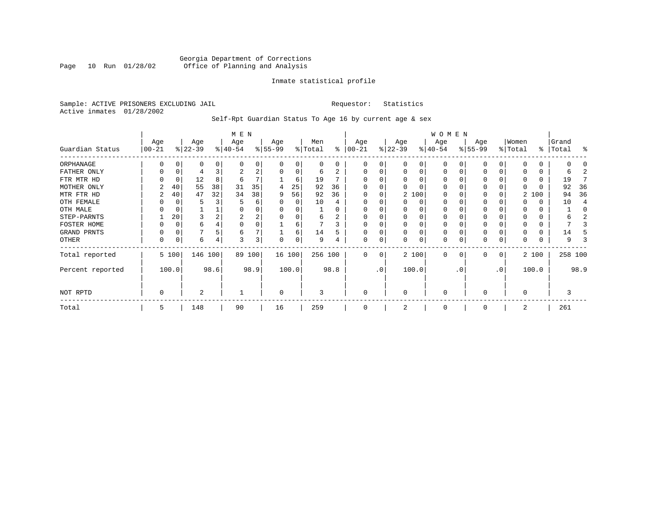#### Georgia Department of Corrections<br>Page 10 Run 01/28/02 Office of Planning and Analysis Page 10 Run 01/28/02 Office of Planning and Analysis

#### Inmate statistical profile

Sample: ACTIVE PRISONERS EXCLUDING JAIL **Requestor:** Statistics Active inmates 01/28/2002

Self-Rpt Guardian Status To Age 16 by current age & sex

|                  | M E N            |             |                  |      |                  |      |                 |              |                |          |                   |     |                 |          | W O M E N        |          |                  |    |                  |       |                    |         |
|------------------|------------------|-------------|------------------|------|------------------|------|-----------------|--------------|----------------|----------|-------------------|-----|-----------------|----------|------------------|----------|------------------|----|------------------|-------|--------------------|---------|
| Guardian Status  | Age<br>$00 - 21$ |             | Age<br>$ 22-39 $ |      | Age<br>$ 40-54 $ |      | Age<br>$ 55-99$ |              | Men<br>% Total | ႜ        | Age<br>$ 00 - 21$ |     | Age<br>$ 22-39$ |          | Age<br>$ 40-54 $ |          | Age<br>$ 55-99 $ |    | Women<br>% Total |       | Grand<br>%   Total | ႜ       |
|                  |                  |             |                  |      |                  |      |                 |              |                |          |                   |     |                 |          |                  |          |                  |    |                  |       |                    |         |
| ORPHANAGE        |                  | O           | 0                | 0    | $\Omega$         | 0    |                 | <sup>0</sup> | $\Omega$       | $\Omega$ | $\Omega$          | 0   |                 | 0        | 0                |          |                  |    |                  |       |                    |         |
| FATHER ONLY      | 0                | 0           | 4                |      | 2                | 2    | $\Omega$        | 0            | 6              |          | $\Omega$          | 0   | O               | $\Omega$ | $\Omega$         |          | <sup>0</sup>     |    |                  | 0     | h                  |         |
| FTR MTR HD       |                  | 0           | 12               | 8    | 6                | 7    |                 | 6            | 19             |          | $\Omega$          |     | O               |          | O                |          | O                |    |                  |       | 19                 |         |
| MOTHER ONLY      |                  | 40          | 55               | 38   | 31               | 35   | 4               | 25           | 92             | 36       |                   |     |                 |          | O                |          | $\Omega$         |    |                  |       | 92                 | 36      |
| MTR FTR HD       | 2                | 40          | 47               | 32   | 34               | 38   | 9               | 56           | 92             | 36       | $\Omega$          | 0   |                 | 2 100    | $\Omega$         |          | 0                |    |                  | 2 100 | 94                 | 36      |
| OTH FEMALE       |                  |             | 5                |      |                  | 6    |                 | 0            | 10             |          |                   |     |                 | 0        | 0                |          | 0                |    |                  |       | 10                 |         |
| OTH MALE         |                  |             |                  |      | 0                | 0    |                 |              |                |          |                   |     |                 |          | 0                |          |                  |    |                  |       |                    |         |
| STEP-PARNTS      |                  | 20          | 3                |      | 2                | 2    |                 | $\Omega$     | 6              | 2        | $\Omega$          |     |                 | $\Omega$ | 0                |          | 0                |    |                  | 0     |                    |         |
| FOSTER HOME      |                  | C           | 6                |      | $\Omega$         | 0    |                 | 6            |                | 3        | $\Omega$          |     |                 |          | 0                |          | <sup>0</sup>     |    |                  |       |                    |         |
| GRAND PRNTS      | 0                | $\mathbf 0$ |                  |      | 6                | 7    |                 | 6            | 14             | 5        | $\Omega$          | 0   |                 | $\Omega$ | 0                |          | 0                |    |                  |       | 14                 |         |
| OTHER            | 0                | 0           | 6                | 4    | 3                | 3    | $\Omega$        | 0            | 9              |          | $\mathbf 0$       | 0   |                 | 0        | 0                |          | $\Omega$         | 0  |                  |       | 9                  |         |
| Total reported   |                  | 5 100       | 146 100          |      | 89               | 100  |                 | 16 100       | 256 100        |          | $\Omega$          | 0   |                 | 2 100    | $\Omega$         | $\Omega$ | $\Omega$         | 0  |                  | 2 100 |                    | 258 100 |
| Percent reported |                  | 100.0       |                  | 98.6 |                  | 98.9 |                 | 100.0        |                | 98.8     |                   | .0' |                 | 100.0    |                  | . 0      |                  | .0 |                  | 100.0 |                    | 98.9    |
| NOT RPTD         | 0                |             | 2                |      |                  |      | $\Omega$        |              | 3              |          | $\mathbf 0$       |     | $\Omega$        |          | $\Omega$         |          | $\Omega$         |    | $\Omega$         |       | 3                  |         |
| Total            | 5                |             | 148              |      | 90               |      | 16              |              | 259            |          | $\Omega$          |     |                 |          | 0                |          | $\Omega$         |    | 2                |       | 261                |         |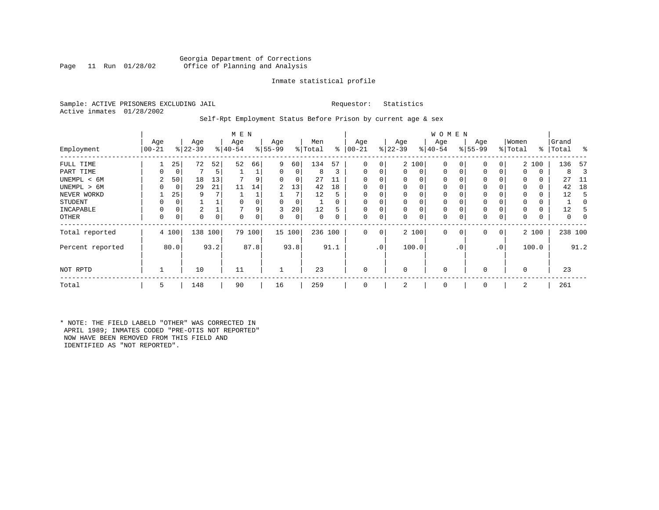#### Georgia Department of Corrections<br>Page 11 Run 01/28/02 Office of Planning and Analysis Office of Planning and Analysis

#### Inmate statistical profile

Sample: ACTIVE PRISONERS EXCLUDING JAIL **Requestor:** Statistics Active inmates 01/28/2002

#### Self-Rpt Employment Status Before Prison by current age & sex

|                  | Age        |       | Age       |      | M E N<br>Age |          | Age       |        | Men     |          | Age      |                | Age            |          | W O M E N<br>Age |             | Age      |              | Women    |       | Grand     |      |
|------------------|------------|-------|-----------|------|--------------|----------|-----------|--------|---------|----------|----------|----------------|----------------|----------|------------------|-------------|----------|--------------|----------|-------|-----------|------|
| Employment       | $ 00 - 21$ |       | $ 22-39 $ |      | $ 40-54$     |          | $8 55-99$ |        | % Total | ွေ       | $ 00-21$ |                | $ 22-39$       |          | $ 40-54 $        |             | $ 55-99$ |              | % Total  |       | %   Total | ႜ    |
| FULL TIME        |            | 25    | 72        | 52   | 52           | 66       | 9         | 60     | 134     | 57       | 0        | 0              |                | 2 100    | $\mathbf 0$      | $\Omega$    | 0        | 0            |          | 2 100 | 136       | 57   |
| PART TIME        | 0          | 0     |           | 5    |              |          | 0         | 0      | 8       | 3        | $\Omega$ | 0              | $\mathbf{0}$   | 0        | $\mathbf 0$      | $\mathbf 0$ | 0        | 0            | $\Omega$ | 0     | 8         | 3    |
| UNEMPL < 6M      |            | 50    | 18        | 13   |              |          | 0         | 0      | 27      |          |          |                | 0              | 0        | 0                |             | 0        |              | $\Omega$ | 0     | 27        | -11  |
| UNEMPL > 6M      | 0          | 0     | 29        | 21   | 11           | 14       | 2         | 13     | 42      | 18       |          |                | $\Omega$       | 0        | 0                | $\Omega$    | $\Omega$ |              | $\Omega$ | 0     | 42        | 18   |
| NEVER WORKD      |            | 25    | 9         |      |              |          |           | 7      | 12      | 5        |          |                | 0              | 0        | $\mathbf 0$      |             | $\Omega$ |              |          | 0     | 12        | 5    |
| <b>STUDENT</b>   | 0          | 0     |           |      |              |          | 0         | 0      |         | $\Omega$ |          |                | $\mathbf 0$    | $\Omega$ | 0                | $\Omega$    | 0        |              | $\Omega$ | 0     |           | 0    |
| INCAPABLE        | $\Omega$   | 0     | 2         |      |              |          | 3         | 20     | 12      | 5        |          |                | $\mathbf 0$    | 0        | $\mathbf{0}$     |             | $\Omega$ |              |          | 0     | 12        |      |
| OTHER            | 0          | 0     | 0         | 0    | $\Omega$     | $\Omega$ | 0         | 0      | 0       | 0        | $\Omega$ | 0              | 0              | $\Omega$ | 0                | 0           | 0        |              | $\Omega$ | 0     | 0         |      |
| Total reported   |            | 4 100 | 138       | 100  |              | 79 100   |           | 15 100 | 236 100 |          | 0        | 0 <sup>1</sup> |                | 2 100    | $\mathbf{0}$     | $\mathbf 0$ | 0        | $\mathbf{0}$ |          | 2 100 | 238 100   |      |
| Percent reported |            | 80.0  |           | 93.2 |              | 87.8     |           | 93.8   |         | 91.1     |          | .0'            |                | 100.0    |                  | . 0         |          | $\cdot$ 0    |          | 100.0 |           | 91.2 |
| NOT RPTD         |            |       | 10        |      | 11           |          |           |        | 23      |          | $\Omega$ |                | 0              |          | $\mathbf 0$      |             | $\Omega$ |              | $\Omega$ |       | 23        |      |
| Total            | 5          |       | 148       |      | 90           |          | 16        |        | 259     |          | $\Omega$ |                | $\overline{2}$ |          | $\mathbf 0$      |             | 0        |              | 2        |       | 261       |      |

\* NOTE: THE FIELD LABELD "OTHER" WAS CORRECTED IN APRIL 1989; INMATES CODED "PRE-OTIS NOT REPORTED" NOW HAVE BEEN REMOVED FROM THIS FIELD AND IDENTIFIED AS "NOT REPORTED".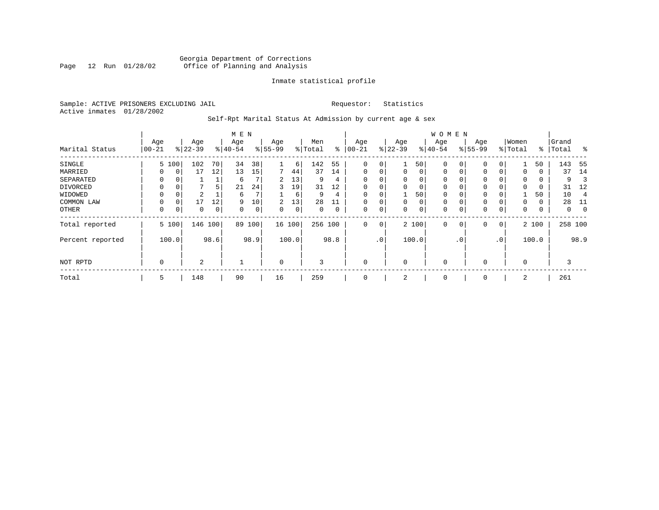#### Georgia Department of Corrections<br>Page 12 Run 01/28/02 Office of Planning and Analysis Page 12 Run 01/28/02 Office of Planning and Analysis

#### Inmate statistical profile

Sample: ACTIVE PRISONERS EXCLUDING JAIL **Requestor:** Statistics Active inmates 01/28/2002

## Self-Rpt Marital Status At Admission by current age & sex

|                  |             |          |                |      | M E N    |      |           |       |         |             |             |                 |              |       | <b>WOMEN</b> |          |          |              |          |       |           |                |
|------------------|-------------|----------|----------------|------|----------|------|-----------|-------|---------|-------------|-------------|-----------------|--------------|-------|--------------|----------|----------|--------------|----------|-------|-----------|----------------|
|                  | Age         |          | Age            |      | Age      |      | Age       |       | Men     |             | Age         |                 | Age          |       | Age          |          | Age      |              | Women    |       | Grand     |                |
| Marital Status   | $00 - 21$   |          | $ 22-39 $      |      | $ 40-54$ |      | $8 55-99$ |       | % Total | ⊱           | $ 00-21$    | $\frac{1}{6}$   | $22 - 39$    |       | $ 40-54 $    |          | $ 55-99$ |              | % Total  |       | %   Total | $\frac{8}{6}$  |
| SINGLE           |             | 5 100    | 102            | 70   | 34       | 38   |           | 6     | 142     | 55          | 0           | 0               |              | 50    | $\mathbf 0$  | 0        | 0        | 0            |          | 50    | 143       | - 55           |
| MARRIED          | 0           | 0        | 17             | 12   | 13       | 15   | 7         | 44    | 37      | 14          | $\mathbf 0$ | 0               | $\mathbf{0}$ | 0     | $\mathbf 0$  | 0        | 0        | $\Omega$     | 0        | 0     | 37        | 14             |
| SEPARATED        | $\Omega$    | $\Omega$ |                |      | 6        | ⇁    | 2         | 13    | 9       | 4           | $\Omega$    |                 | 0            | 0     | 0            | $\Omega$ | $\Omega$ |              | $\Omega$ | 0     | 9         | 3              |
| DIVORCED         |             | 0        |                | 5    | 21       | 24   | 3         | 19    | 31      | 12          | $\Omega$    | 0               | 0            | 0     | $\mathbf 0$  | $\Omega$ | 0        |              | $\Omega$ | 0     | 31        | 12             |
| WIDOWED          | $\Omega$    | $\Omega$ | 2              |      | 6        |      |           | 6     | 9       | 4           |             |                 |              | 50    | $\Omega$     | $\Omega$ | $\Omega$ |              |          | 50    | 10        | $\overline{4}$ |
| COMMON LAW       | $\Omega$    | $\Omega$ | 17             | 12   | 9        | 10   | 2         | 13    | 28      | 11          | $\Omega$    |                 | $\mathbf{0}$ | 0     | $\mathbf 0$  | $\Omega$ | $\Omega$ |              | $\Omega$ | 0     | 28        | -11            |
| OTHER            | $\mathbf 0$ | 0        | 0              | 0    | $\Omega$ | 0    | $\Omega$  | 0     | 0       | $\mathbf 0$ | 0           | 0               | 0            | 0     | $\mathbf 0$  | 0        | 0        | $\mathbf 0$  | 0        | 0     | 0         | $\mathbf 0$    |
| Total reported   |             | 5 100    | 146 100        |      | 89       | 100  | 16 100    |       | 256 100 |             | 0           | 0               |              | 2 100 | $\mathbf 0$  | 0        | 0        | $\mathbf{0}$ |          | 2 100 | 258 100   |                |
| Percent reported |             | 100.0    |                | 98.6 |          | 98.9 |           | 100.0 |         | 98.8        |             | .0 <sup>1</sup> |              | 100.0 |              | . 0      |          | $\cdot$ 0    |          | 100.0 |           | 98.9           |
| NOT RPTD         | $\Omega$    |          | $\overline{a}$ |      |          |      | $\Omega$  |       | 3       |             | $\Omega$    |                 | 0            |       | $\mathbf 0$  |          | $\Omega$ |              | $\Omega$ |       | 3         |                |
| Total            | 5           |          | 148            |      | 90       |      | 16        |       | 259     |             | 0           |                 | 2            |       | 0            |          | 0        |              | 2        |       | 261       |                |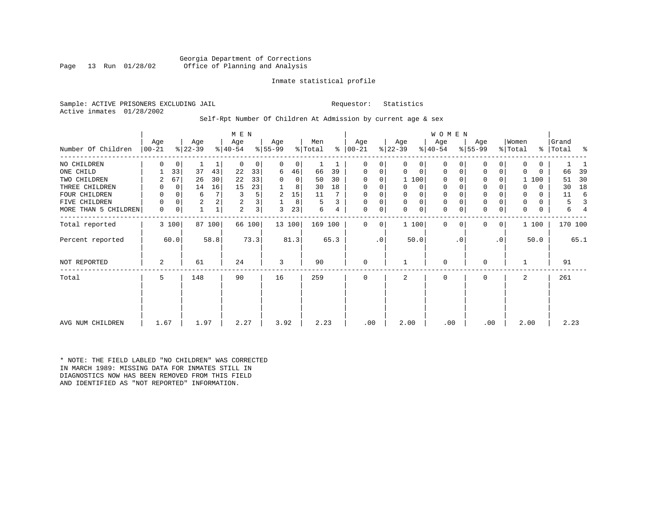Georgia Department of Corrections<br>Page 13 Run 01/28/02 Office of Planning and Analysis Office of Planning and Analysis

#### Inmate statistical profile

Sample: ACTIVE PRISONERS EXCLUDING JAIL **Requestor:** Statistics Active inmates 01/28/2002

# Self-Rpt Number Of Children At Admission by current age & sex

|                      |                 |                |                  |                | M E N            |                         |                 |        |                |      |                      |           |                  |             | WOMEN            |           |                  |             |                              |       |                    |         |
|----------------------|-----------------|----------------|------------------|----------------|------------------|-------------------------|-----------------|--------|----------------|------|----------------------|-----------|------------------|-------------|------------------|-----------|------------------|-------------|------------------------------|-------|--------------------|---------|
| Number Of Children   | Age<br>$ 00-21$ |                | Age<br>$ 22-39 $ |                | Age<br>$ 40-54 $ |                         | Age<br>$ 55-99$ |        | Men<br>% Total |      | Age<br>$8   00 - 21$ |           | Age<br>$ 22-39 $ |             | Age<br>$ 40-54 $ |           | Age<br>$ 55-99 $ |             | Women<br>$\frac{1}{2}$ Total |       | Grand<br>%   Total | ႜ       |
| NO CHILDREN          | 0               | $\overline{0}$ |                  | 1              | $\Omega$         | 0                       | 0               | 0      |                |      | $\Omega$             | 0         |                  | 0           | 0                |           | 0                |             | <sup>0</sup>                 | 0     |                    |         |
| ONE CHILD            |                 | 33             | 37               | 43             | 22               | 33                      | 6               | 46     | 66             | 39   | $\Omega$             | 0         | $\Omega$         | $\Omega$    | $\Omega$         |           | 0                | $\Omega$    | 0                            | 0     | 66                 | 39      |
| TWO CHILDREN         | 2               | 67             | 26               | 30             | 22               | 33                      | 0               | 0      | 50             | 30   | 0                    | 0         |                  | 1 100       | $\Omega$         |           | 0                | 0           |                              | 1 100 | 51                 | 30      |
| THREE CHILDREN       |                 | $\Omega$       | 14               | 16             | 15               | 23                      |                 | 8      | 30             | 18   | 0                    | 0         |                  | $\Omega$    | 0                |           | $\mathbf 0$      |             | O                            | 0     | 30                 | 18      |
| FOUR CHILDREN        | 0               | $\overline{0}$ | 6                | 7              | 3                | 5                       | 2               | 15     | 11             |      | 0                    | 0         | 0                | 0           | 0                | 0         | $\mathbf 0$      |             | 0                            | 0     | 11                 | -6      |
| FIVE CHILDREN        | 0               | 0              | 2                | 2 <sub>1</sub> | 2                | $\overline{\mathbf{3}}$ |                 | 8      | 5              | 3    | 0                    | 0         |                  | $\mathbf 0$ | 0                |           | $\mathbf 0$      |             | 0                            | 0     | 5                  | 3       |
| MORE THAN 5 CHILDREN | 0               | $\overline{0}$ |                  | $\mathbf{1}$   | 2                | 3 <sup>1</sup>          | 3               | 23     | 6              |      | 0                    | 0         | $\Omega$         | 0           | $\Omega$         |           | 0                | 0           | $\Omega$                     | 0     | 6                  | 4       |
| Total reported       |                 | 3 100          |                  | 87 100         |                  | 66 100                  |                 | 13 100 | 169 100        |      | $\Omega$             | $\Omega$  |                  | 1 100       | $\Omega$         | $\Omega$  | $\Omega$         | $\mathbf 0$ |                              | 1 100 |                    | 170 100 |
| Percent reported     |                 | 60.0           |                  | 58.8           |                  | 73.3'                   |                 | 81.3   |                | 65.3 |                      | $\cdot$ 0 |                  | 50.0        |                  | $\cdot$ 0 |                  | $\cdot$ 0   |                              | 50.0  |                    | 65.1    |
| NOT REPORTED         | 2               |                | 61               |                | 24               |                         | 3               |        | 90             |      | $\mathbf 0$          |           |                  |             | $\mathbf 0$      |           | $\mathbf 0$      |             |                              |       | 91                 |         |
| Total                | 5               |                | 148              |                | 90               |                         | 16              |        | 259            |      | $\Omega$             |           | $\mathbf{2}$     |             | <sup>0</sup>     |           | 0                |             | 2                            |       | 261                |         |
|                      |                 |                |                  |                |                  |                         |                 |        |                |      |                      |           |                  |             |                  |           |                  |             |                              |       |                    |         |
| AVG NUM CHILDREN     | 1.67            |                | 1.97             |                | 2.27             |                         | 3.92            |        | 2.23           |      | .00                  |           | 2.00             |             | .00              |           | .00              |             | 2.00                         |       | 2.23               |         |

\* NOTE: THE FIELD LABLED "NO CHILDREN" WAS CORRECTED IN MARCH 1989: MISSING DATA FOR INMATES STILL IN DIAGNOSTICS NOW HAS BEEN REMOVED FROM THIS FIELD AND IDENTIFIED AS "NOT REPORTED" INFORMATION.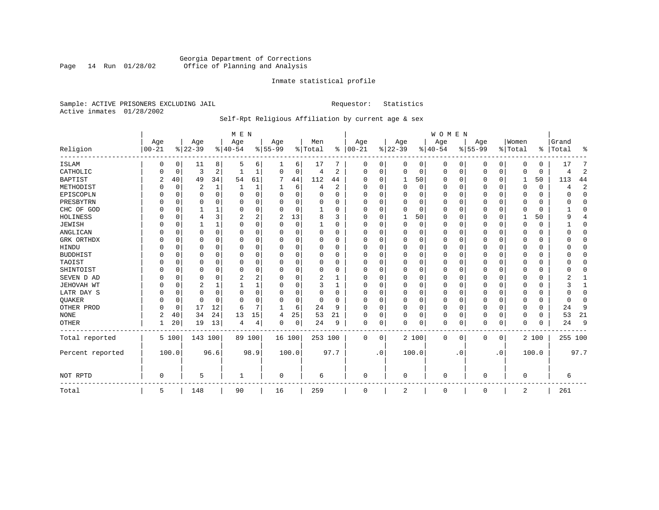### Georgia Department of Corrections<br>Page 14 Run 01/28/02 Office of Planning and Analysis Page 14 Run 01/28/02 Office of Planning and Analysis

#### Inmate statistical profile

Sample: ACTIVE PRISONERS EXCLUDING JAIL **Requestor:** Statistics Active inmates 01/28/2002

## Self-Rpt Religious Affiliation by current age & sex

|                   |           |             |           |              | M E N          |          |             |          |          |                |             |              |                |       | WOMEN     |           |             |             |             |          |          |                |
|-------------------|-----------|-------------|-----------|--------------|----------------|----------|-------------|----------|----------|----------------|-------------|--------------|----------------|-------|-----------|-----------|-------------|-------------|-------------|----------|----------|----------------|
|                   | Age       |             | Age       |              | Age            |          | Age         |          | Men      |                | Age         |              | Age            |       | Age       |           | Age         |             | Women       |          | Grand    |                |
| Religion          | $00 - 21$ |             | $8 22-39$ |              | $8 40-54$      |          | $8155 - 99$ |          | % Total  | ⊱              | $ 00-21$    |              | $ 22-39$       |       | $8 40-54$ |           | $8155 - 99$ |             | % Total     | ႜ        | Total    | ిక             |
| <b>ISLAM</b>      | 0         | 0           | 11        | 8            | .5             | 6        |             | 6        | 17       |                | 0           | 0            | 0              | 0     | 0         | 0         | 0           | 0           | 0           | 0        | 17       | 7              |
| CATHOLIC          |           | 0           | 3         | 2            |                |          | 0           | 0        | 4        | 2              | $\mathbf 0$ | 0            | 0              | 0     | $\Omega$  | 0         | 0           | 0           | $\Omega$    | 0        | 4        | $\overline{2}$ |
| <b>BAPTIST</b>    | 2         | 40          | 49        | 34           | 54             | 61       | 7           | 44       | 112      | 44             | U           | $\Omega$     | 1              | 50    | $\Omega$  | 0         | 0           | 0           | 1           | 50       | 113      | 44             |
| METHODIST         |           | 0           | 2         | $\mathbf{1}$ |                |          |             | 6        | 4        | $\overline{2}$ | $\Omega$    | $\Omega$     | $\overline{0}$ | 0     | $\Omega$  | 0         | 0           | $\Omega$    | $\Omega$    | $\Omega$ | 4        | $\overline{2}$ |
| EPISCOPLN         |           | $\mathbf 0$ | $\Omega$  | $\Omega$     | $\Omega$       | $\Omega$ | U           | $\Omega$ | $\Omega$ | $\Omega$       | 0           | $\Omega$     | $\mathbf 0$    | 0     | $\Omega$  | 0         | 0           | 0           | $\Omega$    | 0        | U        | $\mathbf 0$    |
| PRESBYTRN         |           | 0           | 0         | $\Omega$     | $\Omega$       | $\Omega$ | O           | $\Omega$ | $\Omega$ | O              | $\Omega$    | $\Omega$     | $\Omega$       | 0     | $\Omega$  | 0         | 0           | $\Omega$    | $\Omega$    | $\Omega$ | O        | 0              |
| CHC OF GOD        |           | $\Omega$    |           | -1           | $\Omega$       | $\Omega$ | O           | $\Omega$ |          | $\Omega$       | $\Omega$    | $\Omega$     | $\Omega$       | 0     | $\Omega$  | $\Omega$  | 0           | $\Omega$    | $\Omega$    | $\Omega$ |          | $\Omega$       |
| HOLINESS          |           | 0           | 4         | 3            | 2              | 2        | 2           | 13       | 8        | 3              | $\Omega$    | $\Omega$     | $\mathbf{1}$   | 50    | $\Omega$  | 0         | 0           | 0           |             | 50       | q        | 4              |
| <b>JEWISH</b>     |           | 0           |           | 1            | $\Omega$       | $\Omega$ | O           | $\Omega$ |          | O              | 0           | <sup>0</sup> | 0              | 0     | $\Omega$  | 0         | 0           | 0           | $\Omega$    | $\Omega$ |          | 0              |
| ANGLICAN          |           | 0           | 0         | $\Omega$     | $\Omega$       | $\Omega$ | 0           | 0        | 0        | <sup>0</sup>   | $\Omega$    | <sup>0</sup> | 0              | 0     | $\Omega$  | 0         | 0           | 0           | $\Omega$    | 0        | O        | $\mathbf 0$    |
| GRK ORTHDX        |           | $\Omega$    | O         | $\Omega$     | $\Omega$       | $\Omega$ | n           | $\Omega$ | $\Omega$ | $\Omega$       | $\Omega$    | $\Omega$     | $\Omega$       | 0     | $\Omega$  | $\Omega$  | U           | $\Omega$    | $\Omega$    | $\Omega$ |          | $\Omega$       |
| HINDU             |           | $\Omega$    | 0         | $\Omega$     | $\Omega$       | $\Omega$ |             | 0        | $\Omega$ | $\Omega$       | $\Omega$    | O            | $\Omega$       | 0     | $\Omega$  | $\Omega$  | 0           | $\Omega$    | $\Omega$    | $\Omega$ |          | $\Omega$       |
| <b>BUDDHIST</b>   |           | 0           | 0         | $\Omega$     | $\Omega$       | $\Omega$ | U           | 0        | $\Omega$ | $\Omega$       | $\Omega$    | $\Omega$     | $\Omega$       | 0     | $\Omega$  | 0         | 0           | 0           | $\Omega$    | 0        |          | $\mathbf 0$    |
| TAOIST            |           | 0           | $\Omega$  | $\Omega$     | $\Omega$       | $\Omega$ |             | $\Omega$ | O        | $\Omega$       | $\Omega$    | $\Omega$     | $\Omega$       | 0     | $\Omega$  | $\Omega$  | 0           | $\Omega$    | $\Omega$    | $\Omega$ |          | $\Omega$       |
| SHINTOIST         |           | $\Omega$    | 0         | $\Omega$     | $\Omega$       | $\Omega$ | O           | $\Omega$ | $\Omega$ | $\Omega$       | 0           | $\Omega$     | $\Omega$       | 0     | $\Omega$  | $\Omega$  | 0           | $\Omega$    | $\Omega$    | $\Omega$ | U        | $\Omega$       |
| SEVEN D AD        |           | $\Omega$    | $\Omega$  | $\Omega$     | 2              | 2        | O           | $\Omega$ | 2        |                | $\Omega$    | $\Omega$     | $\Omega$       | 0     | $\Omega$  | $\Omega$  | 0           | $\Omega$    | $\Omega$    | $\Omega$ |          | $\mathbf{1}$   |
| <b>JEHOVAH WT</b> |           | $\Omega$    | 2         | 1            |                |          | O           | 0        | 3        | 1              | $\Omega$    | O            | 0              | 0     | $\Omega$  | $\Omega$  | 0           | 0           | $\Omega$    | 0        |          | 1              |
| LATR DAY S        |           | 0           | $\Omega$  | 0            | $\Omega$       | 0        | U           | 0        | 0        | O              | $\Omega$    | O            | 0              | 0     | $\Omega$  | 0         | 0           | 0           | $\Omega$    | 0        | U        | 0              |
| <b>OUAKER</b>     |           | 0           | $\Omega$  | $\Omega$     | $\Omega$       | $\Omega$ | O           | 0        | $\Omega$ | $\Omega$       | $\Omega$    | $\Omega$     | $\Omega$       | 0     | $\Omega$  | $\Omega$  | 0           | $\Omega$    | $\Omega$    | $\Omega$ | $\Omega$ | $\Omega$       |
| OTHER PROD        |           | $\Omega$    | 17        | 12           | 6              | 7        | 1           | 6        | 24       | 9              | $\Omega$    | $\Omega$     | $\mathbf 0$    | 0     | $\Omega$  | $\Omega$  | 0           | $\Omega$    | $\Omega$    | $\Omega$ | 24       | 9              |
| <b>NONE</b>       | 2         | 40          | 34        | 24           | 13             | 15       | 4           | 25       | 53       | 21             | $\Omega$    | 0            | 0              | 0     | $\Omega$  | 0         | 0           | $\Omega$    | $\Omega$    | 0        | 53       | 21             |
| <b>OTHER</b>      |           | 20          | 19        | 13           | $\overline{4}$ | 4        | 0           | 0        | 24       | 9              | 0           | 0            | $\Omega$       | 0     | $\Omega$  | 0         | 0           | $\mathbf 0$ | $\Omega$    | 0        | 24       | 9              |
| Total reported    |           | 5 100       | 143 100   |              |                | 89 100   | 16 100      |          | 253 100  |                | 0           | 0            |                | 2 100 | $\Omega$  | 0         | 0           | 0           |             | 2 100    | 255 100  |                |
| Percent reported  |           | 100.0       |           | 96.6         |                | 98.9     |             | 100.0    |          | 97.7           |             | $\cdot$ 0    |                | 100.0 |           | $\cdot$ 0 |             | $\cdot$ 0   |             | 100.0    |          | 97.7           |
| NOT RPTD          | $\Omega$  |             | 5         |              | -1             |          | 0           |          | 6        |                | $\Omega$    |              | $\Omega$       |       | $\Omega$  |           | U           |             | $\mathbf 0$ |          | 6        |                |
| Total             | 5         |             | 148       |              | 90             |          | 16          |          | 259      |                | $\Omega$    |              | 2              |       | 0         |           | 0           |             | 2           |          | 261      |                |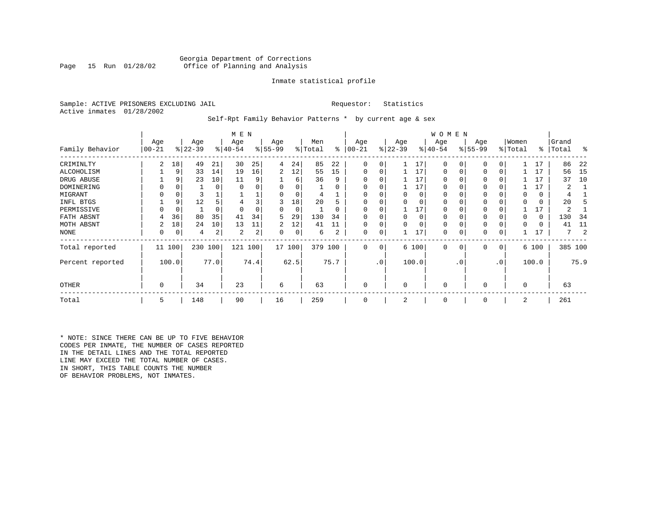#### Georgia Department of Corrections<br>Page 15 Run 01/28/02 Office of Planning and Analysis Office of Planning and Analysis

#### Inmate statistical profile

Sample: ACTIVE PRISONERS EXCLUDING JAIL **Requestor:** Statistics Active inmates 01/28/2002

Self-Rpt Family Behavior Patterns \* by current age & sex

|                  |                 |        |                  |          | M E N            |      |                 |        |                |      |                 |           |                  |          | <b>WOMEN</b>     |           |                 |                 |                  |       |                |      |
|------------------|-----------------|--------|------------------|----------|------------------|------|-----------------|--------|----------------|------|-----------------|-----------|------------------|----------|------------------|-----------|-----------------|-----------------|------------------|-------|----------------|------|
| Family Behavior  | Age<br>$ 00-21$ |        | Age<br>$ 22-39 $ |          | Age<br>$ 40-54 $ |      | Age<br>$ 55-99$ |        | Men<br>% Total | ႜ    | Age<br>$ 00-21$ |           | Age<br>$ 22-39 $ |          | Age<br>$ 40-54 $ |           | Age<br>$ 55-99$ |                 | Women<br>% Total | ៖     | Grand<br>Total | ႜ    |
| CRIMINLTY        | 2               | 18     | 49               | 21       | 30               | 25   | 4               | 24     | 85             | 22   | 0               | 0         |                  | 17       | 0                |           | 0               |                 |                  | 17    | 86             | 22   |
| ALCOHOLISM       |                 | 9      | 33               | 14       | 19               | 16   | 2               | 12     | 55             | 15   | 0               | 0         |                  | 17       | 0                |           | 0               | 0               |                  | 17    | 56             | -15  |
| DRUG ABUSE       |                 |        | 23               | 10       | 11               | 9    |                 | 6      | 36             | 9    | $\Omega$        | 0         |                  | 17       |                  |           | 0               |                 |                  | 17    | 37             | 10   |
| DOMINERING       |                 |        |                  | $\Omega$ | $\Omega$         |      |                 |        |                |      | O               |           |                  | 17       |                  |           | $\Omega$        |                 |                  | 17    |                |      |
| MIGRANT          |                 |        |                  |          |                  |      |                 |        |                |      |                 |           |                  | $\Omega$ |                  |           | 0               |                 |                  | 0     |                |      |
| INFL BTGS        |                 | 9      | 12               |          |                  |      | 3               | 18     | 20             |      | $\Omega$        |           |                  |          |                  |           | 0               |                 |                  | 0     | 20             |      |
| PERMISSIVE       |                 | 0      |                  | $\Omega$ | $\Omega$         |      | 0               | 0      |                | 0    | $\Omega$        | 0         |                  | 17       | 0                |           | $\mathbf 0$     |                 |                  | 17    | 2              |      |
| FATH ABSNT       | 4               | 36     | 80               | 35       | 41               | 34   | 5.              | 29     | 130            | 34   | O               | U         | <sup>n</sup>     | $\Omega$ | O                |           | 0               |                 |                  | 0     | 130            | -34  |
| MOTH ABSNT       | 2               | 18     | 24               | 10       | 13               | 11   | 2               | 12     | 41             | 11   | $\Omega$        | 0         |                  |          | 0                |           | 0               |                 |                  | 0     | 41             | 11   |
| NONE             | 0               | 0      | 4                | 2        | 2                | 2    | 0               | 0      | 6              | 2    | 0               | 0         |                  | 17       | 0                |           | 0               |                 |                  | 17    | 7              |      |
| Total reported   |                 | 11 100 | 230              | 100      | 121 100          |      |                 | 17 100 | 379 100        |      | 0               | 0         |                  | 6 100    | 0                | 0         | $\mathbf{0}$    | 0               |                  | 6 100 | 385 100        |      |
| Percent reported |                 | 100.0  |                  | 77.0     |                  | 74.4 |                 | 62.5   |                | 75.7 |                 | $\cdot$ 0 |                  | 100.0    |                  | $\cdot$ 0 |                 | .0 <sup>°</sup> |                  | 100.0 |                | 75.9 |
| OTHER            | 0               |        | 34               |          | 23               |      | 6               |        | 63             |      | $\mathbf 0$     |           | $\Omega$         |          | 0                |           | $\mathbf 0$     |                 | $\Omega$         |       | 63             |      |
| Total            | 5               |        | 148              |          | 90               |      | 16              |        | 259            |      | $\mathbf 0$     |           | 2                |          | 0                |           | 0               |                 | 2                |       | 261            |      |

\* NOTE: SINCE THERE CAN BE UP TO FIVE BEHAVIOR CODES PER INMATE, THE NUMBER OF CASES REPORTED IN THE DETAIL LINES AND THE TOTAL REPORTED LINE MAY EXCEED THE TOTAL NUMBER OF CASES. IN SHORT, THIS TABLE COUNTS THE NUMBER OF BEHAVIOR PROBLEMS, NOT INMATES.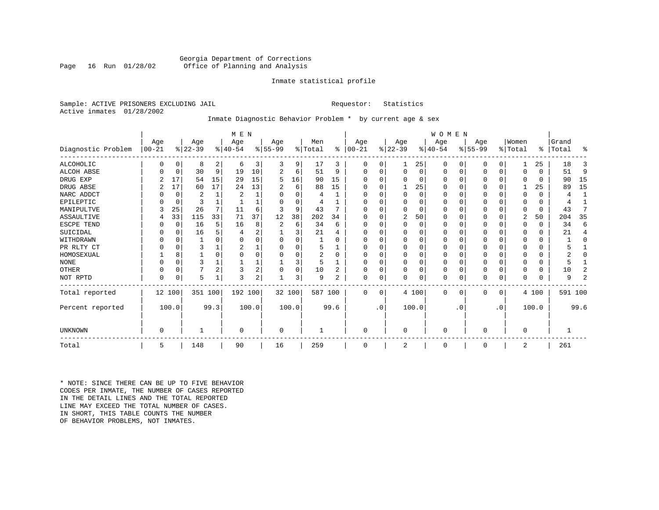#### Georgia Department of Corrections<br>Page 16 Run 01/28/02 Office of Planning and Analysis Office of Planning and Analysis

#### Inmate statistical profile

Sample: ACTIVE PRISONERS EXCLUDING JAIL **Requestor:** Statistics Active inmates 01/28/2002

### Inmate Diagnostic Behavior Problem \* by current age & sex

|                    |                   |             |                  |                | M E N            |       |                  |        |                |          |                  |           |                  |          | WOMEN            |           |                  |             |                  |          |                |         |
|--------------------|-------------------|-------------|------------------|----------------|------------------|-------|------------------|--------|----------------|----------|------------------|-----------|------------------|----------|------------------|-----------|------------------|-------------|------------------|----------|----------------|---------|
| Diagnostic Problem | Age<br>$ 00 - 21$ |             | Age<br>$ 22-39 $ |                | Age<br>$ 40-54 $ |       | Age<br>$8 55-99$ |        | Men<br>% Total | ႜ        | Age<br>$00 - 21$ | ៖।        | Age<br>$22 - 39$ |          | Age<br>$ 40-54 $ |           | Age<br>$8 55-99$ |             | Women<br>% Total | ႜ        | Grand<br>Total | ႜ       |
| <b>ALCOHOLIC</b>   | 0                 | 0           | 8                | 2              | 6                | 3     | 3                | 9      | 17             | 3        | 0                | 0         |                  | 25       | 0                | 0         | 0                | 0           |                  | 25       | 18             | 3       |
| <b>ALCOH ABSE</b>  |                   | 0           | 30               | 9              | 19               | 10    | 2                | 6      | 51             | 9        | 0                | $\Omega$  | 0                | 0        | 0                | 0         | 0                | 0           | 0                | $\Omega$ | 51             | 9       |
| DRUG EXP           |                   | 17          | 54               | 15             | 29               | 15    | 5                | 16     | 90             | 15       |                  | 0         | $\Omega$         | 0        | $\Omega$         | 0         | 0                | $\Omega$    | 0                | $\Omega$ | 90             | 15      |
| DRUG ABSE          |                   | 17          | 60               | 17             | 24               | 13    |                  | 6      | 88             | 15       | O                |           |                  | 25       | $\Omega$         | 0         | 0                | 0           |                  | 25       | 89             | 15      |
| NARC ADDCT         |                   | 0           | $\overline{2}$   |                | 2                |       |                  | U      | 4              |          |                  | O         | $\mathbf 0$      | $\Omega$ | 0                | O         | O                | $\Omega$    | O                | $\Omega$ | 4              |         |
| EPILEPTIC          |                   | $\mathbf 0$ | 3                |                |                  |       |                  | O      |                |          | O                |           | $\Omega$         | $\Omega$ | $\Omega$         | $\Omega$  | $\Omega$         | $\mathbf 0$ | O                | 0        |                |         |
| MANIPULTVE         |                   | 25          | 26               | 7              | 11               | 6     | 3                | 9      | 43             |          |                  |           | $\Omega$         | O        | 0                | O         |                  | 0           | 0                | 0        | 43             | 7       |
| <b>ASSAULTIVE</b>  | 4                 | 33          | 115              | 33             | 71               | 37    | 12               | 38     | 202            | 34       | U                |           | $\overline{2}$   | 50       | $\Omega$         | 0         | 0                | 0           | 2                | 50       | 204            | 35      |
| ESCPE TEND         |                   | 0           | 16               | 5              | 16               | 8     |                  | 6      | 34             | 6        | O                | $\Omega$  | $\mathbf 0$      | 0        | $\Omega$         | $\Omega$  |                  | $\Omega$    | $\Omega$         | $\Omega$ | 34             | 6       |
| SUICIDAL           |                   | $\Omega$    | 16               |                |                  | ∠     |                  | 3      | 21             | 4        |                  |           | $\Omega$         |          | $\Omega$         | $\Omega$  |                  | $\Omega$    | O                | 0        | 21             | 4       |
| WITHDRAWN          |                   | $\Omega$    |                  |                |                  |       |                  | U      |                | O        |                  |           | $\Omega$         |          | 0                | O         |                  | $\Omega$    | O                | O        |                | 0       |
| PR RLTY CT         |                   | $\Omega$    | 3                |                |                  |       |                  | O      | 5              |          | O                |           | $\Omega$         | N        | $\Omega$         | $\Omega$  |                  | $\Omega$    | O                | 0        |                |         |
| HOMOSEXUAL         |                   | 8           |                  | $\Omega$       |                  |       |                  |        | 2              | $\Omega$ |                  |           | $\Omega$         |          | 0                | $\Omega$  |                  | $\Omega$    | O                | 0        |                | O       |
| <b>NONE</b>        |                   | $\Omega$    | 3                |                |                  |       |                  | 3      | 5              |          |                  |           | $\Omega$         | 0        | $\Omega$         | $\Omega$  |                  | $\mathbf 0$ | O                | 0        |                |         |
| <b>OTHER</b>       |                   | $\Omega$    |                  | $\overline{2}$ | 3                | 2     |                  | 0      | 10             |          |                  |           | 0                | 0        | 0                | $\Omega$  |                  | $\mathbf 0$ | 0                | $\Omega$ | 10             | 2       |
| NOT RPTD           | $\Omega$          | 0           | 5                |                | 3                | 2     |                  | 3      | 9              | 2        | 0                | 0         | $\mathbf 0$      | 0        | 0                | 0         | U                | 0           | $\Omega$         | 0        | 9              | 2       |
| Total reported     | 12 100            |             | 351 100          |                | 192 100          |       |                  | 32 100 | 587 100        |          | $\Omega$         | $\Omega$  |                  | 4 100    | $\Omega$         | 0         | $\Omega$         | 0           |                  | 4 100    |                | 591 100 |
| Percent reported   |                   | 100.0       |                  | 99.3           |                  | 100.0 |                  | 100.0  |                | 99.6     |                  | $\cdot$ 0 |                  | 100.0    |                  | $\cdot$ 0 |                  | $\cdot$ 0   |                  | 100.0    |                | 99.6    |
| <b>UNKNOWN</b>     | 0                 |             |                  |                | 0                |       | 0                |        |                |          | 0                |           | $\mathbf 0$      |          | 0                |           | 0                |             | 0                |          |                |         |
| Total              | 5                 |             | 148              |                | 90               |       | 16               |        | 259            |          | 0                |           | 2                |          | 0                |           | 0                |             | 2                |          | 261            |         |

\* NOTE: SINCE THERE CAN BE UP TO FIVE BEHAVIOR CODES PER INMATE, THE NUMBER OF CASES REPORTED IN THE DETAIL LINES AND THE TOTAL REPORTED LINE MAY EXCEED THE TOTAL NUMBER OF CASES.IN SHORT, THIS TABLE COUNTS THE NUMBER OF BEHAVIOR PROBLEMS, NOT INMATES.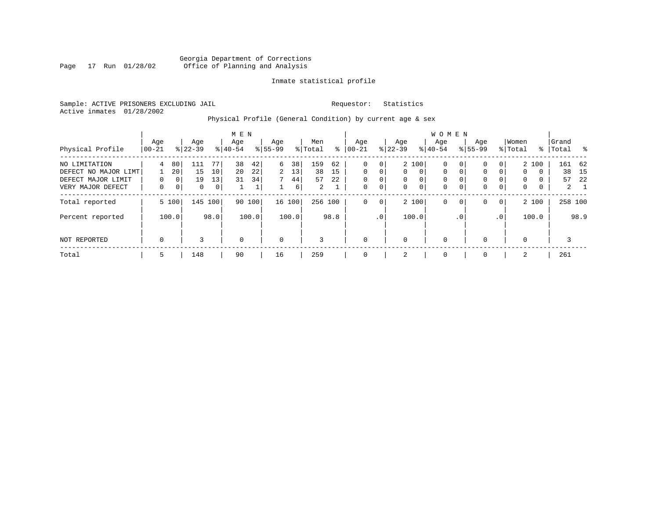#### Georgia Department of Corrections<br>Page 17 Run 01/28/02 Office of Planning and Analysis Page 17 Run 01/28/02 Office of Planning and Analysis

#### Inmate statistical profile

Sample: ACTIVE PRISONERS EXCLUDING JAIL **Requestor:** Statistics Active inmates 01/28/2002

## Physical Profile (General Condition) by current age & sex

|                                                                                  |                 |                               |                      |                                  | M E N            |                      |                    |                     |                      |                     |                         |                                   |                                   |                                           | <b>WOMEN</b>                                          |                         |                    |                                |                                                   |             |                    |                         |
|----------------------------------------------------------------------------------|-----------------|-------------------------------|----------------------|----------------------------------|------------------|----------------------|--------------------|---------------------|----------------------|---------------------|-------------------------|-----------------------------------|-----------------------------------|-------------------------------------------|-------------------------------------------------------|-------------------------|--------------------|--------------------------------|---------------------------------------------------|-------------|--------------------|-------------------------|
| Physical Profile                                                                 | Age<br>$ 00-21$ |                               | Age<br>$8 22-39$     |                                  | Age<br>$8 40-54$ |                      | Age<br>$8155 - 99$ |                     | Men<br>% Total       | ⊱                   | Age<br>$ 00 - 21$       |                                   | Age<br>$ 22-39 $                  |                                           | Aqe<br>$8 40-54$                                      |                         | Age<br>$8155 - 99$ |                                | Women<br>% Total                                  |             | Grand<br>%   Total | $^{\circ}$              |
| NO LIMITATION<br>DEFECT NO MAJOR LIMT<br>DEFECT MAJOR LIMIT<br>VERY MAJOR DEFECT | 4<br>$\Omega$   | 80<br>20<br>0<br>$\mathbf{0}$ | 111<br>15<br>19<br>0 | 77<br>10<br>13<br>0 <sup>1</sup> | 38<br>20<br>31   | 42<br>22<br>34<br>Τ. | 6<br>2<br>7        | 38<br>13<br>44<br>6 | 159<br>38<br>57<br>2 | 62<br>15<br>22<br>1 | 0<br>0<br>$\Omega$<br>0 | 0<br>$\Omega$<br>0<br>$\mathbf 0$ | $\mathbf{0}$<br>$\mathbf{0}$<br>0 | 2 100<br>$\mathbf{0}$<br>0<br>$\mathbf 0$ | $\mathbf 0$<br>$\mathbf 0$<br>$\mathbf 0$<br>$\Omega$ | 0<br>0<br>$\Omega$<br>0 | 0<br>0<br>0<br>0   | 0<br>$\Omega$<br>$\Omega$<br>0 | 2 100<br>$\mathbf{0}$<br>$\Omega$<br>$\mathbf{0}$ | 0<br>0<br>0 | 161 62<br>38<br>57 | 15<br>22<br>$2 \quad 1$ |
| Total reported                                                                   |                 | 5 100                         |                      | 145 100                          |                  | 90 100               |                    | 16 100              | 256 100              |                     | 0                       | $\mathbf{0}$                      |                                   | 2 100                                     | $\mathbf 0$                                           | $\mathbf 0$             | 0                  | $\overline{0}$                 | 2 100                                             |             | 258 100            |                         |
| Percent reported<br>NOT REPORTED                                                 | $\mathbf 0$     | 100.0                         | 3                    | 98.0                             | $\Omega$         | 100.0                | $\mathbf 0$        | 100.0               | 3                    | 98.8                | $\Omega$                | .0'                               | $\mathbf 0$                       | 100.0                                     | $\mathbf 0$                                           | . 0                     | $\Omega$           | .0 <sup>1</sup>                | 100.0<br>$\Omega$                                 |             | 3                  | 98.9                    |
| Total                                                                            | 5               |                               | 148                  |                                  | 90               |                      | 16                 |                     | 259                  |                     | $\Omega$                |                                   | 2                                 |                                           | $\overline{0}$                                        |                         | $\Omega$           |                                | 2                                                 |             | 261                |                         |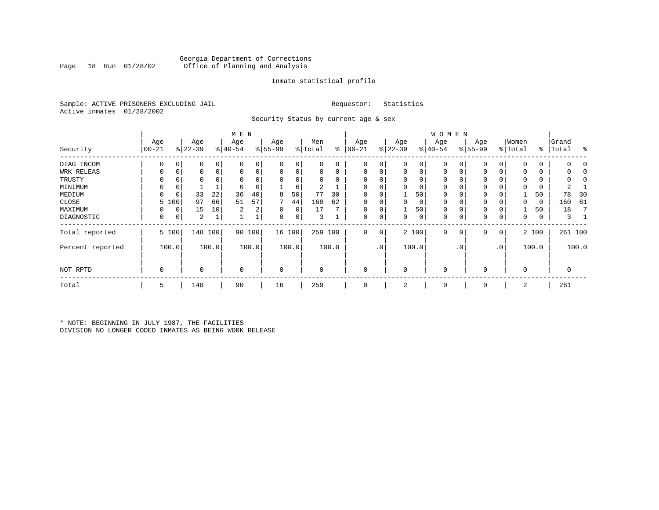#### Georgia Department of Corrections<br>Page 18 Run 01/28/02 Office of Planning and Analysis Office of Planning and Analysis

#### Inmate statistical profile

Sample: ACTIVE PRISONERS EXCLUDING JAIL **Requestor:** Statistics Active inmates 01/28/2002

Security Status by current age & sex

|                  |                  |             |                  |       | M E N            |                |                  |          |                |          |                   |                 |                  |       | <b>WOMEN</b>     |             |                 |           |                  |       |                    |            |
|------------------|------------------|-------------|------------------|-------|------------------|----------------|------------------|----------|----------------|----------|-------------------|-----------------|------------------|-------|------------------|-------------|-----------------|-----------|------------------|-------|--------------------|------------|
| Security         | Age<br>$00 - 21$ |             | Age<br>$ 22-39 $ |       | Age<br>$ 40-54 $ |                | Age<br>$8 55-99$ |          | Men<br>% Total | ႜ        | Age<br>$ 00 - 21$ |                 | Age<br>$ 22-39 $ |       | Age<br>$ 40-54 $ |             | Age<br>$ 55-99$ |           | Women<br>% Total |       | Grand<br>%   Total | ႜ          |
| DIAG INCOM       | $\Omega$         | 0           | 0                | 0     | $\Omega$         |                | 0                | 0        | 0              | 0        | $\Omega$          | 0               | 0                | 0     | $\mathbf 0$      | 0           | $\Omega$        |           | <sup>0</sup>     | 0     |                    |            |
| WRK RELEAS       |                  | 0           | 0                | 0     | 0                | 0              | 0                | 0        | 0              | 0        | $\Omega$          | 0               | 0                | 0     | 0                | 0           | $\Omega$        |           |                  | 0     |                    |            |
| TRUSTY           |                  |             |                  |       |                  |                | $\Omega$         | $\Omega$ | O              | $\Omega$ |                   |                 | $\Omega$         | 0     | 0                | O           | $\Omega$        |           |                  |       |                    | $\sqrt{2}$ |
| MINIMUM          | $\Omega$         | 0           |                  |       |                  |                |                  | 6        |                |          |                   |                 | 0                | 0     | 0                | $\Omega$    | $\Omega$        |           |                  | 0     |                    |            |
| MEDIUM           | 0                | $\mathbf 0$ | 33               | 22    | 36               | 40             | 8                | 50       | 77             | 30       | $\Omega$          | 0               |                  | 50    | 0                | 0           | 0               |           |                  | 50    | 78                 | 30         |
| CLOSE            | 5.               | 100         | 97               | 66    | 51               | 57             |                  | 44       | 160            | 62       |                   |                 | 0                | 0     | $\mathbf 0$      | 0           | 0               |           |                  | 0     | 160                | 61         |
| MAXIMUM          | 0                | 0           | 15               | 10    | 2                | 2 <sub>1</sub> | 0                | 0        | 17             |          | $\Omega$          | 0               |                  | 50    | 0                | $\Omega$    | 0               |           |                  | 50    | 18                 |            |
| DIAGNOSTIC       | 0                | 0           | 2                |       |                  |                | 0                | 0        | 3              |          | 0                 | 0               | 0                | 0     | $\mathbf 0$      | 0           | 0               | 0         | 0                | 0     | 3                  |            |
| Total reported   |                  | 5 100       | 148              | 100   |                  | 90 100         |                  | 16 100   | 259 100        |          | $\mathbf 0$       | 0               |                  | 2 100 | $\mathbf 0$      | $\mathbf 0$ | 0               | 0         |                  | 2 100 |                    | 261 100    |
| Percent reported |                  | 100.0       |                  | 100.0 |                  | 100.0          |                  | 100.0    |                | 100.0    |                   | .0 <sup>1</sup> |                  | 100.0 |                  | . 0         |                 | $\cdot$ 0 |                  | 100.0 |                    | 100.0      |
| NOT RPTD         | 0                |             | 0                |       | $\mathbf 0$      |                | $\mathbf 0$      |          | $\Omega$       |          | 0                 |                 | 0                |       | $\mathbf 0$      |             | $\Omega$        |           | $\Omega$         |       | 0                  |            |
| Total            | 5                |             | 148              |       | 90               |                | 16               |          | 259            |          | $\mathbf 0$       |                 | 2                |       | 0                |             | 0               |           | 2                |       | 261                |            |

\* NOTE: BEGINNING IN JULY 1987, THE FACILITIES DIVISION NO LONGER CODED INMATES AS BEING WORK RELEASE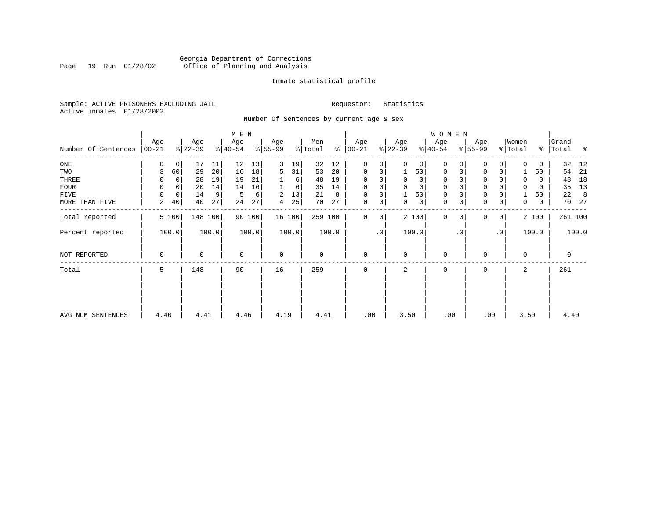#### Georgia Department of Corrections<br>Page 19 Run 01/28/02 Office of Planning and Analysis Page 19 Run 01/28/02 Office of Planning and Analysis

#### Inmate statistical profile

Sample: ACTIVE PRISONERS EXCLUDING JAIL **Requestor:** Statistics Active inmates 01/28/2002

Number Of Sentences by current age & sex

|                     |          |             |           |       | M E N       |        |             |          |         |       |               |                |           |                | WOMEN       |           |                     |           |          |             |         |       |
|---------------------|----------|-------------|-----------|-------|-------------|--------|-------------|----------|---------|-------|---------------|----------------|-----------|----------------|-------------|-----------|---------------------|-----------|----------|-------------|---------|-------|
|                     | Age      |             | Age       |       | Age         |        | Age         |          | Men     |       | Age           |                | Age       |                | Age         |           | Age                 |           | Women    |             | Grand   |       |
| Number Of Sentences | $ 00-21$ |             | $ 22-39 $ |       | $ 40-54 $   |        | $8 55-99$   |          | % Total |       | $8   00 - 21$ |                | $ 22-39 $ |                | $ 40-54 $   |           | $8 55-99$           |           | % Total  | ွေ          | Total   | ႜ     |
| $_{\rm ONE}$        | 0        | 0           | 17        | 11    | 12          | 13     | 3           | 19       | 32      | 12    | 0             | 0              | $\Omega$  | 0 <sup>1</sup> | 0           |           | $\mathbf 0$         | 0         | $\Omega$ | 0           | 32      | - 12  |
| TWO                 | 3        | 60          | 29        | 20    | 16          | 18     | 5           | 31       | 53      | 20    | $\Omega$      | 0              | 1         | 50             | $\mathbf 0$ | 0         | $\mathbf 0$         | $\Omega$  |          | 50          | 54      | -21   |
| THREE               | 0        | 0           | 28        | 19    | 19          | 21     |             | $6 \mid$ | 48      | 19    | 0             | 0              | 0         | 0 <sup>1</sup> | 0           |           | 0                   |           | $\Omega$ | 0           | 48      | 18    |
| FOUR                | $\Omega$ | 0           | 20        | 14    | 14          | 16     |             | 6        | 35      | 14    | $\Omega$      | 0              |           | $\mathbf 0$    | $\mathbf 0$ |           | $\mathsf 0$         |           | $\Omega$ | 0           | 35      | 13    |
| FIVE                | 0        | $\mathbf 0$ | 14        | 9     | 5           | 6      | 2           | 13       | 21      | 8     | 0             | 0              |           | 50             | 0           |           | $\mathbf 0$         |           |          | 50          | 22      | 8     |
| MORE THAN FIVE      | 2        | 40          | 40        | 27    | 24          | 27     | 4           | 25       | 70      | 27    | $\mathbf 0$   | 0 <sup>1</sup> | 0         | $\circ$        | 0           | 0         | $\mathsf{O}\xspace$ | 0         | 0        | $\mathbf 0$ | 70      | 27    |
| Total reported      |          | 5 100       | 148 100   |       |             | 90 100 |             | 16 100   | 259 100 |       | $\Omega$      | 0              |           | 2 100          | $\Omega$    | $\Omega$  | 0                   | 0         |          | 2 100       | 261 100 |       |
| Percent reported    |          | 100.0       |           | 100.0 |             | 100.0  |             | 100.0    |         | 100.0 |               | $\cdot$ 0      |           | 100.0          |             | $\cdot$ 0 |                     | $\cdot$ 0 |          | 100.0       |         | 100.0 |
| NOT REPORTED        | 0        |             | 0         |       | $\mathbf 0$ |        | $\mathbf 0$ |          | 0       |       | $\mathbf 0$   |                | $\Omega$  |                | $\mathbf 0$ |           | $\mathbf 0$         |           | 0        |             | 0       |       |
| Total               | 5        |             | 148       |       | 90          |        | 16          |          | 259     |       | $\Omega$      |                | 2         |                | 0           |           | 0                   |           | 2        |             | 261     |       |
|                     |          |             |           |       |             |        |             |          |         |       |               |                |           |                |             |           |                     |           |          |             |         |       |
| AVG NUM SENTENCES   | 4.40     |             | 4.41      |       | 4.46        |        | 4.19        |          | 4.41    |       | .00           |                | 3.50      |                | .00         |           | .00                 |           | 3.50     |             | 4.40    |       |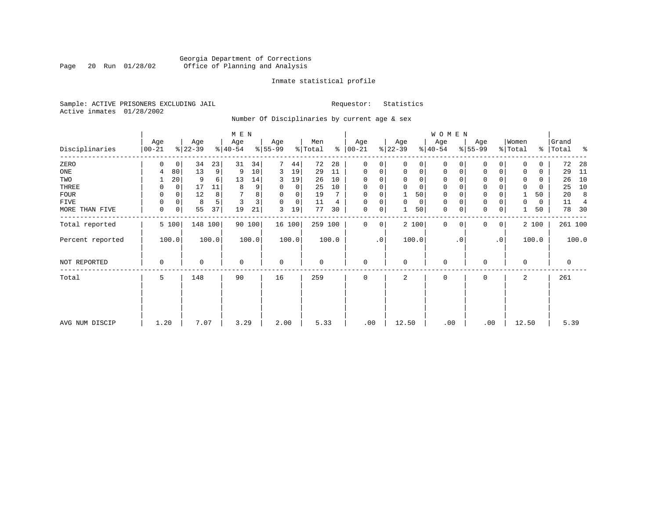### Georgia Department of Corrections<br>Page 20 Run 01/28/02 Office of Planning and Analysis Page 20 Run 01/28/02 Office of Planning and Analysis

#### Inmate statistical profile

Sample: ACTIVE PRISONERS EXCLUDING JAIL **Requestor:** Statistics Active inmates 01/28/2002

Number Of Disciplinaries by current age & sex

|                  |                  |             |                  |         | $M$ E $N$        |        |                 |        |                |       |                      |           |                  |                | WOMEN            |           |                     |             |                  |       |                |         |
|------------------|------------------|-------------|------------------|---------|------------------|--------|-----------------|--------|----------------|-------|----------------------|-----------|------------------|----------------|------------------|-----------|---------------------|-------------|------------------|-------|----------------|---------|
| Disciplinaries   | Age<br>$00 - 21$ |             | Age<br>$ 22-39 $ |         | Age<br>$ 40-54 $ |        | Age<br>$ 55-99$ |        | Men<br>% Total |       | Age<br>$8   00 - 21$ |           | Age<br>$ 22-39 $ |                | Age<br>$ 40-54 $ |           | Age<br>$8 55-99$    |             | Women<br>% Total | န္    | Grand<br>Total | ႜ       |
| ZERO             | 0                | $\mathbf 0$ | 34               | 23      | 31               | 34     | 7               | 44     | 72             | 28    | $\mathbf 0$          | 0         | $\Omega$         | $\Omega$       | $\Omega$         | 0         | $\mathbf{0}$        | $\Omega$    | $\Omega$         | 0     | 72             | 28      |
| ONE              | 4                | 80          | 13               | 9       | 9                | 10     | 3               | 19     | 29             | 11    | $\mathbf 0$          | 0         | $\mathbf 0$      | $\overline{0}$ | 0                | 0         | $\mathbf 0$         | 0           | 0                | 0     | 29             | 11      |
| TWO              |                  | 20          | 9                | 6       | 13               | 14     | 3               | 19     | 26             | 10    | 0                    | $\Omega$  |                  | $\Omega$       | 0                |           | 0                   |             |                  | 0     | 26             | 10      |
| THREE            | 0                | 0           | 17               | 11      | 8                | 9      | 0               | 0      | 25             | 10    | 0                    | 0         |                  | $\Omega$       | 0                |           | $\mathbf 0$         |             | $\mathbf 0$      | 0     | 25             | 10      |
| <b>FOUR</b>      | 0                | $\Omega$    | 12               | 8       |                  | 8      | $\Omega$        | 0      | 19             |       | $\Omega$             | 0         |                  | 50             | 0                |           | $\mathbf 0$         |             |                  | 50    | 20             | 8       |
| FIVE             | 0                | 0           | 8                |         | 3                | 3      | $\Omega$        | 0      | 11             | 4     | $\mathbf 0$          | 0         | $\Omega$         | 0              | 0                |           | $\mathbf 0$         |             | 0                | 0     | 11             | 4       |
| MORE THAN FIVE   | $\mathbf 0$      | 0           | 55               | 37      | 19               | 21     | 3               | 19     | 77             | 30    | 0                    | 0         |                  | 50             | $\mathbf 0$      | 0         | $\mathsf{O}\xspace$ | 0           |                  | 50    | 78             | 30      |
| Total reported   |                  | 5 100       |                  | 148 100 |                  | 90 100 |                 | 16 100 | 259 100        |       | $\mathbf 0$          | 0         |                  | 2 100          | $\mathbf 0$      | $\Omega$  | $\mathbf 0$         | $\mathbf 0$ |                  | 2 100 |                | 261 100 |
| Percent reported |                  | 100.0       |                  | 100.0   |                  | 100.0  |                 | 100.0  |                | 100.0 |                      | $\cdot$ 0 |                  | 100.0          |                  | $\cdot$ 0 |                     | $\cdot$ 0   |                  | 100.0 |                | 100.0   |
| NOT REPORTED     | $\mathbf 0$      |             | 0                |         | $\mathbf 0$      |        | $\mathbf 0$     |        | 0              |       | $\mathbf 0$          |           | $\Omega$         |                | $\mathbf 0$      |           | 0                   |             | $\Omega$         |       | 0              |         |
| Total            | 5                |             | 148              |         | 90               |        | 16              |        | 259            |       | $\mathbf 0$          |           | 2                |                | 0                |           | $\mathbf{0}$        |             | 2                |       | 261            |         |
|                  |                  |             |                  |         |                  |        |                 |        |                |       |                      |           |                  |                |                  |           |                     |             |                  |       |                |         |
|                  |                  |             |                  |         |                  |        |                 |        |                |       |                      |           |                  |                |                  |           |                     |             |                  |       |                |         |
| AVG NUM DISCIP   | 1.20             |             | 7.07             |         | 3.29             |        | 2.00            |        | 5.33           |       | .00                  |           | 12.50            |                | .00              |           | .00                 |             | 12.50            |       | 5.39           |         |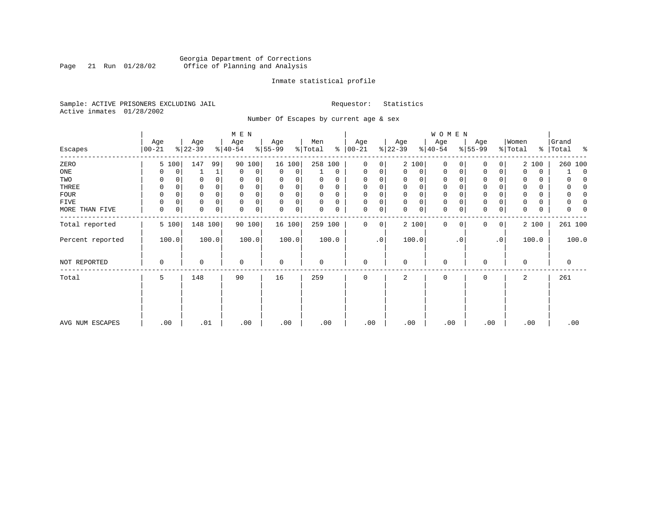### Georgia Department of Corrections<br>Page 21 Run 01/28/02 Office of Planning and Analysis Page 21 Run 01/28/02 Office of Planning and Analysis

#### Inmate statistical profile

Sample: ACTIVE PRISONERS EXCLUDING JAIL **Requestor:** Statistics Active inmates 01/28/2002

Number Of Escapes by current age & sex

|                  |                  |       |                  |              | M E N            |        |                  |             |                |             |                 |           |                  |          | W O M E N        |           |                  |           |                  |       |                     |
|------------------|------------------|-------|------------------|--------------|------------------|--------|------------------|-------------|----------------|-------------|-----------------|-----------|------------------|----------|------------------|-----------|------------------|-----------|------------------|-------|---------------------|
| Escapes          | Age<br>$00 - 21$ |       | Age<br>$ 22-39 $ |              | Age<br>$ 40-54 $ |        | Age<br>$ 55-99 $ |             | Men<br>% Total | ႜ           | Age<br>$ 00-21$ |           | Age<br>$ 22-39 $ |          | Age<br>$8 40-54$ |           | Age<br>$8 55-99$ |           | Women<br>% Total | ွေ    | Grand<br>Total<br>ႜ |
| ZERO             |                  | 5 100 | 147              | 99           |                  | 90 100 |                  | 16 100      | 258 100        |             | $\mathbf 0$     | 0         |                  | 2 100    | 0                | $\Omega$  | 0                | 0         |                  | 2 100 | 260 100             |
| ONE              |                  | 0     |                  | $\mathbf{1}$ | 0                | 0      | 0                | 0           |                | $\mathbf 0$ | 0               | 0         | 0                | 0        | 0                | 0         | 0                | 0         | 0                | 0     | $\Omega$            |
| TWO              | 0                |       | 0                |              | $\mathbf 0$      | 0      | 0                | 0           | $\Omega$       | 0           | $\mathbf 0$     | 0         |                  | $\Omega$ | 0                |           | $\mathbf 0$      |           | 0                | 0     |                     |
| THREE            | 0                |       | 0                |              | $\mathbf 0$      | 0      | 0                | 0           | $\Omega$       | 0           | $\mathbf 0$     | 0         | $\mathbf 0$      | $\Omega$ | 0                |           | $\mathbf 0$      |           | 0                | 0     | 0                   |
| <b>FOUR</b>      | $\Omega$         |       | 0                |              | $\mathbf 0$      | 0      | $\Omega$         |             | $\Omega$       | $\Omega$    | $\Omega$        |           |                  |          |                  |           | $\mathbf 0$      |           |                  | 0     |                     |
| FIVE             | 0                | 0     | 0                | 0            | $\mathbf 0$      | 0      | $\Omega$         | 0           | 0              | $\Omega$    | $\mathbf 0$     | 0         | $\mathbf 0$      | $\Omega$ | 0                |           | $\mathbf 0$      |           |                  | 0     |                     |
| MORE THAN FIVE   | $\mathbf 0$      | 0     | 0                | 0            | $\mathbf 0$      | 0      | 0                | $\mathbf 0$ | 0              | 0           | $\mathbf 0$     | 0         | $\Omega$         | 0        | 0                | 0         | $\mathbf 0$      | 0         | $\mathbf 0$      | 0     | 0                   |
| Total reported   |                  | 5 100 |                  | 148 100      |                  | 90 100 |                  | 16 100      | 259 100        |             | $\mathbf 0$     | 0         |                  | 2 100    | $\mathbf 0$      | 0         | $\mathbf{0}$     | 0         |                  | 2 100 | 261 100             |
| Percent reported |                  | 100.0 |                  | 100.0        |                  | 100.0  |                  | 100.0       |                | 100.0       |                 | $\cdot$ 0 |                  | 100.0    |                  | $\cdot$ 0 |                  | $\cdot$ 0 |                  | 100.0 | 100.0               |
| NOT REPORTED     | 0                |       | 0                |              | $\mathbf 0$      |        | 0                |             | 0              |             | $\mathbf 0$     |           | $\Omega$         |          | $\mathbf 0$      |           | 0                |           | $\Omega$         |       | 0                   |
| Total            | 5                |       | 148              |              | 90               |        | 16               |             | 259            |             | $\mathbf 0$     |           | 2                |          | $\mathbf 0$      |           | 0                |           | 2                |       | 261                 |
|                  |                  |       |                  |              |                  |        |                  |             |                |             |                 |           |                  |          |                  |           |                  |           |                  |       |                     |
|                  |                  |       |                  |              |                  |        |                  |             |                |             |                 |           |                  |          |                  |           |                  |           |                  |       |                     |
| AVG NUM ESCAPES  |                  | .00   | .01              |              |                  | .00    | .00              |             | .00            |             | .00             |           | .00              |          | .00              |           | .00              |           | .00              |       | .00                 |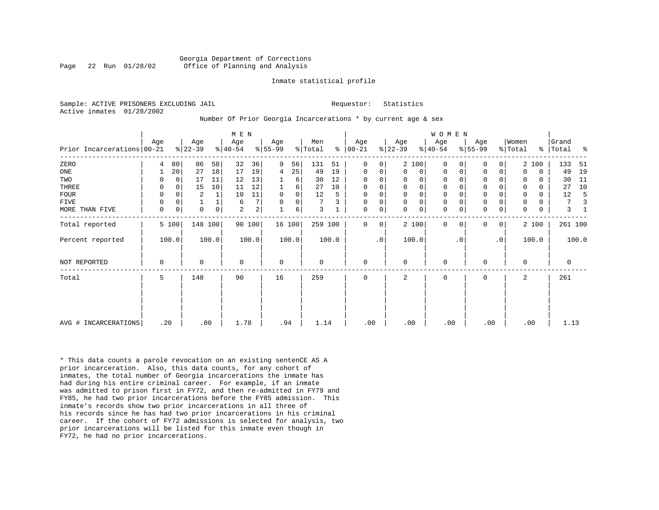#### Georgia Department of Corrections Page 22 Run 01/28/02 Office of Planning and Analysis

#### Inmate statistical profile

Sample: ACTIVE PRISONERS EXCLUDING JAIL **Requestor:** Statistics Active inmates 01/28/2002

#### Number Of Prior Georgia Incarcerations \* by current age & sex

|                            |             |             |                 |             | M E N            |                |                 |                |                |       |                      |                |                  |                | WOMEN            |           |                  |           |                  |             |                |       |
|----------------------------|-------------|-------------|-----------------|-------------|------------------|----------------|-----------------|----------------|----------------|-------|----------------------|----------------|------------------|----------------|------------------|-----------|------------------|-----------|------------------|-------------|----------------|-------|
| Prior Incarcerations 00-21 | Age         |             | Age<br>$ 22-39$ |             | Age<br>$ 40-54 $ |                | Age<br>$ 55-99$ |                | Men<br>% Total |       | Age<br>$8   00 - 21$ |                | Age<br>$ 22-39 $ |                | Age<br>$8 40-54$ |           | Age<br>$ 55-99 $ |           | Women<br>% Total | ွေ          | Grand<br>Total | ႜ     |
| ZERO                       | 4           | 80          | 86              | 58          | 32               | 36             | 9               | 56             | 131            | 51    | $\Omega$             | $\overline{0}$ |                  | 2 100          | $\Omega$         |           | $\mathbf{0}$     | 0         |                  | 2 100       | 133            | 51    |
| ONE                        |             | 20          | 27              | 18          | 17               | 19             | 4               | 25             | 49             | 19    | 0                    | 0              | $\Omega$         | $\overline{0}$ | $\Omega$         | 0         | 0                | 0         | $\Omega$         | $\mathbf 0$ | 49             | 19    |
| TWO                        | 0           | 0           | 17              | 11          | 12               | 13             |                 | $6 \mid$       | 30             | 12    | 0                    | 0              | $\Omega$         | 0              | 0                |           | 0                |           | 0                | 0           | 30             | 11    |
| THREE                      | $\Omega$    | $\mathbf 0$ | 15              | 10          | 11               | 12             |                 | 6              | 27             | 10    | $\mathbf 0$          | 0              | $\mathbf{0}$     | 0 <sup>1</sup> | $\mathbf 0$      |           | $\mathbf 0$      | 0         | $\Omega$         | 0           | 27             | 10    |
| <b>FOUR</b>                | 0           | $\Omega$    | 2               |             | 10               | 11             | $\mathbf 0$     | $\overline{0}$ | 12             | 5     | 0                    | 0              | $\mathbf 0$      | $\mathbf 0$    | 0                |           | $\mathbf 0$      |           | $\mathbf 0$      | 0           | 12             |       |
| <b>FIVE</b>                | 0           | 0           |                 |             | 6                | 7 <sup>1</sup> |                 | 0              | 7              |       | 0                    | 0              | $\Omega$         | 0 <sup>1</sup> | 0                |           | $\mathsf 0$      | 0         | $\mathbf 0$      | 0           | 7              |       |
| MORE THAN FIVE             | $\mathbf 0$ | $\mathbf 0$ | $\Omega$        | $\mathbf 0$ | $\overline{a}$   | 2 <sup>1</sup> |                 | 6              | 3              |       | $\mathbf 0$          | 0              | $\Omega$         | 0 <sup>1</sup> | $\mathbf 0$      | 0         | $\mathbf 0$      | 0         | $\Omega$         | $\mathbf 0$ | 3              |       |
| Total reported             |             | 5 100       | 148 100         |             |                  | 90 100         |                 | 16 100         | 259 100        |       | $\Omega$             | $\overline{0}$ |                  | 2 100          | $\Omega$         | $\Omega$  | $\mathbf 0$      | 0         |                  | 2 100       | 261 100        |       |
| Percent reported           |             | 100.0       |                 | 100.0       |                  | 100.0          |                 | 100.0          |                | 100.0 |                      | $\cdot$ 0      |                  | 100.0          |                  | $\cdot$ 0 |                  | $\cdot$ 0 |                  | 100.0       |                | 100.0 |
| NOT REPORTED               | 0           |             | 0               |             | $\mathbf 0$      |                | $\mathbf 0$     |                | $\mathbf 0$    |       | 0                    |                | $\Omega$         |                | $\mathbf 0$      |           | 0                |           | $\Omega$         |             | 0              |       |
| Total                      | 5           |             | 148             |             | 90               |                | 16              |                | 259            |       | 0                    |                | 2                |                | 0                |           | 0                |           | 2                |             | 261            |       |
|                            |             |             |                 |             |                  |                |                 |                |                |       |                      |                |                  |                |                  |           |                  |           |                  |             |                |       |
| AVG # INCARCERATIONS       | .20         |             | .80             |             | 1.78             |                | .94             |                | 1.14           |       | .00                  |                | .00              |                | .00              |           | .00              |           |                  | .00         | 1.13           |       |

\* This data counts a parole revocation on an existing sentenCE AS A prior incarceration. Also, this data counts, for any cohort of inmates, the total number of Georgia incarcerations the inmate has had during his entire criminal career. For example, if an inmate was admitted to prison first in FY72, and then re-admitted in FY79 and FY85, he had two prior incarcerations before the FY85 admission. This inmate's records show two prior incarcerations in all three of his records since he has had two prior incarcerations in his criminal career. If the cohort of FY72 admissions is selected for analysis, two prior incarcerations will be listed for this inmate even though in FY72, he had no prior incarcerations.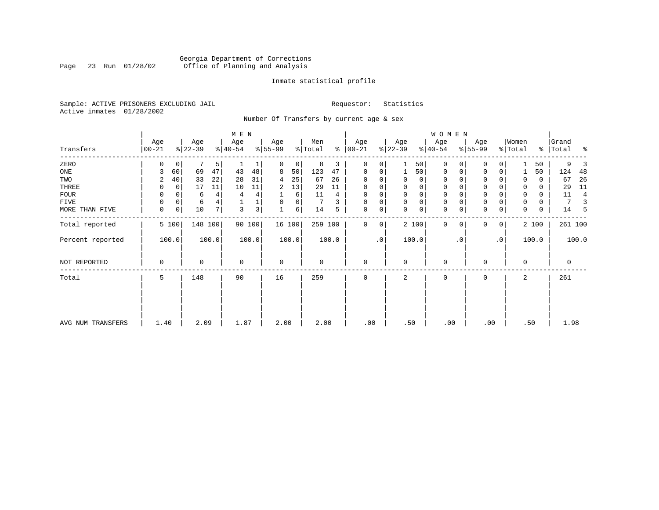### Georgia Department of Corrections<br>Page 23 Run 01/28/02 Office of Planning and Analysis Page 23 Run 01/28/02 Office of Planning and Analysis

#### Inmate statistical profile

Sample: ACTIVE PRISONERS EXCLUDING JAIL **Requestor:** Statistics Active inmates 01/28/2002

Number Of Transfers by current age & sex

|                   |                |                  | M E N               |                  |                     |                   |                  | W O M E N               |                            |                              |                         |
|-------------------|----------------|------------------|---------------------|------------------|---------------------|-------------------|------------------|-------------------------|----------------------------|------------------------------|-------------------------|
| Transfers         | Age<br>  00-21 | Age<br>$ 22-39 $ | Age<br>$ 40-54 $    | Age<br>$ 55-99 $ | Men<br>% Total<br>៖ | Age<br>$ 00 - 21$ | Age<br>$ 22-39 $ | Age<br>$ 40-54 $        | Age<br>$ 55-99 $           | Women<br>$\frac{1}{2}$ Total | Grand<br>%   Total<br>ႜ |
| ZERO              | 0              | 5<br>0           |                     | 0<br>0           | 8<br>3              | 0<br>0            | 50               | $\mathbf 0$<br>$\Omega$ | 0                          | 50                           | 9                       |
| ONE               | 60<br>3        | 69<br>47         | 43<br>48            | 8<br>50          | 123<br>47           | 0<br>0            | 50               | 0<br>0                  | $\mathbf 0$<br>0           | 50                           | 124<br>-48              |
| TWO               | 40<br>2        | 33<br>22         | 28<br>31            | 25<br>4          | 67<br>26            | $\Omega$          | 0<br>0           | 0                       | $\Omega$                   | 0<br>0                       | 26<br>67                |
| THREE             | 0              | 0<br>17<br>11    | 10<br>11            | 13<br>2          | 29<br>11            | $\Omega$          | 0<br>0           | 0                       | 0                          | 0                            | 11<br>29                |
| FOUR              | 0              | 4<br>6           | 4<br>4              | 6                | 11<br>4             | $\Omega$          | 0<br>$\Omega$    | $\mathbf 0$             | $\Omega$                   | 0<br>$\Omega$                | 11<br>4                 |
| FIVE              | 0              | 0<br>4<br>6      |                     | 0<br>0           | 3                   | $\Omega$<br>0     | 0<br>$\Omega$    | 0                       | $\mathbf 0$                | 0<br>$\Omega$                |                         |
| MORE THAN FIVE    | 0              | 10<br>7<br>0     | 3 <sup>1</sup><br>3 | 1<br>6           | 14<br>5             | 0<br>0            | 0<br>$\Omega$    | $\mathbf 0$<br>$\Omega$ | $\Omega$<br>0              | $\Omega$<br>0                | 14<br>5                 |
| Total reported    | 5 100          | 148 100          | 90 100              | 16 100           | 259 100             | 0<br>0            | 2 100            | 0<br>$\Omega$           | $\overline{0}$<br>$\Omega$ | 2 100                        | 261 100                 |
| Percent reported  | 100.0          | 100.0            | 100.0               | 100.0            | 100.0               | $\cdot$ 0         | 100.0            | . 0                     | $\cdot$ 0                  | 100.0                        | 100.0                   |
| NOT REPORTED      | 0              | 0                | $\mathbf 0$         | 0                | 0                   | $\mathbf 0$       | $\Omega$         | $\mathbf 0$             | $\Omega$                   | $\mathbf 0$                  | 0                       |
| Total             | 5              | 148              | 90                  | 16               | 259                 | $\mathbf 0$       | 2                | $\mathbf 0$             | 0                          | 2                            | 261                     |
|                   |                |                  |                     |                  |                     |                   |                  |                         |                            |                              |                         |
| AVG NUM TRANSFERS | 1.40           | 2.09             | 1.87                | 2.00             | 2.00                | .00               | .50              | .00                     | .00                        | .50                          | 1.98                    |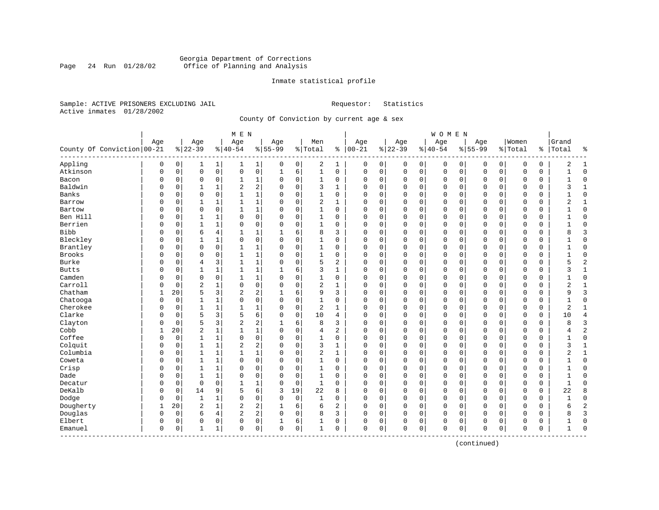#### Georgia Department of Corrections<br>Page 24 Run 01/28/02 Office of Planning and Analysis Page 24 Run 01/28/02 Office of Planning and Analysis

#### Inmate statistical profile

Sample: ACTIVE PRISONERS EXCLUDING JAIL **Requestor:** Statistics Active inmates 01/28/2002

County Of Conviction by current age & sex

|                              |          |                |                |              | M E N          |                |             |             |                |                |               |             |              |             | WOMEN     |             |              |             |             |          |                |                |
|------------------------------|----------|----------------|----------------|--------------|----------------|----------------|-------------|-------------|----------------|----------------|---------------|-------------|--------------|-------------|-----------|-------------|--------------|-------------|-------------|----------|----------------|----------------|
|                              | Age      |                | Age            |              | Age            |                | Age         |             | Men            |                | Age           |             | Age          |             | Age       |             | Age          |             | Women       |          | Grand          |                |
| County Of Conviction   00-21 |          |                | $8 22-39$      |              | $8 40-54$      |                | $8 55-99$   |             | % Total        |                | $8   00 - 21$ |             | $ 22-39$     |             | $8 40-54$ |             | $8155 - 99$  |             | % Total     | %        | Total          | နွ             |
| Appling                      | 0        | $\overline{0}$ | 1              | $\mathbf{1}$ | 1              | 1              | 0           | 0           | 2              | 1              | 0             | $\mathbf 0$ | 0            | 0           | 0         | 0           | 0            | 0           | 0           | 0        | 2              | 1              |
| Atkinson                     | 0        | 0              | $\mathbf{0}$   | $\mathsf{O}$ | 0              | 0              | $\mathbf 1$ | 6           | $\mathbf 1$    | 0              | $\mathbf 0$   | 0           | $\mathbf 0$  | $\mathsf 0$ | 0         | $\mathbf 0$ | $\mathbf 0$  | $\mathsf 0$ | $\mathbf 0$ | 0        | $\mathbf{1}$   | $\Omega$       |
| Bacon                        | 0        | 0              | $\mathbf 0$    | 0            | $\mathbf{1}$   | 1              | $\Omega$    | 0           | 1              | 0              | $\Omega$      | 0           | 0            | 0           | 0         | 0           | 0            | 0           | 0           | 0        |                | $\Omega$       |
| Baldwin                      | O        | 0              |                | 1            | 2              | 2              | $\Omega$    | $\mathbf 0$ | 3              | 1              | $\Omega$      | 0           | $\mathbf 0$  | 0           | 0         | $\mathbf 0$ | 0            | 0           | 0           | $\Omega$ | 3              | 1              |
| Banks                        | O        | $\Omega$       | $\Omega$       | $\Omega$     | $\mathbf{1}$   | $\mathbf{1}$   | $\Omega$    | $\Omega$    | $\mathbf{1}$   | $\Omega$       | $\Omega$      | $\Omega$    | $\Omega$     | $\Omega$    | $\Omega$  | $\Omega$    | $\Omega$     | $\Omega$    | $\Omega$    | $\Omega$ |                | $\Omega$       |
| Barrow                       | 0        | $\Omega$       | $\mathbf{1}$   | $\mathbf{1}$ | $\mathbf{1}$   | $\mathbf 1$    | $\Omega$    | $\Omega$    | 2              | $\mathbf{1}$   | $\Omega$      | 0           | $\mathbf 0$  | 0           | $\Omega$  | $\mathbf 0$ | $\Omega$     | $\Omega$    | $\Omega$    | 0        | 2              | $\mathbf{1}$   |
| Bartow                       | O        | 0              | $\mathbf 0$    | $\mathbf 0$  | $\mathbf{1}$   | 1              | $\Omega$    | $\mathsf 0$ | $\mathbf{1}$   | 0              | $\Omega$      | 0           | $\mathbf{0}$ | $\mathbf 0$ | $\Omega$  | $\mathbf 0$ | $\Omega$     | $\mathbf 0$ | $\mathbf 0$ | 0        |                | $\Omega$       |
| Ben Hill                     | O        | 0              | 1              | 1            | $\Omega$       | 0              | $\Omega$    | 0           | 1              | 0              | 0             | 0           | 0            | 0           | 0         | 0           | $\Omega$     | 0           | $\mathbf 0$ | 0        |                | $\Omega$       |
| Berrien                      | O        | 0              | $\mathbf{1}$   | 1            | 0              | 0              | $\Omega$    | 0           | 1              | 0              | $\Omega$      | 0           | $\mathbf 0$  | 0           | 0         | $\mathbf 0$ | $\mathbf 0$  | $\mathbf 0$ | 0           | 0        |                | $\Omega$       |
| <b>Bibb</b>                  | O        | 0              | 6              | 4            | 1              | 1              |             | 6           | 8              | 3              | $\Omega$      | 0           | $\Omega$     | 0           | $\Omega$  | $\mathbf 0$ | $\Omega$     | $\Omega$    | $\mathbf 0$ | $\Omega$ | 8              | 3              |
| Bleckley                     | O        | 0              | $\mathbf{1}$   | $\mathbf{1}$ | $\Omega$       | 0              | $\Omega$    | $\Omega$    | $\mathbf{1}$   | $\Omega$       | $\Omega$      | 0           | $\Omega$     | $\mathbf 0$ | $\Omega$  | $\mathbf 0$ | $\Omega$     | $\Omega$    | $\mathbf 0$ | $\Omega$ |                | $\Omega$       |
| Brantley                     | 0        | $\Omega$       | $\mathbf 0$    | $\mathbf 0$  | $\mathbf{1}$   | 1              | $\Omega$    | $\Omega$    | $\mathbf{1}$   | 0              | $\Omega$      | 0           | $\mathbf 0$  | $\mathbf 0$ | $\Omega$  | $\mathbf 0$ | $\Omega$     | $\Omega$    | $\mathbf 0$ | 0        |                | $\Omega$       |
| Brooks                       | U        | 0              | 0              | $\mathbf 0$  | $\mathbf{1}$   | 1              | $\Omega$    | 0           | 1              | 0              | 0             | 0           | $\mathbf 0$  | 0           | 0         | $\mathbf 0$ | 0            | $\mathbf 0$ | $\mathbf 0$ | 0        |                | $\mathbf 0$    |
| Burke                        | U        | 0              | $\overline{4}$ | 3            | $\mathbf{1}$   | 1              | O           | 0           | 5              | 2              | 0             | 0           | $\Omega$     | 0           | 0         | 0           | 0            | 0           | $\mathbf 0$ | 0        | 5              | $\overline{c}$ |
| <b>Butts</b>                 | U        | 0              | 1              | 1            | $\mathbf{1}$   | 1              |             | 6           | 3              | 1              | $\Omega$      | 0           | $\mathbf 0$  | 0           | 0         | 0           | 0            | 0           | 0           | 0        | ς              | 1              |
| Camden                       | O        | $\Omega$       | $\mathbf 0$    | $\Omega$     | 1              | 1              | $\Omega$    | $\mathbf 0$ | 1              | 0              | $\Omega$      | 0           | $\mathbf 0$  | 0           | $\Omega$  | $\mathbf 0$ | $\Omega$     | $\Omega$    | $\mathbf 0$ | $\Omega$ |                | $\Omega$       |
| Carroll                      | O        | 0              | $\overline{2}$ | $\mathbf{1}$ | $\Omega$       | 0              | $\Omega$    | $\Omega$    | $\overline{c}$ | 1              | $\Omega$      | $\Omega$    | $\Omega$     | 0           | $\Omega$  | $\mathbf 0$ | $\Omega$     | $\Omega$    | $\Omega$    | $\Omega$ | $\overline{2}$ | $\mathbf{1}$   |
| Chatham                      | 1        | 20             | 5              | 3            | 2              | 2              | -1          | 6           | 9              | 3              | $\Omega$      | 0           | $\mathbf 0$  | 0           | 0         | $\mathbf 0$ | $\Omega$     | $\Omega$    | $\mathbf 0$ | 0        | q              | $\overline{3}$ |
| Chatooga                     | 0        | 0              | 1              | $\mathbf{1}$ | $\Omega$       | 0              | $\Omega$    | 0           | 1              | 0              | 0             | 0           | $\mathbf 0$  | $\mathbf 0$ | 0         | $\mathbf 0$ | 0            | $\mathbf 0$ | $\mathbf 0$ | 0        |                | $\mathbf 0$    |
| Cherokee                     | U        | 0              | $\mathbf{1}$   | $\mathbf{1}$ | $\mathbf{1}$   | 1              | O           | 0           | 2              | $\mathbf{1}$   | 0             | 0           | 0            | 0           | 0         | 0           | 0            | 0           | $\mathbf 0$ | 0        | 2              | $\mathbf{1}$   |
| Clarke                       | O        | 0              | 5              | 3            | 5              | 6              | $\Omega$    | 0           | 10             | 4              | $\Omega$      | 0           | $\mathbf 0$  | 0           | 0         | $\mathbf 0$ | $\mathbf 0$  | 0           | $\mathbf 0$ | 0        | 10             | $\overline{4}$ |
| Clayton                      | U        | 0              | 5              | 3            | $\overline{c}$ | 2              |             | 6           | 8              | 3              | $\Omega$      | 0           | $\mathbf 0$  | 0           | $\Omega$  | 0           | $\Omega$     | $\Omega$    | $\mathbf 0$ | 0        |                | $\overline{3}$ |
| Cobb                         | 1        | 20             | $\overline{2}$ | $\mathbf{1}$ | $\mathbf{1}$   | $\mathbf 1$    | $\Omega$    | $\Omega$    | 4              | 2              | $\Omega$      | $\Omega$    | $\mathbf 0$  | $\mathbf 0$ | $\Omega$  | $\mathbf 0$ | $\Omega$     | $\Omega$    | $\mathbf 0$ | 0        | 4              | $\overline{2}$ |
| Coffee                       | 0        | 0              | $\mathbf{1}$   | $\mathbf{1}$ | 0              | 0              | $\mathbf 0$ | $\mathbf 0$ | 1              | 0              | $\Omega$      | 0           | $\mathbf 0$  | 0           | 0         | $\mathbf 0$ | $\Omega$     | $\Omega$    | $\mathbf 0$ | 0        | $\mathbf{1}$   | $\mathbf 0$    |
| Colquit                      | 0        | 0              | 1              | $\mathbf 1$  | $\overline{c}$ | 2              | $\Omega$    | 0           | 3              | 1              | 0             | 0           | $\mathbf 0$  | $\mathbf 0$ | 0         | $\mathbf 0$ | 0            | $\mathbf 0$ | $\mathbf 0$ | 0        | 3              | $\mathbf{1}$   |
| Columbia                     | O        | 0              | 1              | $\mathbf{1}$ | $\mathbf{1}$   | $\mathbf 1$    | $\Omega$    | 0           | 2              | $\mathbf{1}$   | 0             | 0           | $\Omega$     | 0           | 0         | $\mathbf 0$ | $\mathbf 0$  | 0           | 0           | 0        | 2              | $\mathbf{1}$   |
| Coweta                       | 0        | 0              | 1              | 1            | 0              | 0              | $\Omega$    | 0           | 1              | 0              | $\Omega$      | 0           | $\mathbf 0$  | 0           | 0         | $\mathbf 0$ | $\mathbf 0$  | 0           | $\mathbf 0$ | 0        |                | $\mathbf 0$    |
| Crisp                        | O        | 0              | $\mathbf{1}$   | 1            | $\Omega$       | 0              | $\Omega$    | $\mathbf 0$ | 1              | $\Omega$       | $\Omega$      | 0           | $\mathbf 0$  | 0           | 0         | 0           | 0            | 0           | 0           | 0        |                | $\Omega$       |
| Dade                         | O        | 0              | $\mathbf{1}$   | 1            | 0              | 0              | $\Omega$    | $\Omega$    | $\mathbf{1}$   | $\Omega$       | $\Omega$      | O           | $\mathbf{0}$ | 0           | $\Omega$  | $\mathbf 0$ | $\Omega$     | $\Omega$    | $\mathbf 0$ | 0        |                | $\Omega$       |
| Decatur                      | 0        | 0              | $\mathbf 0$    | $\mathbf 0$  | $\mathbf{1}$   | 1              | $\Omega$    | $\mathbf 0$ | $\mathbf{1}$   | 0              | $\Omega$      | 0           | $\mathbf 0$  | 0           | 0         | $\mathbf 0$ | $\Omega$     | $\Omega$    | 0           | 0        | 1              | $\Omega$       |
| DeKalb                       | 0        | 0              | 14             | 9            | 5              | 6              | 3           | 19          | 22             | 8              | 0             | 0           | $\mathbf 0$  | $\mathbf 0$ | 0         | $\mathbf 0$ | 0            | 0           | $\mathbf 0$ | 0        | 22             | 8              |
| Dodge                        | 0        | 0              | 1              | 1            | 0              | 0              | $\Omega$    | 0           | 1              | 0              | 0             | 0           | $\mathbf 0$  | 0           | 0         | $\mathbf 0$ | $\mathbf 0$  | 0           | 0           | 0        |                | $\Omega$       |
| Dougherty                    | 1        | 20             | $\overline{2}$ | $\mathbf{1}$ | $\overline{2}$ | 2              | 1           | 6           | 6              | $\overline{2}$ | $\Omega$      | 0           | $\mathbf{0}$ | $\mathbf 0$ | $\Omega$  | $\mathbf 0$ | $\mathbf{0}$ | $\mathbf 0$ | $\Omega$    | 0        | 6              | $\overline{2}$ |
| Douglas                      | $\Omega$ | 0              | 6              | 4            | $\overline{c}$ | $\overline{c}$ | $\Omega$    | $\mathbf 0$ | 8              | 3              | $\mathbf 0$   | 0           | $\mathbf 0$  | $\mathbf 0$ | 0         | 0           | 0            | $\mathbf 0$ | 0           | 0        |                | 3              |
| Elbert                       | 0        | 0              | 0              | 0            | 0              | 0              |             | 6           | 1              | 0              | 0             | 0           | $\Omega$     | 0           | 0         | 0           | 0            | 0           | 0           | 0        |                | $\Omega$       |
| Emanuel                      | 0        | 0              | 1              | 1            | 0              | 0              | $\mathbf 0$ | 0           | 1              | 0              | $\mathbf{0}$  | 0           | 0            | $\mathbf 0$ | 0         | 0           | $\mathbf 0$  | 0           | $\mathbf 0$ | 0        |                | $\Omega$       |
| --------------               |          |                |                |              |                |                |             |             |                |                |               |             |              |             |           |             |              |             |             |          |                |                |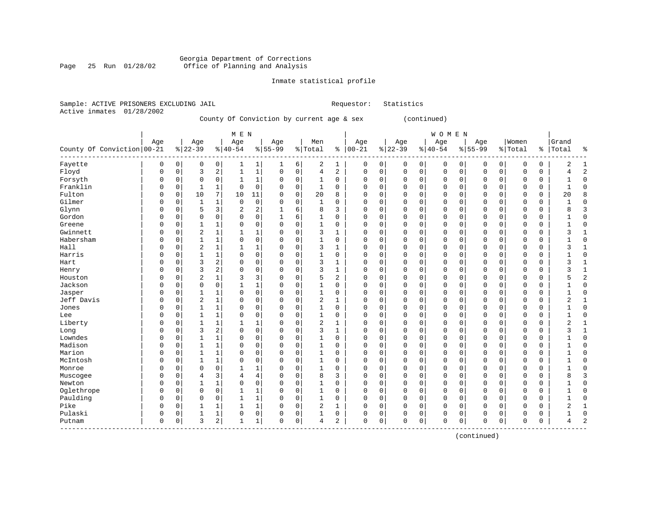### Georgia Department of Corrections<br>Page 25 Run 01/28/02 Office of Planning and Analysis Page 25 Run 01/28/02 Office of Planning and Analysis

#### Inmate statistical profile

|                           | Sample: ACTIVE PRISONERS EXCLUDING JAIL | Requestor: Statistics |  |
|---------------------------|-----------------------------------------|-----------------------|--|
| Active inmates 01/28/2002 |                                         |                       |  |

## County Of Conviction by current age & sex (continued)

|                            |             |             |                |                | M E N          |                         |             |             |                |              |            |          |          |             | <b>WOMEN</b> |             |             |          |              |               |              |                |
|----------------------------|-------------|-------------|----------------|----------------|----------------|-------------------------|-------------|-------------|----------------|--------------|------------|----------|----------|-------------|--------------|-------------|-------------|----------|--------------|---------------|--------------|----------------|
|                            | Age         |             | Age            |                | Age            |                         | Age         |             | Men            |              | Age        |          | Age      |             | Age          |             | Age         |          | Women        |               | Grand        |                |
| County Of Conviction 00-21 |             |             | $ 22-39$       |                | $8 40-54$      |                         | $8 55-99$   |             | % Total        | ႜ            | $ 00 - 21$ |          | $ 22-39$ |             | $ 40-54$     |             | $8 55-99$   |          | % Total      | $\frac{1}{6}$ | Total        | ಕಿ             |
| Fayette                    | 0           | 0           | 0              | 0              | 1              | 1                       | 1           | 6           | 2              | 1            | 0          | 0        | 0        | 0           | 0            | 0           | 0           | 0        | 0            | 0             | 2            | 1              |
| Floyd                      | $\Omega$    | 0           | 3              | 2              | $\mathbf{1}$   | 1                       | $\mathbf 0$ | $\mathbf 0$ | $\overline{4}$ | 2            | $\Omega$   | 0        | $\Omega$ | $\mathbf 0$ | 0            | $\mathbf 0$ | $\mathbf 0$ | 0        | $\mathbf 0$  | 0             |              | $\overline{2}$ |
| Forsyth                    | $\Omega$    | 0           | $\Omega$       | 0              | 1              | 1                       | $\Omega$    | 0           | 1              | 0            | $\Omega$   | 0        | $\Omega$ | 0           | 0            | $\mathbf 0$ | $\Omega$    | 0        | $\Omega$     | 0             |              | $\Omega$       |
| Franklin                   | $\Omega$    | $\Omega$    | $\mathbf{1}$   | 1              | $\Omega$       | $\mathbf 0$             | $\Omega$    | $\mathbf 0$ | 1              | $\Omega$     | $\Omega$   | $\Omega$ | $\Omega$ | $\Omega$    | 0            | $\Omega$    | $\Omega$    | $\Omega$ | $\Omega$     | 0             | $\mathbf{1}$ | $\Omega$       |
| Fulton                     | $\Omega$    | $\mathbf 0$ | 10             | 7              | 10             | 11                      | $\Omega$    | $\mathbf 0$ | 20             | 8            | U          | $\Omega$ | $\Omega$ | $\mathbf 0$ | 0            | $\mathbf 0$ | $\Omega$    | 0        | $\Omega$     | 0             | 20           | $\mathsf{R}$   |
| Gilmer                     | $\Omega$    | $\mathbf 0$ | 1              | $\mathbf 1$    | $\mathbf 0$    | 0                       | 0           | $\mathbf 0$ | 1              | $\mathbf 0$  | 0          | 0        | $\Omega$ | $\mathsf 0$ | 0            | $\mathsf 0$ | $\Omega$    | 0        | $\mathbf 0$  | 0             |              | $\Omega$       |
| Glynn                      | $\Omega$    | 0           | 5              | 3              | $\overline{2}$ | $\overline{\mathbf{c}}$ | 1           | 6           | 8              | 3            | $\Omega$   | 0        | $\Omega$ | $\mathbf 0$ | 0            | $\mathbf 0$ | $\Omega$    | 0        | $\mathbf 0$  | 0             |              | 3              |
| Gordon                     | $\Omega$    | 0           | 0              | 0              | $\Omega$       | 0                       |             | 6           | 1              | $\mathbf 0$  | C          | 0        |          | 0           | 0            | $\Omega$    | $\Omega$    | 0        | 0            | 0             |              | $\Omega$       |
| Greene                     | $\Omega$    | $\Omega$    | $\mathbf{1}$   | 1              | $\Omega$       | 0                       | $\Omega$    | $\mathbf 0$ | $1\,$          | 0            | $\cap$     | 0        | $\Omega$ | $\Omega$    | 0            | $\mathbf 0$ | $\Omega$    | 0        | 0            | 0             |              | $\Omega$       |
| Gwinnett                   | $\Omega$    | $\Omega$    | $\overline{2}$ | 1              | 1              | 1                       | $\Omega$    | 0           | 3              | 1            | $\Omega$   | 0        | $\Omega$ | 0           | 0            | $\mathbf 0$ | $\Omega$    | 0        | $\Omega$     | 0             | ς            | $\mathbf{1}$   |
| Habersham                  | $\Omega$    | $\Omega$    | $\mathbf{1}$   | 1              | $\Omega$       | 0                       | $\Omega$    | $\mathbf 0$ | $\mathbf{1}$   | $\mathbf 0$  | $\Omega$   | 0        | $\Omega$ | $\mathbf 0$ | 0            | 0           | $\Omega$    | 0        | 0            | 0             |              | $\Omega$       |
| Hall                       | $\Omega$    | O           | $\overline{2}$ | $\mathbf{1}$   | 1              | 1                       | $\Omega$    | $\mathbf 0$ | 3              | $\mathbf{1}$ | $\Omega$   | 0        | $\Omega$ | $\Omega$    | 0            | $\Omega$    | $\Omega$    | 0        | $\Omega$     | 0             | ς            | 1              |
| Harris                     | $\Omega$    | U           | $\mathbf{1}$   | $\mathbf 1$    | $\Omega$       | $\mathbf 0$             | $\Omega$    | $\mathbf 0$ | $\mathbf 1$    | 0            | $\Omega$   | 0        | $\Omega$ | 0           | 0            | $\Omega$    | $\Omega$    | $\Omega$ | $\Omega$     | 0             |              | $\Omega$       |
| Hart                       | $\Omega$    | $\Omega$    | 3              | 2              | $\Omega$       | $\mathbf 0$             | $\Omega$    | $\Omega$    | 3              | $\mathbf{1}$ | 0          | $\Omega$ | $\Omega$ | $\Omega$    | 0            | $\Omega$    | $\Omega$    | $\Omega$ | $\Omega$     | 0             | 3            |                |
| Henry                      | $\Omega$    | O           | 3              | 2              | $\Omega$       | $\mathbf 0$             | 0           | $\mathbf 0$ | 3              | 1            | 0          | 0        | $\Omega$ | 0           | 0            | $\Omega$    | $\Omega$    | $\Omega$ | $\Omega$     | 0             | 3            | 1              |
| Houston                    | $\Omega$    | $\Omega$    | $\overline{2}$ | $\mathbf 1$    | 3              | 3                       | 0           | $\mathbf 0$ | 5              | 2            | C          | 0        | $\Omega$ | 0           | 0            | $\Omega$    | $\Omega$    | 0        | 0            | 0             | Ҕ            | $\overline{c}$ |
| Jackson                    | $\Omega$    | $\Omega$    | $\Omega$       | 0              | $\mathbf{1}$   | 1                       | $\Omega$    | $\mathbf 0$ | $\mathbf{1}$   | $\mathbf 0$  | $\Omega$   | 0        | $\Omega$ | $\mathsf 0$ | $\Omega$     | $\mathbf 0$ | $\Omega$    | 0        | $\mathbf 0$  | 0             |              | $\Omega$       |
| Jasper                     | $\Omega$    | $\Omega$    | $\mathbf{1}$   | $\mathbf 1$    | $\Omega$       | $\mathbf 0$             | $\Omega$    | $\mathbf 0$ | $\mathbf{1}$   | $\mathbf 0$  | $\Omega$   | 0        | $\Omega$ | $\Omega$    | 0            | $\mathbf 0$ | $\Omega$    | 0        | $\mathbf 0$  | 0             |              | $\Omega$       |
| Jeff Davis                 | $\Omega$    | $\mathbf 0$ | 2              | $\mathbf 1$    | $\Omega$       | $\mathbf 0$             | $\Omega$    | $\mathbf 0$ | 2              | $\mathbf{1}$ | $\Omega$   | 0        | $\Omega$ | 0           | 0            | $\mathbf 0$ | $\Omega$    | 0        | 0            | 0             | 2            | $\mathbf{1}$   |
| Jones                      | $\Omega$    | O           |                | 1              | $\Omega$       | 0                       | $\Omega$    | $\mathbf 0$ | 1              | $\Omega$     | 0          | 0        | $\Omega$ | 0           | 0            | $\mathbf 0$ | $\Omega$    | $\Omega$ | $\Omega$     | 0             |              | $\Omega$       |
| Lee                        | $\Omega$    | 0           | $\mathbf{1}$   | $\mathbf 1$    | $\Omega$       | 0                       | $\Omega$    | $\mathbf 0$ | 1              | $\Omega$     | $\Omega$   | 0        | $\Omega$ | 0           | 0            | $\mathbf 0$ | $\Omega$    | 0        | $\Omega$     | 0             |              | $\Omega$       |
| Liberty                    | $\Omega$    | $\Omega$    | $\mathbf{1}$   | 1              |                | 1                       | $\Omega$    | 0           | $\overline{2}$ | 1            | $\Omega$   | 0        | $\Omega$ | $\Omega$    | 0            | $\Omega$    | $\Omega$    | 0        | $\Omega$     | 0             |              | -1             |
| Long                       | $\Omega$    | $\Omega$    | 3              | 2              | $\Omega$       | 0                       | $\Omega$    | $\mathbf 0$ | 3              | $\mathbf 1$  | O          | $\Omega$ | $\Omega$ | $\mathbf 0$ | 0            | $\Omega$    | $\Omega$    | $\Omega$ | $\Omega$     | 0             | κ            | $\mathbf{1}$   |
| Lowndes                    | $\Omega$    | $\Omega$    | $\mathbf{1}$   | $\mathbf 1$    | $\Omega$       | $\mathbf 0$             | $\Omega$    | $\mathbf 0$ | $\mathbf 1$    | 0            | 0          | 0        | $\Omega$ | $\mathbf 0$ | 0            | $\mathbf 0$ | $\Omega$    | 0        | $\mathbf 0$  | 0             |              | $\Omega$       |
| Madison                    | $\Omega$    | $\Omega$    | 1              | 1              | $\Omega$       | $\mathbf 0$             | 0           | $\mathbf 0$ | 1              | $\mathbf 0$  | 0          | 0        | $\Omega$ | $\mathbf 0$ | 0            | 0           | 0           | 0        | 0            | 0             |              | $\Omega$       |
| Marion                     | $\Omega$    | 0           | $\mathbf{1}$   | $\mathbf 1$    | $\Omega$       | 0                       | 0           | $\mathbf 0$ | $\mathbf 1$    | $\mathbf 0$  | 0          | 0        | $\Omega$ | $\mathbf 0$ | 0            | $\Omega$    | $\Omega$    | 0        | $\Omega$     | 0             |              | $\Omega$       |
| McIntosh                   | $\Omega$    | 0           | $\mathbf{1}$   | $\mathbf 1$    | $\Omega$       | 0                       | 0           | $\mathbf 0$ | $\mathbf 1$    | $\Omega$     | $\Omega$   | 0        | $\Omega$ | $\Omega$    | 0            | $\mathbf 0$ | $\Omega$    | $\Omega$ | $\Omega$     | 0             |              | $\Omega$       |
| Monroe                     | $\Omega$    | $\Omega$    | $\Omega$       | 0              | 1              | 1                       | 0           | 0           | $\mathbf 1$    | $\Omega$     | $\Omega$   | 0        | $\Omega$ | $\Omega$    | 0            | 0           | $\Omega$    | 0        | 0            | 0             |              | $\Omega$       |
| Muscogee                   | $\Omega$    | $\Omega$    | 4              | 3              | 4              | $\overline{4}$          | $\Omega$    | $\mathbf 0$ | 8              | 3            | $\Omega$   | 0        | $\Omega$ | 0           | 0            | $\mathbf 0$ | $\Omega$    | 0        | $\Omega$     | 0             |              | 3              |
| Newton                     | $\Omega$    | O           | 1              | $\mathbf 1$    | $\Omega$       | $\mathbf 0$             | 0           | $\mathbf 0$ | 1              | 0            | $\Omega$   | 0        | $\Omega$ | 0           | 0            | 0           | $\Omega$    | 0        | 0            | 0             |              | $\Omega$       |
| Oglethrope                 | $\Omega$    | 0           | 0              | 0              | 1              | $\mathbf 1$             | $\Omega$    | $\mathbf 0$ | 1              | 0            | $\Omega$   | 0        | $\Omega$ | $\Omega$    | 0            | 0           | $\Omega$    | 0        | 0            | 0             |              | $\Omega$       |
| Paulding                   | $\Omega$    | O           | $\Omega$       | 0              | $\mathbf{1}$   | $\mathbf 1$             | $\Omega$    | $\Omega$    | $\mathbf 1$    | $\Omega$     | $\Omega$   | $\Omega$ | $\Omega$ | $\Omega$    | 0            | $\Omega$    | $\Omega$    | $\Omega$ | $\Omega$     | 0             |              | $\Omega$       |
| Pike                       | $\Omega$    | $\Omega$    |                | 1              | 1              | 1                       | $\Omega$    | $\mathbf 0$ | $\overline{2}$ | 1            | $\Omega$   | $\Omega$ | $\Omega$ | $\Omega$    | 0            | $\Omega$    | $\Omega$    | $\Omega$ | $\Omega$     | 0             | 2            | $\mathbf{1}$   |
| Pulaski                    | $\Omega$    | $\Omega$    | 1              | $\mathbf{1}$   | $\Omega$       | 0                       | $\Omega$    | 0           | 1              | 0            | 0          | 0        | $\Omega$ | 0           | 0            | $\Omega$    | $\Omega$    | 0        | $\Omega$     | 0             |              | $\Omega$       |
| Putnam                     | $\mathbf 0$ | 0           | 3              | $\overline{a}$ |                | 1                       | $\Omega$    | $\mathbf 0$ | 4              | 2            | $\Omega$   | 0        | $\Omega$ | $\mathbf 0$ | $\Omega$     | 0           | $\mathbf 0$ | 0        | $\mathbf{0}$ | 0             | 4            | $\overline{2}$ |

------------------------------------------------------------------------------------------------------------------------------------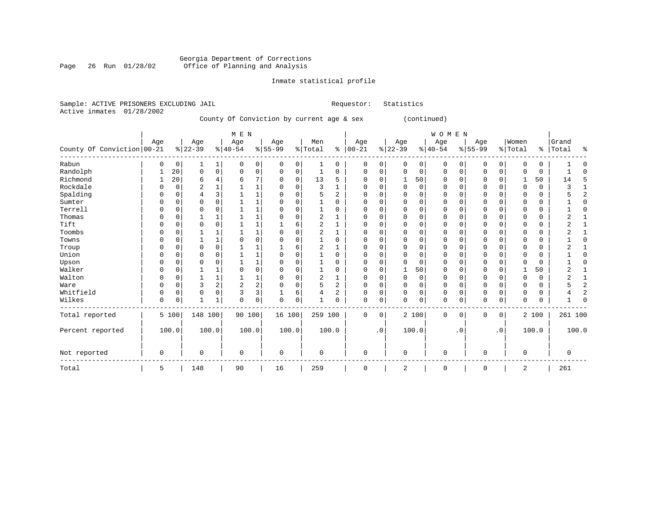#### Georgia Department of Corrections Page 26 Run 01/28/02 Office of Planning and Analysis

## Inmate statistical profile

|  | Sample: ACTIVE PRISONERS EXCLUDING JAIL |     |                                           |     |     | Requestor: | Statistics |              |     |         |       |
|--|-----------------------------------------|-----|-------------------------------------------|-----|-----|------------|------------|--------------|-----|---------|-------|
|  | Active inmates 01/28/2002               |     |                                           |     |     |            |            |              |     |         |       |
|  |                                         |     | County Of Conviction by current age & sex |     |     |            |            | (continued)  |     |         |       |
|  |                                         |     |                                           |     |     |            |            |              |     |         |       |
|  |                                         |     | M E N                                     |     |     |            |            | <b>WOMEN</b> |     |         |       |
|  | Age                                     | Age | Aqe                                       | Age | Men | Age        | Age        | Aqe          | Age | ' Women | Grand |
|  | .                                       | .   |                                           | .   |     | .          |            |              | .   |         |       |

| County Of Conviction   00-21 |            |          | $ 22-39$    |             | $ 40-54$       |                | $ 55-99$ |       | %   Total      |                | $8   00 - 21$ |           | $ 22-39$ |                      | $ 40-54$     |           | $8 55-99$   |           | % Total     |       | %   Total   | ႜ        |
|------------------------------|------------|----------|-------------|-------------|----------------|----------------|----------|-------|----------------|----------------|---------------|-----------|----------|----------------------|--------------|-----------|-------------|-----------|-------------|-------|-------------|----------|
| Rabun                        | $\Omega$   | 0        | 1           | 1           | $\Omega$       | 0 <sup>1</sup> | 0        | 0     |                | 0              | 0             | 0         |          | $\circ$<br>0         | 0            | $\Omega$  | 0           | 0         | $\Omega$    | 0     |             | O        |
| Randolph                     |            | 20       | $\mathbf 0$ | $\mathbf 0$ | $\Omega$       | 0 <sup>1</sup> | 0        | 0     |                | $\Omega$       | 0             | 0         |          | $\Omega$<br>0        | $\Omega$     | 0         | $\Omega$    | $\Omega$  | O           | 0     |             | $\Omega$ |
| Richmond                     |            | 20       | 6           | 4           | 6              | 7              |          | 0     | 13             | 5              | $\Omega$      | 0         |          | 50                   | <sup>0</sup> |           | $\Omega$    |           |             | 50    | 14          |          |
| Rockdale                     | $\Omega$   | $\Omega$ | 2           |             |                |                |          |       | ζ              |                | $\Omega$      | O         |          | $\Omega$<br>$\Omega$ | U            |           | $\Omega$    |           | $\Omega$    | 0     |             |          |
| Spalding                     | C          |          | 4           | 3           |                |                |          | U     |                | $\overline{c}$ | O             | $\Omega$  |          | $\cap$               | U            |           | $\Omega$    |           | C           | 0     |             | 2        |
| Sumter                       |            |          | $\Omega$    |             |                |                |          |       |                |                | $\Omega$      |           |          |                      | U            |           | $\Omega$    |           | C           | 0     |             |          |
| Terrell                      |            |          | 0           |             |                |                |          |       |                |                | O             | O         |          | O                    | O            |           | $\Omega$    |           | C           | 0     |             |          |
| Thomas                       | $\Omega$   |          |             |             |                |                |          |       |                |                | O             | O         |          |                      | O            |           | $\Omega$    |           | C           | 0     |             |          |
| Tift                         | $\sqrt{ }$ |          | 0           | O           |                |                |          | б     | $\overline{c}$ |                | U             | O         |          | $\cap$               | U            |           | $\Omega$    |           | C           | 0     |             |          |
| Toombs                       |            |          |             |             |                |                |          |       |                |                | O             | O         |          |                      | U            |           | $\Omega$    |           |             | 0     |             |          |
| Towns                        |            |          |             |             |                | $\Omega$       |          |       |                |                |               | O         |          |                      |              |           | 0           |           | C           | 0     |             |          |
| Troup                        | $\Omega$   |          | $\Omega$    |             |                |                |          |       | $\overline{a}$ |                | O             | 0         |          | $\cap$               | U            |           | $\Omega$    |           | C           | 0     |             |          |
| Union                        |            |          | $\Omega$    | O           |                | 1              |          |       |                | $\Omega$       |               | O         |          | $\Omega$             |              |           |             |           |             | 0     |             |          |
| Upson                        |            |          | O           | O           |                |                |          |       |                | U              | O             | O         |          | $\Omega$             | U            |           | $\Omega$    |           | C           | 0     |             |          |
| Walker                       |            |          |             |             |                | $\mathbf 0$    |          |       |                | 0              |               | 0         |          | 50                   | 0            |           |             |           |             | 50    | z.          |          |
| Walton                       | $\Omega$   |          |             |             |                | 1              |          |       | $\overline{c}$ |                | $\Omega$      | 0         |          | $\Omega$             | O            |           | $\Omega$    |           | C           | 0     |             |          |
| Ware                         | $\Omega$   | 0        | 3           | 2           | $\overline{2}$ | $\overline{2}$ |          | U     |                | 2              | $\Omega$      | 0         |          | $\Omega$             | 0            |           | $\Omega$    |           |             | 0     |             | 2        |
| Whitfield                    | $\Omega$   | 0        | $\Omega$    | 0           | 3              | 3              |          | 6     |                | ◠<br>z.        | $\Omega$      | 0         |          | $\Omega$<br>$\Omega$ | $\Omega$     |           | $\Omega$    |           | $\Omega$    | 0     |             | 2        |
| Wilkes                       | 0          | 0        | 1           |             | 0              | 0              | 0        | 0     |                | O              | $\Omega$      | 0         |          | 0                    | 0            |           | 0           | 0         | $\Omega$    | 0     |             |          |
| Total reported               |            | 5 100    | 148 100     |             |                | 90 100         | 16 100   |       |                | 259 100        | 0             | 0         |          | 2 100                | 0            | 0         | 0           | 0         |             | 2 100 | 261 100     |          |
| Percent reported             |            | 100.0    | 100.0       |             |                | 100.0          |          | 100.0 |                | 100.0          |               | $\cdot$ 0 |          | 100.0                |              | $\cdot$ 0 |             | $\cdot$ 0 |             | 100.0 | 100.0       |          |
| Not reported                 | 0          |          | 0           |             | $\mathbf 0$    |                | 0        |       | $\mathbf 0$    |                | 0             |           |          | $\mathbf 0$          | 0            |           | $\mathbf 0$ |           | $\mathbf 0$ |       | $\mathbf 0$ |          |
| Total                        | 5          |          | 148         |             | 90             |                | 16       |       | 259            |                | 0             |           |          | 2                    | 0            |           | 0           |           | 2           |       | 261         |          |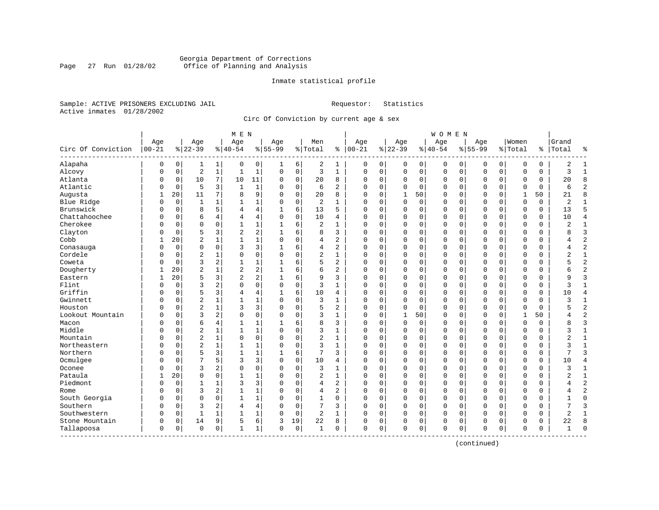#### Georgia Department of Corrections<br>Page 27 Run 01/28/02 Office of Planning and Analysis Page 27 Run 01/28/02 Office of Planning and Analysis

#### Inmate statistical profile

Sample: ACTIVE PRISONERS EXCLUDING JAIL **Requestor:** Statistics Active inmates 01/28/2002

Circ Of Conviction by current age & sex

|                           |                   |             |                  |                | M E N            |                |                  |             |                |                |                      |          |                  |             | <b>WOMEN</b>     |             |                  |             |                  |             |                |                |
|---------------------------|-------------------|-------------|------------------|----------------|------------------|----------------|------------------|-------------|----------------|----------------|----------------------|----------|------------------|-------------|------------------|-------------|------------------|-------------|------------------|-------------|----------------|----------------|
| Circ Of Conviction        | Age<br>$ 00 - 21$ |             | Age<br>$8 22-39$ |                | Age<br>$8 40-54$ |                | Age<br>$8 55-99$ |             | Men<br>% Total |                | Age<br>$8   00 - 21$ |          | Age<br>$8 22-39$ |             | Age<br>$8 40-54$ |             | Age<br>$8 55-99$ |             | Women<br>% Total | ႜ           | Grand<br>Total | ႜ              |
| Alapaha                   | 0                 | $\mathbf 0$ | 1                | 1              | 0                | 0              | 1                | 6           | 2              | 1              | $\Omega$             | 0        | $\Omega$         | 0           | $\Omega$         | 0           | $\Omega$         | $\mathbf 0$ | $\Omega$         | $\mathbf 0$ | $\overline{2}$ | $\mathbf{1}$   |
| Alcovy                    | $\Omega$          | $\mathbf 0$ | $\overline{2}$   | $\mathbf{1}$   | $\mathbf{1}$     | $\mathbf{1}$   | $\Omega$         | $\mathbf 0$ | 3              | $\mathbf{1}$   | $\mathbf{0}$         | 0        | $\Omega$         | $\mathbf 0$ | $\mathbf 0$      | $\mathbf 0$ | $\Omega$         | $\mathbf 0$ | $\Omega$         | $\mathbf 0$ | 3              | $\mathbf{1}$   |
| Atlanta                   | 0                 | 0           | 10               | 7              | 10               | 11             | $\Omega$         | 0           | 20             | 8              | $\Omega$             | 0        | $\Omega$         | 0           | 0                | 0           | $\Omega$         | 0           | 0                | 0           | 20             | 8              |
| Atlantic                  | 0                 | 0           | 5                | 3              | $\mathbf{1}$     | $\mathbf{1}$   | n                | $\mathbf 0$ | 6              | $\overline{2}$ | $\Omega$             | 0        | $\Omega$         | $\Omega$    | 0                | $\mathbf 0$ | $\Omega$         | $\mathbf 0$ | $\Omega$         | $\Omega$    | 6              | $\overline{c}$ |
| Augusta                   | 1                 | 20          | 11               | 7              | 8                | 9              | $\Omega$         | $\mathbf 0$ | 20             | 8              | $\Omega$             | 0        | 1                | 50          | 0                | $\Omega$    | $\Omega$         | $\Omega$    | 1                | 50          | 21             | 8              |
| Blue Ridge                | $\Omega$          | $\mathbf 0$ | 1                | 1              | 1                | $\mathbf 1$    | $\Omega$         | $\mathbf 0$ | 2              | 1              | 0                    | 0        | $\Omega$         | 0           | 0                | 0           | $\Omega$         | $\mathbf 0$ | $\Omega$         | 0           | 2              | $\mathbf{1}$   |
| Brunswick                 | 0                 | $\mathbf 0$ | 8                | 5              | 4                | 4              | $\mathbf{1}$     | 6           | 13             | 5              | $\Omega$             | 0        | $\Omega$         | $\mathbf 0$ | $\Omega$         | $\mathbf 0$ | $\Omega$         | $\mathbf 0$ | $\Omega$         | 0           | 13             | 5              |
| Chattahoochee             | N                 | 0           | 6                | 4              | 4                | 4              | $\Omega$         | $\Omega$    | 10             | 4              | $\Omega$             | 0        | $\Omega$         | 0           | 0                | $\mathbf 0$ | $\Omega$         | $\Omega$    | $\Omega$         | 0           | 10             | $\overline{4}$ |
| Cherokee                  | N                 | 0           | $\Omega$         | 0              | $\mathbf{1}$     | $\mathbf 1$    |                  | 6           | 2              | 1              | $\Omega$             | 0        | $\Omega$         | 0           | 0                | 0           | $\Omega$         | 0           | $\Omega$         | 0           | 2              | $\mathbf{1}$   |
| Clayton                   | O                 | 0           | 5                | 3              | $\overline{2}$   | $\overline{a}$ | $\mathbf{1}$     | 6           | 8              | 3              | $\Omega$             | 0        | $\Omega$         | $\mathbf 0$ | 0                | $\mathbf 0$ | $\Omega$         | 0           | $\Omega$         | 0           | 8              | $\overline{3}$ |
| Cobb                      | 1                 | 20          | $\overline{2}$   | 1              | $\mathbf{1}$     | $\mathbf{1}$   | $\mathbf 0$      | $\Omega$    | 4              | $\overline{a}$ | $\Omega$             | 0        | $\Omega$         | $\mathbf 0$ | 0                | $\Omega$    | $\Omega$         | $\Omega$    | $\mathbf 0$      | 0           | 4              | $\overline{2}$ |
| Conasauga                 | $\Omega$          | $\Omega$    | $\mathbf 0$      | $\Omega$       | 3                | 3              | 1                | 6           | 4              | 2              | $\Omega$             | 0        | $\Omega$         | $\Omega$    | $\Omega$         | $\Omega$    | $\Omega$         | $\Omega$    | $\Omega$         | 0           | 4              | $\overline{2}$ |
| Cordele                   | N                 | $\mathbf 0$ | $\overline{2}$   | $\mathbf{1}$   | $\Omega$         | 0              | $\Omega$         | $\mathbf 0$ | $\overline{c}$ | $\mathbf{1}$   | $\Omega$             | 0        | $\Omega$         | $\mathbf 0$ | $\Omega$         | $\Omega$    | $\Omega$         | $\Omega$    | $\Omega$         | 0           | $\overline{2}$ | $\mathbf{1}$   |
| Coweta                    | N                 | 0           | $\overline{3}$   | $\overline{c}$ | $\mathbf{1}$     | $\mathbf 1$    | -1               | 6           | 5              | $\overline{a}$ | $\Omega$             | 0        | $\Omega$         | $\Omega$    | $\Omega$         | $\Omega$    | $\Omega$         | $\Omega$    | $\Omega$         | 0           | 5              | $\overline{2}$ |
| Dougherty                 |                   | 20          | $\overline{2}$   |                | $\overline{2}$   | 2              |                  | 6           | 6              | 2              | $\Omega$             | 0        | $\Omega$         | $\mathbf 0$ | 0                | $\Omega$    | $\Omega$         | 0           | $\Omega$         | 0           | б              | $\overline{2}$ |
| Eastern                   | 1                 | 20          | 5                | 3              | $\overline{2}$   | $\overline{a}$ | -1               | 6           | 9              | 3              | $\Omega$             | 0        | $\Omega$         | 0           | 0                | $\Omega$    | $\Omega$         | 0           | $\Omega$         | 0           | 9              | 3              |
| Flint                     | $\Omega$          | $\Omega$    | 3                | 2              | $\Omega$         | $\Omega$       | $\Omega$         | $\Omega$    | 3              | $\mathbf{1}$   | $\Omega$             | 0        | $\Omega$         | $\Omega$    | $\Omega$         | $\Omega$    | $\Omega$         | $\Omega$    | $\Omega$         | 0           | 3              | $\mathbf{1}$   |
| Griffin                   | O                 | $\Omega$    | 5                | 3              | 4                | 4              | 1                | 6           | 10             | 4              | $\Omega$             | $\Omega$ | $\Omega$         | $\Omega$    | $\Omega$         | $\Omega$    | $\Omega$         | $\Omega$    | $\Omega$         | 0           | 10             | $\overline{4}$ |
| Gwinnett                  | N                 | 0           | $\overline{2}$   | $\mathbf{1}$   | $\mathbf{1}$     | $\mathbf{1}$   | $\Omega$         | $\mathbf 0$ | 3              | $\mathbf{1}$   | $\Omega$             | 0        | $\Omega$         | $\mathbf 0$ | $\Omega$         | $\mathbf 0$ | $\Omega$         | $\mathbf 0$ | $\Omega$         | 0           | 3              | $\mathbf{1}$   |
| Houston                   | U                 | 0           | $\overline{2}$   | $\mathbf{1}$   | 3                | 3              | $\Omega$         | $\mathbf 0$ | 5              | $\overline{a}$ | $\Omega$             | 0        | $\Omega$         | $\mathbf 0$ | $\Omega$         | $\mathbf 0$ | $\Omega$         | $\Omega$    | $\Omega$         | 0           |                | $\overline{2}$ |
| Lookout Mountain          | U                 | 0           | $\overline{3}$   | 2              | $\Omega$         | 0              | $\Omega$         | 0           | 3              | 1              | $\Omega$             | 0        |                  | 50          | 0                | 0           | $\Omega$         | 0           | 1                | 50          | 4              | $\overline{2}$ |
| Macon                     | O                 | $\Omega$    | 6                | 4              | $\mathbf{1}$     | $\mathbf 1$    |                  | 6           | 8              | 3              | $\Omega$             | 0        | $\Omega$         | $\Omega$    | $\Omega$         | $\Omega$    | $\Omega$         | $\Omega$    | $\Omega$         | $\Omega$    | 8              | 3              |
| Middle                    | N                 | $\Omega$    | $\overline{2}$   | $\mathbf{1}$   | $\mathbf{1}$     | $\mathbf{1}$   | $\Omega$         | $\Omega$    | 3              | $\mathbf{1}$   | $\Omega$             | 0        | $\Omega$         | $\Omega$    | $\Omega$         | $\Omega$    | $\Omega$         | $\Omega$    | $\Omega$         | 0           | 3              | $\mathbf{1}$   |
| Mountain                  | N                 | $\Omega$    | $\overline{2}$   | $\mathbf{1}$   | $\Omega$         | 0              | $\Omega$         | $\Omega$    | $\overline{c}$ | $\mathbf{1}$   | $\Omega$             | 0        | $\Omega$         | $\Omega$    | 0                | $\Omega$    | $\Omega$         | $\Omega$    | $\Omega$         | 0           | 2              | $\mathbf{1}$   |
| Northeastern              | N                 | $\mathbf 0$ | $\overline{2}$   | $\mathbf{1}$   | $\mathbf{1}$     | $\mathbf 1$    | $\Omega$         | $\mathbf 0$ | 3              | $\mathbf{1}$   | $\Omega$             | 0        | $\Omega$         | $\mathbf 0$ | $\Omega$         | $\Omega$    | $\Omega$         | $\mathbf 0$ | $\Omega$         | 0           | 3              | $\mathbf{1}$   |
| Northern                  | N                 | 0           | 5                | 3              | $\mathbf 1$      | $\mathbf 1$    | 1                | 6           | 7              | 3              | $\Omega$             | 0        | $\Omega$         | 0           | 0                | $\mathbf 0$ | $\Omega$         | $\mathbf 0$ | $\Omega$         | 0           |                | $\overline{3}$ |
| Ocmulgee                  | N                 | 0           | 7                | 5              | 3                | 3              | $\mathbf 0$      | 0           | 10             | 4              | $\Omega$             | 0        | $\Omega$         | 0           | 0                | 0           | $\Omega$         | 0           | $\Omega$         | 0           | 10             | 4              |
| Oconee                    | N                 | $\Omega$    | 3                | $\overline{a}$ | $\Omega$         | 0              | $\Omega$         | $\Omega$    | 3              | $\mathbf{1}$   | $\Omega$             | 0        | $\Omega$         | $\Omega$    | $\Omega$         | $\Omega$    | $\Omega$         | $\Omega$    | $\Omega$         | 0           | 3              | $\mathbf{1}$   |
| Pataula                   | 1                 | 20          | $\Omega$         | $\Omega$       | $\mathbf{1}$     | $\mathbf{1}$   | $\Omega$         | $\Omega$    | $\overline{2}$ | $\mathbf{1}$   | $\Omega$             | 0        | $\Omega$         | $\Omega$    | O                | $\Omega$    | $\Omega$         | $\Omega$    | $\bigcap$        | 0           | $\overline{a}$ | $\mathbf{1}$   |
| Piedmont                  | 0                 | $\mathbf 0$ | 1                | 1              | 3                | 3              | O                | $\Omega$    | 4              | $\overline{a}$ | $\Omega$             | 0        | $\Omega$         | $\Omega$    | 0                | $\Omega$    | $\Omega$         | $\Omega$    | $\Omega$         | 0           | 4              | $\overline{2}$ |
| Rome                      | N                 | 0           | 3                | $\overline{c}$ | $\mathbf{1}$     | $\mathbf 1$    |                  | $\mathbf 0$ | 4              | $\overline{c}$ | $\Omega$             | 0        | $\Omega$         | $\mathbf 0$ | 0                | $\Omega$    | $\Omega$         | $\mathbf 0$ | $\Omega$         | 0           | 4              | $\overline{2}$ |
| South Georgia             | N                 | 0           | $\Omega$         | 0              | $\mathbf{1}$     | $\mathbf 1$    | n                | 0           | $\mathbf 1$    | $\Omega$       | $\Omega$             | 0        | $\Omega$         | 0           | 0                | $\mathbf 0$ | $\Omega$         | $\mathbf 0$ | $\Omega$         | 0           | 1              | $\mathbf 0$    |
| Southern                  | 0                 | 0           | 3                | 2              | 4                | 4              | $\Omega$         | $\mathbf 0$ | 7              | 3              | $\Omega$             | 0        | $\Omega$         | $\Omega$    | $\Omega$         | $\mathbf 0$ | $\Omega$         | $\Omega$    | $\Omega$         | 0           | 7              | 3              |
| Southwestern              | O                 | 0           | 1                | $\mathbf{1}$   | 1                | 1              | $\Omega$         | $\mathbf 0$ | $\overline{c}$ | $\mathbf{1}$   | $\Omega$             | 0        | $\Omega$         | $\mathbf 0$ | $\Omega$         | $\Omega$    | $\Omega$         | $\mathbf 0$ | $\Omega$         | $\Omega$    | $\overline{a}$ | $\mathbf{1}$   |
| Stone Mountain            | 0                 | 0           | 14               | 9              | 5                | 6              | 3                | 19          | 22             | 8              | $\Omega$             | 0        | $\Omega$         | 0           | 0                | $\mathbf 0$ | $\Omega$         | $\Omega$    | $\Omega$         | 0           | 22             | 8              |
| Tallapoosa<br>----------- | 0                 | 0           | $\Omega$         | 0              | $\mathbf{1}$     | $\mathbf{1}$   | $\mathbf 0$      | 0           | $\mathbf{1}$   | 0              | $\mathbf 0$          | 0        | $\Omega$         | $\mathsf 0$ | $\Omega$         | 0           | 0                | $\mathsf 0$ | $\Omega$         | 0           |                | $\cap$         |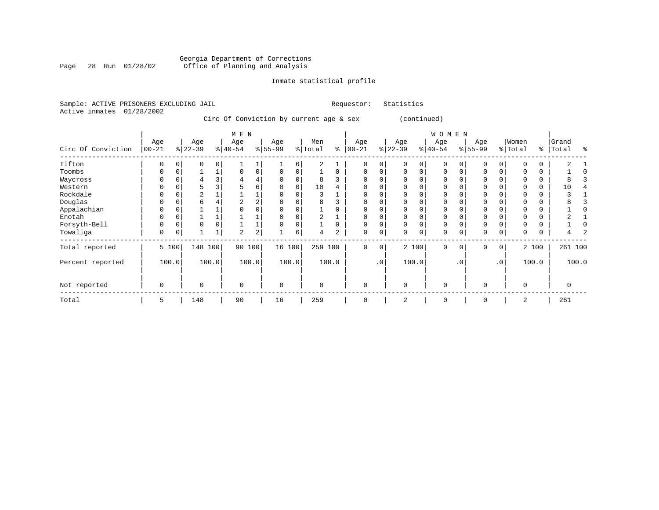#### Georgia Department of Corrections Page 28 Run 01/28/02 Office of Planning and Analysis

## Inmate statistical profile

Statistics

|  | Sample: ACTIVE PRISONERS EXCLUDING JAIL |  |                                         |  |  | Requestor: |  |
|--|-----------------------------------------|--|-----------------------------------------|--|--|------------|--|
|  | Active inmates 01/28/2002               |  |                                         |  |  |            |  |
|  |                                         |  | Circ Of Conviction by current age & sex |  |  |            |  |

|                    |                  |       |                  |         | $M$ E $N$        |                |                  |          |                |          |                   |           |                 |          | WOMEN           |           |                  |                 |                  |          |                |       |
|--------------------|------------------|-------|------------------|---------|------------------|----------------|------------------|----------|----------------|----------|-------------------|-----------|-----------------|----------|-----------------|-----------|------------------|-----------------|------------------|----------|----------------|-------|
| Circ Of Conviction | Age<br>$00 - 21$ |       | Age<br>$ 22-39 $ |         | Age<br>$8 40-54$ |                | Age<br>$8 55-99$ |          | Men<br>% Total | နွ       | Age<br>$ 00 - 21$ |           | Age<br>$ 22-39$ |          | Age<br>$ 40-54$ |           | Age<br>$8 55-99$ |                 | Women<br>% Total | %        | Grand<br>Total | န္    |
| Tifton             | O                |       | $\Omega$         |         |                  |                |                  | 6        | 2              |          | $\Omega$          | 0         |                 | $\Omega$ | $\Omega$        |           | $\Omega$         |                 |                  | 0        | 2              |       |
| Toombs             | $\Omega$         |       |                  |         | $\Omega$         | 0              | O                |          |                | 0        | $\Omega$          | 0         |                 | $\Omega$ | $\Omega$        |           | 0                |                 |                  | 0        |                |       |
| Waycross           |                  |       | 4                |         | 4                | 4              |                  |          | 8              |          | $\Omega$          |           |                 |          | 0               |           | 0                |                 |                  | 0        | 8              |       |
| Western            | U                |       |                  |         |                  | 6              | O                | $\Omega$ | 10             |          | $\Omega$          |           |                 | $\Omega$ | $\Omega$        |           | $\Omega$         |                 |                  | $\Omega$ | 10             |       |
| Rockdale           |                  |       |                  |         |                  |                |                  |          |                |          |                   |           |                 |          |                 |           | $\Omega$         |                 |                  | 0        |                |       |
| Douglas            |                  |       | 6                |         |                  | $\overline{2}$ |                  |          | 8              |          |                   |           |                 |          |                 |           | 0                |                 |                  | 0        |                |       |
| Appalachian        | U                |       |                  |         |                  |                |                  |          |                |          | 0                 |           |                 | $\Omega$ | $\Omega$        |           | 0                |                 |                  | 0        |                |       |
| Enotah             | O                |       |                  |         |                  |                |                  |          |                |          | $\Omega$          |           |                 |          | 0               |           | 0                |                 |                  | 0        |                |       |
| Forsyth-Bell       | 0                |       | 0                |         |                  |                |                  |          |                | $\Omega$ | $\Omega$          |           |                 | 0        | $\Omega$        |           | $\mathbf 0$      |                 |                  | 0        |                |       |
| Towaliga           | 0                |       |                  |         | 2                | $\overline{c}$ |                  | 6        | 4              | 2        | 0                 | 0         |                 | 0        | 0               |           | $\mathbf 0$      |                 | 0                | 0        |                |       |
| Total reported     |                  | 5 100 |                  | 148 100 | 90               | 100            | 16 100           |          | 259 100        |          | 0                 | 0         |                 | 2 100    | $\mathbf 0$     | $\Omega$  | $\mathbf{0}$     | $\mathbf 0$     |                  | 2 100    | 261 100        |       |
| Percent reported   |                  | 100.0 |                  | 100.0   |                  | 100.0          |                  | 100.0    |                | 100.0    |                   | $\cdot$ 0 |                 | 100.0    |                 | $\cdot$ 0 |                  | .0 <sup>1</sup> |                  | 100.0    |                | 100.0 |
| Not reported       | 0                |       | $\mathbf 0$      |         | 0                |                | $\mathbf 0$      |          | $\Omega$       |          | $\mathbf 0$       |           | $\Omega$        |          | $\mathbf 0$     |           | 0                |                 | $\Omega$         |          | 0              |       |
| Total              | 5                |       | 148              |         | 90               |                | 16               |          | 259            |          | 0                 |           | 2               |          | 0               |           | $\mathbf 0$      |                 | 2                |          | 261            |       |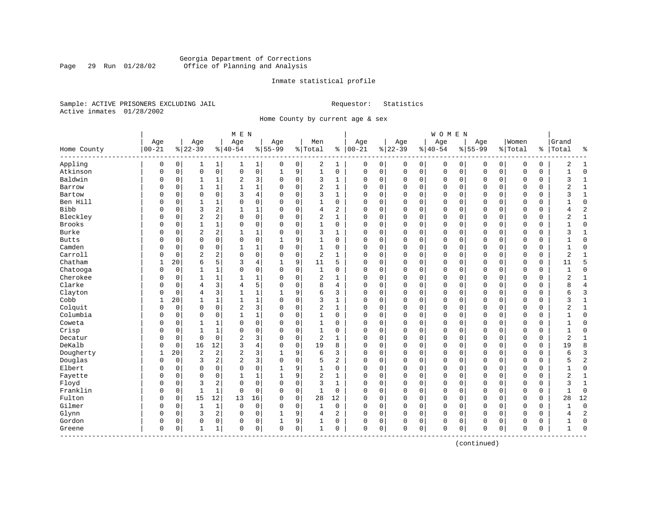#### Georgia Department of Corrections<br>Page 29 Run 01/28/02 Office of Planning and Analysis Page 29 Run 01/28/02 Office of Planning and Analysis

#### Inmate statistical profile

Sample: ACTIVE PRISONERS EXCLUDING JAIL **Requestor:** Statistics Active inmates 01/28/2002

Home County by current age & sex

| Age<br>Age<br>Women<br>Age<br>Age<br>Age<br>Men<br>Age<br>Age<br>Age<br>$00 - 21$<br>$8   00 - 21$<br>$ 22-39$<br>$8 22-39$<br>$8 40-54$<br>$8155 - 99$<br>% Total<br>$8 40-54$<br>$8155 - 99$<br>% Total<br>Home County<br>%  <br>Appling<br>0<br>2<br>0<br>0<br>$\mathbf 0$<br>0<br>0<br>0<br>$\mathbf{1}$<br>1 <br>0<br>1<br>0<br>0<br>0<br>0<br>0<br>1<br>0<br>1<br>Atkinson<br>$\mathbf{0}$<br>$\mathsf{O}$<br>0<br>0<br>$\mathbf{1}$<br>9<br>$\mathbf{1}$<br>$\mathbf 0$<br>0<br>$\mathsf 0$<br>0<br>$\mathbf 0$<br>$\mathbf 0$<br>$\mathsf 0$<br>$\mathbf 0$<br>$\Omega$<br>0<br>0<br>$\mathbf 0$<br>0<br>Baldwin<br>3<br>2<br>$\mathbf 0$<br>3<br>0<br>$\mathbf 0$<br>$\mathbf 0$<br>$\mathbf 0$<br>0<br>0<br>1<br>$\Omega$<br>1<br>$\Omega$<br>$\mathbf 0$<br>0<br>0<br>$\mathbf 0$<br>0<br>1<br>$\mathbf 1$<br>$\overline{c}$<br>$\mathbf 1$<br>$\mathbf 0$<br>0<br>$\Omega$<br>Barrow<br>O<br>0<br>1<br>$\Omega$<br>1<br>$\Omega$<br>0<br>$\mathbf 0$<br>$\Omega$<br>0<br>0<br>0<br>0<br>1<br>3<br>4<br>3<br>Bartow<br>0<br>$\mathbf 0$<br>$\Omega$<br>$\Omega$<br>1<br>$\Omega$<br>0<br>$\mathbf 0$<br>0<br>$\Omega$<br>$\mathbf 0$<br>$\Omega$<br>$\Omega$<br>$\mathbf 0$<br>0<br>O<br>$\Omega$<br>Ben Hill<br>0<br>1<br>0<br>0<br>1<br>0<br>0<br>0<br>$\mathbf 0$<br>0<br>0<br>$\mathbf 0$<br>0<br>0<br>$\mathbf 0$<br>0<br>0<br>0<br>1<br>$\Omega$ | Grand<br>Total<br>နွ<br>2<br>1<br>$\Omega$<br>$\mathbf{1}$<br>$\mathbf{1}$<br>ζ<br>$\overline{2}$<br>1<br>ζ<br>1<br>$\mathbf{0}$<br>$\overline{2}$<br>4<br>$1\,$<br>$\overline{2}$ |
|-------------------------------------------------------------------------------------------------------------------------------------------------------------------------------------------------------------------------------------------------------------------------------------------------------------------------------------------------------------------------------------------------------------------------------------------------------------------------------------------------------------------------------------------------------------------------------------------------------------------------------------------------------------------------------------------------------------------------------------------------------------------------------------------------------------------------------------------------------------------------------------------------------------------------------------------------------------------------------------------------------------------------------------------------------------------------------------------------------------------------------------------------------------------------------------------------------------------------------------------------------------------------------------------------------------------------------------------------------------------|------------------------------------------------------------------------------------------------------------------------------------------------------------------------------------|
|                                                                                                                                                                                                                                                                                                                                                                                                                                                                                                                                                                                                                                                                                                                                                                                                                                                                                                                                                                                                                                                                                                                                                                                                                                                                                                                                                                   |                                                                                                                                                                                    |
|                                                                                                                                                                                                                                                                                                                                                                                                                                                                                                                                                                                                                                                                                                                                                                                                                                                                                                                                                                                                                                                                                                                                                                                                                                                                                                                                                                   |                                                                                                                                                                                    |
|                                                                                                                                                                                                                                                                                                                                                                                                                                                                                                                                                                                                                                                                                                                                                                                                                                                                                                                                                                                                                                                                                                                                                                                                                                                                                                                                                                   |                                                                                                                                                                                    |
|                                                                                                                                                                                                                                                                                                                                                                                                                                                                                                                                                                                                                                                                                                                                                                                                                                                                                                                                                                                                                                                                                                                                                                                                                                                                                                                                                                   |                                                                                                                                                                                    |
|                                                                                                                                                                                                                                                                                                                                                                                                                                                                                                                                                                                                                                                                                                                                                                                                                                                                                                                                                                                                                                                                                                                                                                                                                                                                                                                                                                   |                                                                                                                                                                                    |
|                                                                                                                                                                                                                                                                                                                                                                                                                                                                                                                                                                                                                                                                                                                                                                                                                                                                                                                                                                                                                                                                                                                                                                                                                                                                                                                                                                   |                                                                                                                                                                                    |
|                                                                                                                                                                                                                                                                                                                                                                                                                                                                                                                                                                                                                                                                                                                                                                                                                                                                                                                                                                                                                                                                                                                                                                                                                                                                                                                                                                   |                                                                                                                                                                                    |
|                                                                                                                                                                                                                                                                                                                                                                                                                                                                                                                                                                                                                                                                                                                                                                                                                                                                                                                                                                                                                                                                                                                                                                                                                                                                                                                                                                   |                                                                                                                                                                                    |
| <b>Bibb</b><br>3<br>2<br>1<br>$\mathbf 0$<br>2<br>0<br>0<br>$\mathbf 0$<br>$\Omega$<br>0<br>$\mathbf{1}$<br>4<br>$\Omega$<br>$\mathbf{0}$<br>$\Omega$<br>$\mathbf 0$<br>$\Omega$<br>$\mathbf 0$<br>0<br>$\Omega$                                                                                                                                                                                                                                                                                                                                                                                                                                                                                                                                                                                                                                                                                                                                                                                                                                                                                                                                                                                                                                                                                                                                                  |                                                                                                                                                                                    |
| $\overline{2}$<br>Bleckley<br>$\overline{a}$<br>$\overline{c}$<br>$\mathbf{1}$<br>0<br>0<br>$\mathbf 0$<br>$\Omega$<br>0<br>$\mathbf{0}$<br>$\mathbf 0$<br>$\Omega$<br>$\mathbf 0$<br>$\Omega$<br>0<br>$\Omega$<br>O<br>0<br>$\Omega$<br>0                                                                                                                                                                                                                                                                                                                                                                                                                                                                                                                                                                                                                                                                                                                                                                                                                                                                                                                                                                                                                                                                                                                        |                                                                                                                                                                                    |
| <b>Brooks</b><br>0<br>$\mathbf 0$<br>$\mathbf{1}$<br>$\mathbf{0}$<br>0<br>$\mathbf 0$<br>$\Omega$<br>$\mathbf{0}$<br>$\mathbf 0$<br>O<br>0<br>$\mathbf{1}$<br>1<br>0<br>$\Omega$<br>0<br>$\mathbf 0$<br>$\mathbf 0$<br>$\mathbf 0$<br>0                                                                                                                                                                                                                                                                                                                                                                                                                                                                                                                                                                                                                                                                                                                                                                                                                                                                                                                                                                                                                                                                                                                           | $\mathbf{0}$                                                                                                                                                                       |
| $\overline{2}$<br>$\overline{a}$<br>Burke<br>1<br>$\mathbf 0$<br>3<br>0<br>0<br>0<br>$\mathbf 0$<br>O<br>0<br>1<br>$\Omega$<br>$\Omega$<br>0<br>$\mathbf 0$<br>0<br>0<br>$\Omega$<br>1                                                                                                                                                                                                                                                                                                                                                                                                                                                                                                                                                                                                                                                                                                                                                                                                                                                                                                                                                                                                                                                                                                                                                                            | 3<br>1                                                                                                                                                                             |
| $\mathbf 0$<br>0<br>0<br>9<br>$\mathbf{1}$<br>$\mathbf 0$<br>$\mathbf 0$<br><b>Butts</b><br>0<br>0<br>0<br>0<br>0<br>$\mathbf 0$<br>$\Omega$<br>$\mathbf 0$<br>$\Omega$<br>$\Omega$<br>0<br>U<br>1                                                                                                                                                                                                                                                                                                                                                                                                                                                                                                                                                                                                                                                                                                                                                                                                                                                                                                                                                                                                                                                                                                                                                                | $\mathbf{0}$                                                                                                                                                                       |
| Camden<br>$\mathbf 0$<br>0<br>$\mathbf 0$<br>0<br>1<br>1<br>$\Omega$<br>1<br>0<br>0<br>$\mathbf 0$<br>0<br>0<br>$\mathbf 0$<br>0<br>$\Omega$<br>$\mathbf 0$<br>0<br>0<br>0                                                                                                                                                                                                                                                                                                                                                                                                                                                                                                                                                                                                                                                                                                                                                                                                                                                                                                                                                                                                                                                                                                                                                                                        | $\Omega$<br>$\mathbf{1}$                                                                                                                                                           |
| Carroll<br>$\overline{2}$<br>2<br>$\mathbf 0$<br>0<br>$\mathbf 0$<br>2<br>$\mathbf{1}$<br>0<br>0<br>$\mathbf 0$<br>0<br>0<br>0<br>0<br>0<br>$\mathbf 0$<br>0<br>0<br>0<br>0                                                                                                                                                                                                                                                                                                                                                                                                                                                                                                                                                                                                                                                                                                                                                                                                                                                                                                                                                                                                                                                                                                                                                                                       | $\overline{2}$<br>1                                                                                                                                                                |
| Chatham<br>5<br>9<br>5<br>$\Omega$<br>$\mathbf{1}$<br>20<br>6<br>3<br>4<br>11<br>$\Omega$<br>0<br>$\mathbf{0}$<br>$\mathbf 0$<br>$\Omega$<br>$\mathbf 0$<br>$\mathbf{0}$<br>$\Omega$<br>$\mathbf 0$<br>1                                                                                                                                                                                                                                                                                                                                                                                                                                                                                                                                                                                                                                                                                                                                                                                                                                                                                                                                                                                                                                                                                                                                                          | 5<br>11                                                                                                                                                                            |
| Chatooga<br>$\Omega$<br>0<br>$\Omega$<br>0<br>$\Omega$<br>$\mathbf 0$<br>$\mathbf{1}$<br>$\mathbf{0}$<br>0<br>$\mathbf{0}$<br>$\mathbf 0$<br>$\Omega$<br>$\mathbf 0$<br>$\mathbf{0}$<br>$\Omega$<br>$\mathbf 0$<br>$\mathbf{1}$<br>1<br>$\Omega$<br>0                                                                                                                                                                                                                                                                                                                                                                                                                                                                                                                                                                                                                                                                                                                                                                                                                                                                                                                                                                                                                                                                                                             | $\mathbf{0}$                                                                                                                                                                       |
| Cherokee<br>1<br>2<br>0<br>0<br>0<br>1<br>1<br>$\Omega$<br>0<br>$\Omega$<br>$\mathbf 0$<br>0<br>0<br>0<br>0<br>0<br>0<br>U<br>1<br>1                                                                                                                                                                                                                                                                                                                                                                                                                                                                                                                                                                                                                                                                                                                                                                                                                                                                                                                                                                                                                                                                                                                                                                                                                              | $\overline{2}$<br>1                                                                                                                                                                |
| Clarke<br>5<br>3<br>8<br>$\mathbf 0$<br>0<br>4<br>4<br>$\Omega$<br>$\Omega$<br>$\Omega$<br>0<br>$\mathbf 0$<br>0<br>$\Omega$<br>$\mathbf 0$<br>$\Omega$<br>$\Omega$<br>0<br>U<br>4                                                                                                                                                                                                                                                                                                                                                                                                                                                                                                                                                                                                                                                                                                                                                                                                                                                                                                                                                                                                                                                                                                                                                                                | $\overline{4}$<br>8                                                                                                                                                                |
| 3<br>$\mathbf{1}$<br>9<br>6<br>3<br>Clayton<br>0<br>4<br>$\mathbf{1}$<br>0<br>0<br>$\mathbf 0$<br>0<br>0<br>$\mathbf 0$<br>$\Omega$<br>$\Omega$<br>$\mathbf 0$<br>0<br>0<br>1                                                                                                                                                                                                                                                                                                                                                                                                                                                                                                                                                                                                                                                                                                                                                                                                                                                                                                                                                                                                                                                                                                                                                                                     | $\overline{3}$<br>6                                                                                                                                                                |
| Cobb<br>20<br>$\mathbf{1}$<br>$\mathbf 1$<br>$\mathbf 0$<br>3<br>0<br>0<br>0<br>$\mathbf 0$<br>1<br>$\Omega$<br>1<br>0<br>0<br>0<br>$\mathbf 0$<br>0<br>0<br>1<br>1                                                                                                                                                                                                                                                                                                                                                                                                                                                                                                                                                                                                                                                                                                                                                                                                                                                                                                                                                                                                                                                                                                                                                                                               | $\mathbf{1}$<br>3                                                                                                                                                                  |
| $\overline{c}$<br>3<br>Colquit<br>$\Omega$<br>$\Omega$<br>$\overline{2}$<br>$\Omega$<br>$\Omega$<br>0<br>0<br>$\Omega$<br>$\mathbf 0$<br>$\mathbf{1}$<br>0<br>$\mathbf{0}$<br>$\mathbf 0$<br>$\Omega$<br>$\mathbf 0$<br>$\mathbf{0}$<br>$\Omega$<br>$\Omega$                                                                                                                                                                                                                                                                                                                                                                                                                                                                                                                                                                                                                                                                                                                                                                                                                                                                                                                                                                                                                                                                                                      | $\mathbf 1$<br>$\overline{c}$                                                                                                                                                      |
| Columbia<br>$\mathbf 0$<br>$\mathbf 0$<br>$\mathbf{1}$<br>$\mathbf 1$<br>$\mathbf 0$<br>$\mathbf{0}$<br>0<br>$\mathbf{0}$<br>$\mathbf 0$<br>$\Omega$<br>$\mathbf 0$<br>$\Omega$<br>$\Omega$<br>$\Omega$<br>0<br>0<br>$\Omega$<br>1<br>$\Omega$<br>0                                                                                                                                                                                                                                                                                                                                                                                                                                                                                                                                                                                                                                                                                                                                                                                                                                                                                                                                                                                                                                                                                                               | $\Omega$                                                                                                                                                                           |
| Coweta<br>0<br>$\mathbf 0$<br>0<br>0<br>0<br>$\Omega$<br>$\mathbf 0$<br>0<br>1<br>$\Omega$<br>$\Omega$<br>$\Omega$<br>$\Omega$<br>$\mathbf 0$<br>0<br>0<br>0<br>U<br>1<br>1                                                                                                                                                                                                                                                                                                                                                                                                                                                                                                                                                                                                                                                                                                                                                                                                                                                                                                                                                                                                                                                                                                                                                                                       | $\Omega$                                                                                                                                                                           |
| Crisp<br>$\Omega$<br>$\mathbf 1$<br>$\mathbf 0$<br>$\Omega$<br>$\mathbf 0$<br>0<br>1<br>1<br>0<br>0<br>$\Omega$<br>$\Omega$<br>$\Omega$<br>0<br>$\mathbf 0$<br>$\Omega$<br>$\mathbf 0$<br>$\Omega$<br>0<br>U                                                                                                                                                                                                                                                                                                                                                                                                                                                                                                                                                                                                                                                                                                                                                                                                                                                                                                                                                                                                                                                                                                                                                      | 1<br>$\Omega$                                                                                                                                                                      |
| $\mathbf 0$<br>$\mathbf 0$<br>2<br>3<br>$\mathbf 0$<br>2<br>0<br>$\mathbf 0$<br>$\mathbf 0$<br>Decatur<br>0<br>$\Omega$<br>0<br>$\mathbf 0$<br>0<br>$\mathbf 0$<br>$\Omega$<br>$\Omega$<br>0<br>0<br>1                                                                                                                                                                                                                                                                                                                                                                                                                                                                                                                                                                                                                                                                                                                                                                                                                                                                                                                                                                                                                                                                                                                                                            | $\overline{2}$<br>$\mathbf{1}$                                                                                                                                                     |
| DeKalb<br>0<br>16<br>12<br>3<br>4<br>$\mathbf 0$<br>19<br>8<br>0<br>0<br>0<br>$\mathbf 0$<br>0<br>$\Omega$<br>0<br>0<br>0<br>$\mathbf 0$<br>0<br>0                                                                                                                                                                                                                                                                                                                                                                                                                                                                                                                                                                                                                                                                                                                                                                                                                                                                                                                                                                                                                                                                                                                                                                                                                | 19<br>8                                                                                                                                                                            |
| 2<br>Dougherty<br>$\overline{2}$<br>2<br>3<br>9<br>6<br>3<br>$\Omega$<br>$\mathbf 0$<br>1<br>20<br>1<br>0<br>$\mathbf 0$<br>0<br>$\Omega$<br>$\mathbf 0$<br>$\mathbf 0$<br>0<br>0                                                                                                                                                                                                                                                                                                                                                                                                                                                                                                                                                                                                                                                                                                                                                                                                                                                                                                                                                                                                                                                                                                                                                                                 | $\overline{3}$<br>6                                                                                                                                                                |
| Douglas<br>3<br>2<br>2<br>3<br>$\Omega$<br>0<br>$\Omega$<br>$\mathbf 0$<br>5<br>2<br>$\mathbf{0}$<br>0<br>$\Omega$<br>$\mathbf 0$<br>$\Omega$<br>$\mathbf 0$<br>$\Omega$<br>$\Omega$<br>$\Omega$<br>0                                                                                                                                                                                                                                                                                                                                                                                                                                                                                                                                                                                                                                                                                                                                                                                                                                                                                                                                                                                                                                                                                                                                                             | $\overline{2}$<br>5                                                                                                                                                                |
| Elbert<br>$\mathbf 0$<br>0<br>9<br>0<br>0<br>$\Omega$<br>0<br>0<br>$\Omega$<br>1<br>$\Omega$<br>$\Omega$<br>$\mathbf 0$<br>0<br>$\mathbf 0$<br>0<br>$\Omega$<br>0<br>U                                                                                                                                                                                                                                                                                                                                                                                                                                                                                                                                                                                                                                                                                                                                                                                                                                                                                                                                                                                                                                                                                                                                                                                            | $\mathbf 0$                                                                                                                                                                        |
| $\overline{c}$<br>Fayette<br>$\Omega$<br>$\mathbf{1}$<br>1<br>9<br>$\mathbf 0$<br>$\Omega$<br>$\mathbf 0$<br>0<br>$\Omega$<br>1<br>1<br>$\Omega$<br>0<br>$\Omega$<br>$\Omega$<br>$\mathbf 0$<br>$\Omega$<br>0<br>U                                                                                                                                                                                                                                                                                                                                                                                                                                                                                                                                                                                                                                                                                                                                                                                                                                                                                                                                                                                                                                                                                                                                                | 2<br>1                                                                                                                                                                             |
| 2<br>Floyd<br>3<br>0<br>0<br>$\mathbf 0$<br>3<br>0<br>$\mathbf 0$<br>$\Omega$<br>$\Omega$<br>$\mathbf 0$<br>0<br>$\mathbf 0$<br>1<br>$\Omega$<br>$\mathbf 0$<br>$\Omega$<br>$\mathbf 0$<br>0<br>U                                                                                                                                                                                                                                                                                                                                                                                                                                                                                                                                                                                                                                                                                                                                                                                                                                                                                                                                                                                                                                                                                                                                                                 | 3<br>$\mathbf{1}$                                                                                                                                                                  |
| Franklin<br>0<br>$\mathbf{1}$<br>$\mathbf{1}$<br>0<br>0<br>0<br>$\mathbf{1}$<br>0<br>0<br>$\mathbf 0$<br>0<br>$\mathbf 0$<br>0<br>$\Omega$<br>0<br>0<br>0<br>0<br>0<br>0                                                                                                                                                                                                                                                                                                                                                                                                                                                                                                                                                                                                                                                                                                                                                                                                                                                                                                                                                                                                                                                                                                                                                                                          | $\Omega$                                                                                                                                                                           |
| 12<br>Fulton<br>15<br>13<br>16<br>28<br>12<br>$\Omega$<br>$\Omega$<br>$\mathbf 0$<br>$\mathbf 0$<br>0<br>0<br>$\Omega$<br>0<br>0<br>$\mathbf 0$<br>0<br>$\mathbf 0$<br>$\mathbf 0$<br>0                                                                                                                                                                                                                                                                                                                                                                                                                                                                                                                                                                                                                                                                                                                                                                                                                                                                                                                                                                                                                                                                                                                                                                           | 12<br>28                                                                                                                                                                           |
| Gilmer<br>$\mathbf{1}$<br>$\mathbf 0$<br>0<br>$\mathbf 0$<br>0<br>$\mathbf 0$<br>0<br>$\mathbf 0$<br>$\Omega$<br>$\Omega$<br>$\mathbf 0$<br>O<br>0<br>$\mathbf{1}$<br>$\Omega$<br>1<br>$\mathbf 0$<br>$\mathbf 0$<br>$\mathbf 0$<br>0                                                                                                                                                                                                                                                                                                                                                                                                                                                                                                                                                                                                                                                                                                                                                                                                                                                                                                                                                                                                                                                                                                                             | $\mathbf 0$                                                                                                                                                                        |
| 2<br>9<br>Glynn<br>0<br>3<br>0<br>2<br>$\mathbf{0}$<br>0<br>$\mathbf 0$<br>$\Omega$<br>$\Omega$<br>$\mathbf 0$<br>O<br>$\Omega$<br>$\mathbf 0$<br>0<br>0<br>0<br>1<br>4                                                                                                                                                                                                                                                                                                                                                                                                                                                                                                                                                                                                                                                                                                                                                                                                                                                                                                                                                                                                                                                                                                                                                                                           | $\overline{2}$                                                                                                                                                                     |
| Gordon<br>9<br>0<br>$\Omega$<br>0<br>0<br>0<br>1<br>0<br>0<br>0<br>$\Omega$<br>0<br>$\Omega$<br>0<br>$\Omega$<br>0<br>$\mathbf 0$<br>0<br>0<br>1                                                                                                                                                                                                                                                                                                                                                                                                                                                                                                                                                                                                                                                                                                                                                                                                                                                                                                                                                                                                                                                                                                                                                                                                                  | $\Omega$<br>1                                                                                                                                                                      |
| 0<br>0<br>$\mathbf 0$<br>0<br>$\mathbf 0$<br>0<br>$\mathbf 0$<br>$\Omega$<br>$\mathbf 0$<br>$\Omega$<br>$\mathbf 0$<br>$\mathbf 0$<br>0<br>1<br>0<br>1<br>0<br>$\mathbf 0$<br>0<br>Greene<br>1                                                                                                                                                                                                                                                                                                                                                                                                                                                                                                                                                                                                                                                                                                                                                                                                                                                                                                                                                                                                                                                                                                                                                                    | $\Omega$<br>1                                                                                                                                                                      |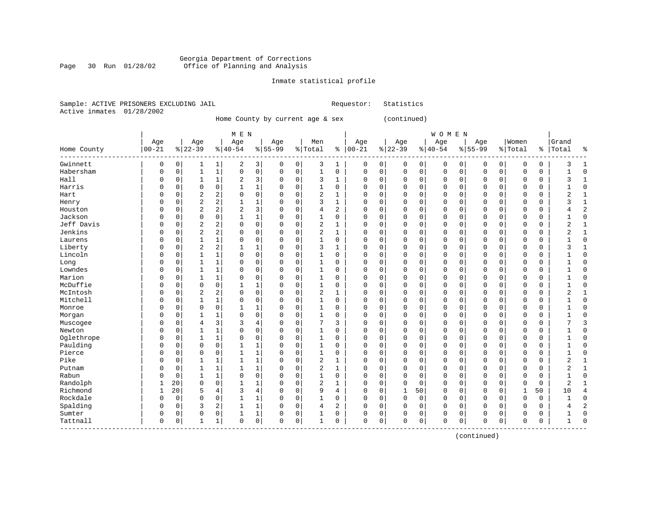#### Georgia Department of Corrections Page 30 Run 01/28/02 Office of Planning and Analysis

#### Inmate statistical profile

|  | Sample: ACTIVE PRISONERS EXCLUDING JAIL | Requestor: Statistics |  |
|--|-----------------------------------------|-----------------------|--|
|  | Active inmates 01/28/2002               |                       |  |

Home County by current age & sex (continued)

| M E N | W O M E N | Age | Age | Age | Age | Men | Age | Age | Age | Age |Women |Grand Home County |00-21 %|22-39 %|40-54 %|55-99 %|Total % |00-21 %|22-39 %|40-54 %|55-99 %|Total % |Total % ------------------------------------------------------------------------------------------------------------------------------------Gwinnett | 0 0| 1 1| 2 3| 0 0| 3 1 | 0 0| 0 0| 0 0| 0 0| 0 0 | 3 1 Habersham | 0 0| 1 1| 0 0| 0 0| 1 0 | 0 0| 0 0| 0 0| 0 0| 0 0 | 1 0 Hall | 0 0| 1 1| 2 3| 0 0| 3 1 | 0 0| 0 0| 0 0| 0 0| 0 0 | 3 1 Harris | 0 0| 0 0| 1 1| 0 0| 1 0 | 0 0| 0 0| 0 0| 0 0| 0 0 | 1 0 Hart | 0 0| 2 2| 0 0| 0 0| 2 1 | 0 0| 0 0| 0 0| 0 0| 0 0 | 2 1 Henry | 0 0| 2 2| 1 1| 0 0| 3 1 | 0 0| 0 0| 0 0| 0 0| 0 0 | 3 1 Houston | 0 0| 2 2| 2 3| 0 0| 4 2 | 0 0| 0 0| 0 0| 0 0| 0 0 | 4 2 Jackson | 0 0| 0 0| 1 1| 0 0| 1 0 | 0 0| 0 0| 0 0| 0 0| 0 0 | 1 0 Jeff Davis | 0 0| 2 2| 0 0| 0 0| 2 1 | 0 0| 0 0| 0 0| 0 0| 0 0 | 2 1 Jenkins | 0 0| 2 2| 0 0| 0 0| 2 1 | 0 0| 0 0| 0 0| 0 0| 0 0 | 2 1 Laurens | 0 0| 1 1| 0 0| 0 0| 1 0 | 0 0| 0 0| 0 0| 0 0| 0 0 | 1 0 Liberty | 0 0| 2 2| 1 1| 0 0| 3 1 | 0 0| 0 0| 0 0| 0 0| 0 0 | 3 1 Lincoln | 0 0| 1 1| 0 0| 0 0| 1 0 | 0 0| 0 0| 0 0| 0 0| 0 0 | 1 0 Long | 0 0| 1 1| 0 0| 0 0| 1 0 | 0 0| 0 0| 0 0| 0 0| 0 0 | 1 0 Lowndes | 0 0| 1 1| 0 0| 0 0| 1 0 | 0 0| 0 0| 0 0| 0 0| 0 0 | 1 0 Marion | 0 0| 1 1| 0 0| 0 0| 1 0 | 0 0| 0 0| 0 0| 0 0| 0 0 | 1 0 McDuffie | 0 0| 0 0| 1 1| 0 0| 1 0 | 0 0| 0 0| 0 0| 0 0| 0 0 | 1 0 McIntosh | 0 0| 2 2| 0 0| 0 0| 2 1 | 0 0| 0 0| 0 0| 0 0| 0 0 | 2 1 Mitchell | 0 0| 1 1| 0 0| 0 0| 1 0 | 0 0| 0 0| 0 0| 0 0| 0 0 | 1 0 Monroe | 0 0| 0 0| 1 1| 0 0| 1 0 | 0 0| 0 0| 0 0| 0 0| 0 0 | 1 0 Morgan | 0 0| 1 1| 0 0| 0 0| 1 0 | 0 0| 0 0| 0 0| 0 0| 0 0 | 1 0 Muscogee | 0 0| 4 3| 3 4| 0 0| 7 3 | 0 0| 0 0| 0 0| 0 0| 0 0 | 7 3 Newton | 0 0| 1 1| 0 0| 0 0| 1 0 | 0 0| 0 0| 0 0| 0 0| 0 0 | 1 0 Oglethrope | 0 0| 1 1| 0 0| 0 0| 1 0 | 0 0| 0 0| 0 0| 0 0| 0 0 | 1 0 Paulding | 0 0| 0 0| 1 1| 0 0| 1 0 | 0 0| 0 0| 0 0| 0 0| 0 0 | 1 0 Pierce | 0 0| 0 0| 1 1| 0 0| 1 0 | 0 0| 0 0| 0 0| 0 0| 0 0 | 1 0 Pike | 0 0| 1 1| 1 1| 0 0| 2 1 | 0 0| 0 0| 0 0| 0 0| 0 0 | 2 1 Putnam | 0 0| 1 1| 1 1| 0 0| 2 1 | 0 0| 0 0| 0 0| 0 0| 0 0 | 2 1 Rabun | 0 0| 1 1| 0 0| 0 0| 1 0 | 0 0| 0 0| 0 0| 0 0| 0 0 | 1 0 Randolph | 1 20| 0 0| 1 1| 0 0| 2 1 | 0 0| 0 0| 0 0| 0 0| 0 0 | 2 1 Richmond | 1 20| 5 4| 3 4| 0 0| 9 4 | 0 0| 1 50| 0 0| 0 0| 1 50 | 10 4 Rockdale | 0 0| 0 0| 1 1| 0 0| 1 0 | 0 0| 0 0| 0 0| 0 0| 0 0 | 1 0 Spalding | 0 0| 3 2| 1 1| 0 0| 4 2 | 0 0| 0 0| 0 0| 0 0| 0 0 | 4 2 Sumter | 0 0| 0 0| 1 1| 0 0| 1 0 | 0 0| 0 0| 0 0| 0 0| 0 0 | 1 0 Tattnall | 0 0| 1 1| 0 0| 0 0| 1 0 | 0 0| 0 0| 0 0| 0 0| 0 0 | 1 0 ------------------------------------------------------------------------------------------------------------------------------------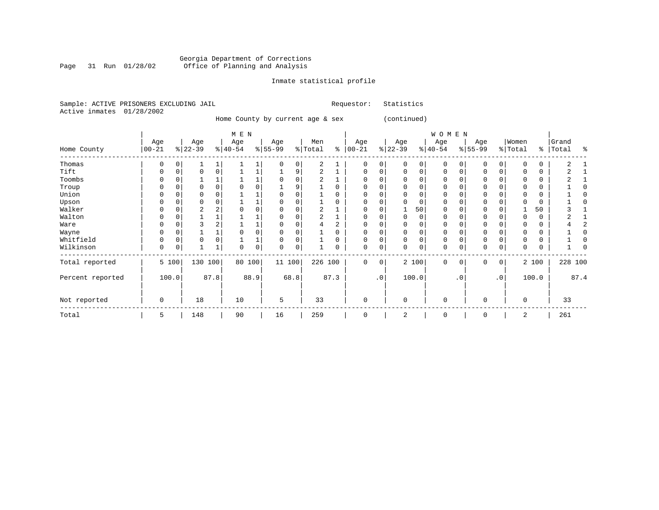#### Georgia Department of Corrections Page 31 Run 01/28/02 Office of Planning and Analysis

## Inmate statistical profile

| Sample: ACTIVE PRISONERS EXCLUDING JAIL | Requestor: Statistics |  |
|-----------------------------------------|-----------------------|--|
| Active inmates 01/28/2002               |                       |  |

Home County by current age & sex (continued)

|                  |                  |          |                  |          | M E N            |              |                 |             |                |          |                   |                 |                  |          | W O M E N        |          |                 |                        |                  |       |                    |      |
|------------------|------------------|----------|------------------|----------|------------------|--------------|-----------------|-------------|----------------|----------|-------------------|-----------------|------------------|----------|------------------|----------|-----------------|------------------------|------------------|-------|--------------------|------|
| Home County      | Age<br>$00 - 21$ |          | Age<br>$ 22-39 $ |          | Age<br>$ 40-54 $ |              | Age<br>$ 55-99$ |             | Men<br>% Total | နွ       | Age<br>$ 00 - 21$ |                 | Age<br>$ 22-39 $ |          | Age<br>$ 40-54 $ |          | Age<br>$ 55-99$ |                        | Women<br>% Total |       | Grand<br>%   Total | ႜ    |
| Thomas           | 0                | $\Omega$ |                  |          |                  | $\mathbf{1}$ | $\Omega$        | 0           | 2              |          | 0                 | 0               | $\Omega$         | 0        | $\mathbf 0$      | $\Omega$ | $\Omega$        | 0                      |                  | 0     |                    |      |
| Tift             | 0                | C        | $\Omega$         | $\Omega$ |                  |              |                 | 9           | $\overline{a}$ |          | $\Omega$          | 0               | $\Omega$         | 0        | 0                |          | $\Omega$        |                        |                  | 0     |                    |      |
| Toombs           | 0                |          |                  |          |                  |              |                 | 0           | 2              |          | $\Omega$          |                 |                  | 0        | 0                |          | 0               |                        |                  | 0     |                    |      |
| Troup            | 0                |          |                  |          |                  | 0            |                 | 9           |                |          |                   |                 |                  | $\Omega$ | 0                |          | 0               |                        |                  | 0     |                    |      |
| Union            | 0                |          | 0                |          |                  |              |                 |             |                |          | $\Omega$          |                 |                  | $\Omega$ | 0                |          | 0               |                        |                  | 0     |                    |      |
| Upson            | 0                |          | O                |          |                  |              |                 |             |                |          |                   |                 |                  |          | 0                |          | 0               |                        |                  | 0     |                    |      |
| Walker           | 0                |          | 2                |          |                  | 0            |                 |             | 2              |          | $\Omega$          |                 |                  | 50       | 0                |          | 0               |                        |                  | 50    |                    |      |
| Walton           |                  |          |                  |          |                  |              |                 |             |                |          |                   |                 |                  | 0        | 0                |          |                 |                        |                  | 0     |                    |      |
| Ware             | 0                |          |                  |          |                  |              |                 |             |                | 2        |                   |                 |                  | $\Omega$ | 0                |          | $\Omega$        |                        |                  | 0     |                    |      |
| Wayne            |                  |          |                  |          |                  |              |                 |             |                |          |                   |                 |                  |          | 0                |          | O               |                        |                  | 0     |                    |      |
| Whitfield        | 0                |          | 0                |          |                  |              |                 | 0           |                |          | $\Omega$          |                 |                  | 0        | 0                |          | $\Omega$        |                        |                  | 0     |                    |      |
| Wilkinson        | 0                | C        |                  |          | $\Omega$         | 0            | $\Omega$        | $\mathbf 0$ |                | $\Omega$ | $\Omega$          | 0               | $\Omega$         | 0        | 0                |          | $\Omega$        | $\Omega$               |                  | 0     |                    |      |
| Total reported   |                  | 5 100    | 130              | 100      | 80               | 100          | 11 100          |             | 226 100        |          | $\Omega$          | $\mathbf 0$     |                  | 2 100    | $\Omega$         | $\Omega$ | $\Omega$        | 0                      |                  | 2 100 | 228 100            |      |
| Percent reported |                  | 100.0    |                  | 87.8     |                  | 88.9         |                 | 68.8        |                | 87.3     |                   | .0 <sup>1</sup> |                  | 100.0    |                  | . 0      |                 | $\boldsymbol{\cdot}$ 0 |                  | 100.0 |                    | 87.4 |
| Not reported     | 0                |          | 18               |          | 10               |              | 5               |             | 33             |          | $\Omega$          |                 | $\Omega$         |          | 0                |          | $\Omega$        |                        | $\Omega$         |       | 33                 |      |
| Total            | 5                |          | 148              |          | 90               |              | 16              |             | 259            |          | $\mathbf 0$       |                 | 2                |          | 0                |          | 0               |                        | 2                |       | 261                |      |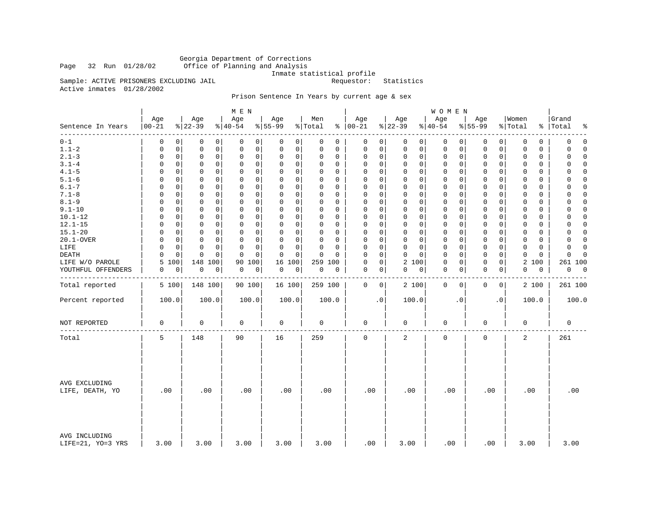Georgia Department of Corrections<br>Page 32 Run 01/28/02 Office of Planning and Analysis Office of Planning and Analysis

Inmate statistical profile<br>Requestor: Statistics

Sample: ACTIVE PRISONERS EXCLUDING JAIL Active inmates 01/28/2002

### Prison Sentence In Years by current age & sex

|                                    |                   |                              | M E N                      |                         |                      |                            |                            | WOMEN                      |                            |                            |                      |
|------------------------------------|-------------------|------------------------------|----------------------------|-------------------------|----------------------|----------------------------|----------------------------|----------------------------|----------------------------|----------------------------|----------------------|
| Sentence In Years<br>--------      | Age<br>$ 00 - 21$ | Age<br>$8 22-39$             | Age<br>$ 40-54$            | Age<br>$8155 - 99$      | Men<br>% Total       | Age<br>$% 100-21$          | Age<br>$ 22-39$            | Age<br>$ 40-54$            | Age<br>$8155 - 99$         | Women<br>% Total<br>နွ     | Grand<br>Total<br>٩, |
| $0 - 1$                            | 0                 | $\Omega$<br>0<br>0           | 0<br>0                     | 0<br>0                  | $\Omega$<br>0        | 0<br>0                     | 0<br>0                     | 0<br>0                     | 0<br>0                     | 0<br>0                     | $\mathbf 0$<br>0     |
| $1.1 - 2$                          | 0                 | $\mathbf 0$<br>0<br>0        | $\mathbf 0$<br>0           | 0<br>0                  | 0<br>0               | 0<br>0                     | $\mathbf 0$<br>0           | 0<br>0                     | 0<br>0                     | $\mathbf 0$<br>0           | 0<br>$\Omega$        |
| $2.1 - 3$                          | 0                 | $\mathbf 0$<br>0<br>0        | $\mathbf 0$<br>0           | 0<br>0                  | 0<br>0               | 0<br>0                     | $\mathbf 0$<br>0           | 0<br>0                     | $\mathbf 0$<br>0           | 0<br>$\mathbf 0$           | $\Omega$<br>0        |
| $3.1 - 4$                          | $\Omega$          | $\Omega$<br>0<br>0           | $\Omega$<br>$\Omega$       | 0<br>0                  | $\Omega$<br>$\Omega$ | $\mathbf 0$<br>0           | $\mathbf 0$<br>$\mathbf 0$ | 0<br>0                     | $\mathbf 0$<br>0           | $\Omega$<br>0              | $\Omega$<br>$\Omega$ |
| $4.1 - 5$                          | $\Omega$          | $\mathbf 0$<br>0<br>0        | $\mathbf 0$<br>$\mathbf 0$ | $\mathbf 0$<br>0        | $\Omega$<br>0        | 0<br>0                     | $\mathbf 0$<br>$\mathbf 0$ | $\mathbf 0$<br>0           | $\mathbf 0$<br>0           | $\mathbf 0$<br>0           | $\Omega$<br>0        |
| $5.1 - 6$                          | $\Omega$          | $\Omega$<br>0<br>$\Omega$    | $\Omega$<br>0              | 0<br>0                  | $\Omega$<br>$\Omega$ | $\mathbf 0$<br>$\Omega$    | $\mathbf 0$<br>0           | 0<br>0                     | $\mathbf 0$<br>0           | 0<br>$\Omega$              | 0<br>$\Omega$        |
| $6.1 - 7$                          | $\Omega$          | $\mathbf 0$<br>$\Omega$<br>0 | $\mathbf 0$<br>$\Omega$    | $\Omega$<br>$\mathbf 0$ | $\Omega$<br>0        | $\mathbf 0$<br>$\mathbf 0$ | $\mathbf 0$<br>$\Omega$    | $\mathbf 0$<br>$\mathbf 0$ | $\mathbf 0$<br>$\mathbf 0$ | $\mathbf 0$<br>$\mathbf 0$ | $\Omega$<br>$\Omega$ |
| $7.1 - 8$                          | $\Omega$          | $\Omega$<br>0<br>0           | 0<br>0                     | 0<br>0                  | $\Omega$<br>$\Omega$ | $\mathbf 0$<br>$\Omega$    | $\mathbf 0$<br>$\mathbf 0$ | 0<br>0                     | $\mathbf 0$<br>$\mathbf 0$ | $\Omega$<br>$\Omega$       | 0<br>$\Omega$        |
| $8.1 - 9$                          | 0                 | $\mathbf 0$<br>0<br>0        | $\mathbf 0$<br>0           | $\Omega$<br>0           | 0<br>0               | $\mathbf 0$<br>0           | $\mathbf 0$<br>0           | 0<br>0                     | $\mathbf 0$<br>0           | $\mathbf 0$<br>$\mathbf 0$ | $\Omega$<br>0        |
| $9.1 - 10$                         | $\Omega$          | 0<br>0<br>0                  | $\mathbf 0$<br>$\Omega$    | 0<br>$\mathbf 0$        | $\Omega$<br>0        | $\mathbf 0$<br>0           | $\mathbf 0$<br>$\mathbf 0$ | $\mathbf 0$<br>0           | $\mathbf 0$<br>0           | $\mathbf 0$<br>0           | 0<br>$\Omega$        |
| $10.1 - 12$                        | 0                 | 0<br>0<br>0                  | 0<br>0                     | 0<br>0                  | $\Omega$<br>$\Omega$ | 0<br>0                     | $\mathbf 0$<br>$\mathbf 0$ | 0<br>0                     | $\mathbf 0$<br>0           | 0<br>0                     | 0<br>$\Omega$        |
| $12.1 - 15$                        | $\Omega$          | 0<br>0<br>0                  | $\mathbf 0$<br>0           | 0<br>0                  | $\Omega$<br>0        | $\mathbf 0$<br>0           | $\mathbf 0$<br>$\mathbf 0$ | 0<br>0                     | $\mathbf 0$<br>$\mathbf 0$ | 0<br>0                     | $\mathbf 0$<br>0     |
| $15.1 - 20$                        | $\Omega$          | $\Omega$<br>0<br>0           | $\Omega$<br>$\Omega$       | 0<br>$\mathbf 0$        | $\Omega$<br>$\Omega$ | $\mathbf 0$<br>0           | $\mathbf 0$<br>$\mathbf 0$ | $\mathbf 0$<br>0           | 0<br>0                     | $\mathbf 0$<br>0           | $\Omega$<br>$\Omega$ |
| 20.1-OVER                          | 0                 | 0<br>0<br>0                  | $\mathbf 0$<br>0           | 0<br>0                  | 0<br>0               | 0<br>0                     | $\mathbf 0$<br>$\mathbf 0$ | 0<br>0                     | 0<br>0                     | $\mathbf 0$<br>0           | 0<br>$\Omega$        |
| LIFE                               | $\Omega$          | 0<br>0<br>0                  | $\Omega$<br>0              | 0<br>$\mathbf 0$        | $\Omega$<br>$\Omega$ | 0<br>$\Omega$              | $\mathbf 0$<br>0           | 0<br>0                     | $\mathbf 0$<br>0           | 0<br>0                     | $\Omega$<br>$\Omega$ |
| DEATH                              | $\Omega$          | $\mathbf 0$<br>$\Omega$<br>0 | $\mathbf 0$<br>$\Omega$    | $\mathbf 0$<br>0        | $\Omega$<br>$\Omega$ | $\Omega$<br>$\mathbf 0$    | $\mathbf 0$<br>$\Omega$    | $\mathbf 0$<br>0           | $\mathbf 0$<br>$\mathbf 0$ | $\mathbf 0$<br>$\mathbf 0$ | $\Omega$<br>$\Omega$ |
| LIFE W/O PAROLE                    | 5<br>100          | 148 100                      | 90<br>100                  | 16<br>100               | 259 100              | 0<br>0                     | 2 100                      | 0<br>0                     | $\mathbf 0$<br>0           | 100                        | 261 100              |
|                                    |                   |                              |                            |                         |                      | $\mathbf 0$                |                            |                            |                            | 2                          |                      |
| YOUTHFUL OFFENDERS                 | 0                 | 0<br>$\mathbf 0$<br>0        | $\mathsf 0$<br>0           | 0<br>0                  | $\mathsf 0$<br>0     | 0                          | 0<br>0                     | 0<br>0                     | $\mathbf 0$<br>0           | 0<br>0                     | 0<br>$\overline{0}$  |
| Total reported                     | 5 100             | 148 100                      | 90 100                     | 16 100                  | 259 100              | 0<br>0                     | 2 100                      | $\mathbf 0$<br>0           | 0<br>0                     | 2 100                      | 261 100              |
| Percent reported                   | 100.0             | 100.0                        | 100.0                      | 100.0                   | 100.0                | $\cdot$ 0                  | 100.0                      | $\cdot$ 0                  | . 0                        | 100.0                      | 100.0                |
| NOT REPORTED                       | $\mathbf 0$       | 0                            | 0                          | $\mathbf 0$             | $\mathbf 0$          | 0                          | $\mathbf 0$                | 0                          | $\mathbf 0$                | 0                          | $\mathbf 0$          |
| Total                              | 5                 | 148                          | 90                         | 16                      | 259                  | 0                          | 2                          | 0                          | $\mathsf 0$                | 2                          | 261                  |
| AVG EXCLUDING<br>LIFE, DEATH, YO   | .00               | .00                          | .00                        | .00                     | .00                  | .00                        | .00                        | .00                        | .00                        | .00                        | .00                  |
| AVG INCLUDING<br>LIFE=21, YO=3 YRS | 3.00              | 3.00                         | 3.00                       | 3.00                    | 3.00                 | .00                        | 3.00                       | .00                        | .00                        | 3.00                       | 3.00                 |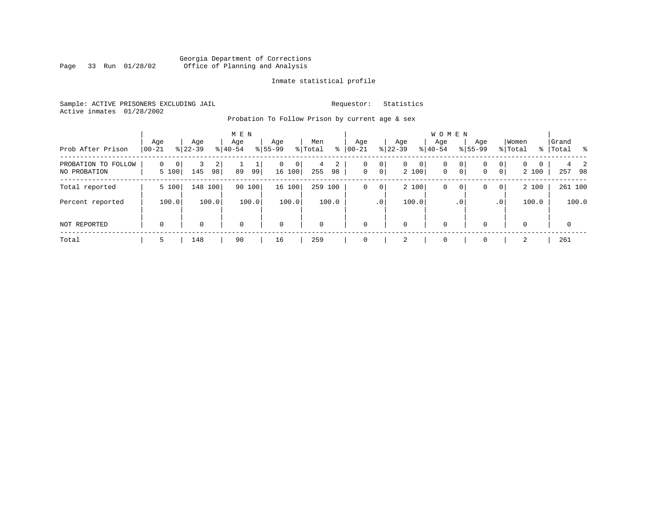#### Georgia Department of Corrections<br>Page 33 Run 01/28/02 Office of Planning and Analysis Page 33 Run 01/28/02 Office of Planning and Analysis

#### Inmate statistical profile

Sample: ACTIVE PRISONERS EXCLUDING JAIL **Requestor:** Statistics Active inmates 01/28/2002

Probation To Follow Prison by current age & sex

| Prob After Prison                      | Age<br>$ 00-21$        | Age<br>$ 22-39 $ | M E N<br>Age<br>$8 40-54$ | Age<br>$8 55-99$              | Men<br>% Total<br>∻ | Age<br>$ 00 - 21 $ | Aqe<br>$8$   22-39              | <b>WOMEN</b><br>Aqe<br>$ 40-54$      | Age<br>$8155 - 99$                                    | Women<br>% Total                                     | Grand<br>%   Total<br>း ေ |
|----------------------------------------|------------------------|------------------|---------------------------|-------------------------------|---------------------|--------------------|---------------------------------|--------------------------------------|-------------------------------------------------------|------------------------------------------------------|---------------------------|
| PROBATION TO<br>FOLLOW<br>NO PROBATION | $\Omega$<br>0<br>5 100 | 2<br>145<br>98   | 89<br>99                  | 0<br>$\overline{0}$<br>16 100 | 2<br>4<br>255<br>98 | 0<br>$\mathbf 0$   | $\circ$<br>$\overline{0}$<br> 0 | $\circ$<br>0<br>2 100<br>$\mathbf 0$ | 0 <sup>1</sup><br>0<br>0 <sup>1</sup><br>$\mathbf{0}$ | $\Omega$<br>0<br>$\Omega$<br>0 <sup>1</sup><br>2 100 | 257<br>98                 |
| Total reported                         | 5 100                  | 148 100          | 90<br>100                 | 16 100                        | 259 100             | 0                  | $\overline{0}$                  | 2 100<br>0                           | 0 <sup>1</sup><br>0                                   | 2 100<br> 0                                          | 261 100                   |
| Percent reported                       | 100.0                  | 100.0            | 100.0                     | 100.0                         | 100.0               |                    | .0 <sup>1</sup>                 | 100.0                                | .0 <sup>1</sup>                                       | 100.0<br>$\cdot$ 0                                   | 100.0                     |
| NOT REPORTED                           | 0                      | $\Omega$         | $\mathbf 0$               | $\mathbf 0$                   | $\Omega$            | $\Omega$           | 0                               | $\mathbf 0$                          | $\Omega$                                              | 0                                                    | $\Omega$                  |
| Total                                  | 5                      | 148              | 90                        | 16                            | 259                 |                    | 2                               |                                      |                                                       | 2                                                    | 261                       |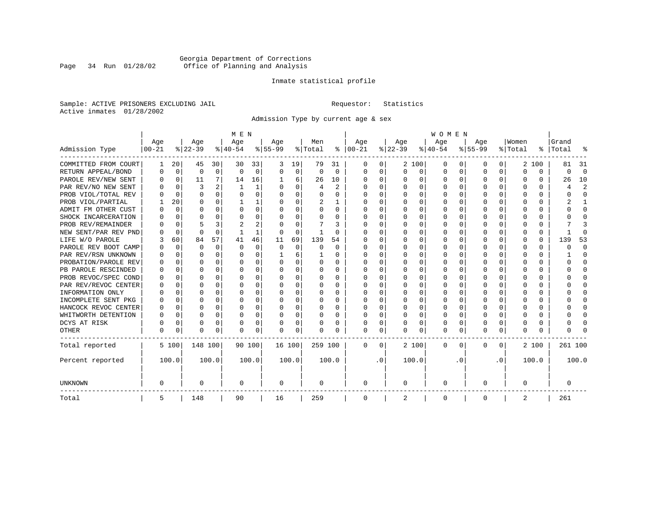### Georgia Department of Corrections<br>Page 34 Run 01/28/02 Office of Planning and Analysis Page 34 Run 01/28/02 Office of Planning and Analysis

#### Inmate statistical profile

Sample: ACTIVE PRISONERS EXCLUDING JAIL **Requestor:** Statistics Active inmates 01/28/2002

Admission Type by current age & sex

|                      |           |             |          |              | M E N     |       |           |             |          |          |             |           |          |          | <b>WOMEN</b> |                  |              |              |          |          |         |                         |
|----------------------|-----------|-------------|----------|--------------|-----------|-------|-----------|-------------|----------|----------|-------------|-----------|----------|----------|--------------|------------------|--------------|--------------|----------|----------|---------|-------------------------|
|                      | Age       |             | Age      |              | Age       |       | Age       |             | Men      |          | Age         |           | Age      |          | Age          |                  | Aqe          |              | Women    |          | Grand   |                         |
| Admission Type       | $00 - 21$ |             | $ 22-39$ |              | $ 40-54 $ |       | $8 55-99$ |             | % Total  | ႜ        | $ 00-21$    |           | $ 22-39$ |          | $ 40-54$     |                  | $8 55-99$    |              | % Total  | ွေ       | Total   | ू                       |
| COMMITTED FROM COURT | 1         | 20          | 45       | 30           | 30        | 33    | 3         | 19          | 79       | 31       | 0           | 0         |          | 2 100    | 0            | $\left( \right)$ | $\Omega$     | $\Omega$     |          | 2 100    | 81      | -31                     |
| RETURN APPEAL/BOND   | 0         | $\Omega$    | $\Omega$ | $\mathbf 0$  | $\Omega$  | 0     | $\Omega$  | 0           | $\Omega$ | $\Omega$ | $\Omega$    | 0         | $\Omega$ | $\Omega$ | 0            | $\Omega$         | 0            | $\Omega$     | $\Omega$ | $\Omega$ | 0       | $\Omega$                |
| PAROLE REV/NEW SENT  | O         | 0           | 11       | 7            | 14        | 16    |           | 6           | 26       | 10       | $\Omega$    | 0         | $\Omega$ | $\Omega$ | 0            | $\Omega$         | <sup>0</sup> | 0            | O        | U        | 26      | 10                      |
| PAR REV/NO NEW SENT  | U         | 0           | 3        |              |           | 1     |           | $\Omega$    | 4        | 2        | $\Omega$    | 0         | $\Omega$ | $\Omega$ | O            | C                | ∩            | <sup>n</sup> | U        | U        |         | $\overline{\mathbf{c}}$ |
| PROB VIOL/TOTAL REV  | U         | $\mathbf 0$ | $\Omega$ | $\Omega$     | $\Omega$  | 0     |           | 0           | O        | O        | $\Omega$    | 0         | $\Omega$ | $\Omega$ | 0            | C                | $\Omega$     | $\Omega$     | $\Omega$ | O        |         | $\Omega$                |
| PROB VIOL/PARTIAL    |           | 20          | 0        | $\Omega$     |           | 1     |           | $\Omega$    | 2        |          | O           | 0         | $\Omega$ | $\Omega$ | 0            | O                | <sup>0</sup> |              |          | 0        |         |                         |
| ADMIT FM OTHER CUST  | O         | $\Omega$    | O        | $\Omega$     | 0         | 0     | ∩         | $\Omega$    | 0        | 0        | $\Omega$    | 0         | O        | $\Omega$ | 0            | O                | O            | 0            | O        | 0        | U       | $\Omega$                |
| SHOCK INCARCERATION  |           | 0           | U        | 0            | O         | 0     | ∩         | $\Omega$    | O        | 0        | $\Omega$    | 0         | $\Omega$ | $\Omega$ | O            | $\Omega$         | ∩            | 0            | U        | 0        |         | ∩                       |
| PROB REV/REMAINDER   |           | 0           |          | 3            |           | 2     |           | $\Omega$    |          | 3        | $\Omega$    | 0         | $\Omega$ | $\Omega$ | 0            | C                | <sup>0</sup> | 0            |          | 0        |         |                         |
| NEW SENT/PAR REV PND |           | $\mathbf 0$ | $\Omega$ | $\Omega$     |           | 1     |           | $\Omega$    |          | $\Omega$ | O           | O         |          | $\Omega$ | 0            | $\Omega$         | 0            | $\Omega$     | 0        | $\Omega$ |         | ſ                       |
| LIFE W/O PAROLE      | 3         | 60          | 84       | 57           | 41        | 46    | 11        | 69          | 139      | 54       | 0           | O         |          | $\Omega$ | 0            | $\Omega$         |              | $\Omega$     |          | 0        | 139     | 53                      |
| PAROLE REV BOOT CAMP |           | $\Omega$    | 0        | $\Omega$     | $\Omega$  | 0     | 0         | $\Omega$    | 0        | $\Omega$ | 0           | $\Omega$  | O        | $\Omega$ | 0            | $\Omega$         | O            | 0            | 0        | 0        | Ω       | $\Omega$                |
| PAR REV/RSN UNKNOWN  |           | $\Omega$    | U        | $\Omega$     | O         | 0     |           | 6           |          | 0        | O           | 0         | O        | $\Omega$ | O            | O                | O            | 0            | O        | 0        |         | <sup>0</sup>            |
| PROBATION/PAROLE REV |           | $\Omega$    | U        | $\Omega$     | O         | 0     |           | $\Omega$    | O        | 0        | $\Omega$    | 0         | O        | $\Omega$ | O            | $\Omega$         | <sup>0</sup> | 0            | U        | 0        | U       | ∩                       |
| PB PAROLE RESCINDED  | U         | $\Omega$    | U        | <sup>n</sup> | $\cap$    | 0     |           | $\Omega$    | O        | 0        | ∩           | 0         | ∩        | $\Omega$ | O            | C                | ∩            | <sup>n</sup> | U        | 0        | U       | ∩                       |
| PROB REVOC/SPEC COND | O         | $\Omega$    | U        | $\Omega$     | O         | 0     |           | $\Omega$    | 0        | O        | $\Omega$    | O         | $\Omega$ | $\Omega$ | 0            | C                | <sup>0</sup> | $\Omega$     | Λ        | 0        |         | <sup>0</sup>            |
| PAR REV/REVOC CENTER |           | 0           | O        | $\Omega$     | O         | 0     |           | $\Omega$    | N        | U        | n           | O         |          | $\Omega$ | O            | C                |              | 0            |          | U        |         | <sup>0</sup>            |
| INFORMATION ONLY     | O         | 0           | O        | $\Omega$     | O         | 0     |           | $\Omega$    | 0        | 0        | $\Omega$    | O         | $\Omega$ | $\Omega$ | 0            | $\Omega$         | <sup>0</sup> | 0            |          | 0        |         | <sup>0</sup>            |
| INCOMPLETE SENT PKG  | 0         | 0           | O        | $\Omega$     | O         | 0     | ∩         | $\Omega$    | 0        | 0        | $\Omega$    | 0         | $\Omega$ | $\Omega$ | 0            | $\Omega$         | <sup>0</sup> | 0            | O        | 0        |         | <sup>0</sup>            |
| HANCOCK REVOC CENTER | 0         | 0           | U        | $\Omega$     | O         | 0     |           | $\Omega$    | 0        | 0        | $\Omega$    | 0         | $\Omega$ | $\Omega$ | 0            | $\Omega$         | <sup>0</sup> | $\Omega$     | U        | 0        |         | ∩                       |
| WHITWORTH DETENTION  | $\Omega$  | $\Omega$    | U        | $\Omega$     | O         | 0     | ∩         | $\Omega$    | 0        | 0        | $\Omega$    | 0         | $\Omega$ | $\Omega$ | 0            | $\Omega$         | ∩            | $\Omega$     | U        | 0        |         | $\cap$                  |
| DCYS AT RISK         | N         | 0           | O        | $\Omega$     | O         | 0     |           | $\mathbf 0$ | N        | O        | O           | 0         |          | 0        | U            | $\Omega$         | <sup>0</sup> | $\Omega$     | Ω        | $\Omega$ |         | ſ                       |
| <b>OTHER</b>         | O         | 0           | $\Omega$ | 0            | O         | 0     |           | 0           | N        | 0        | $\Omega$    | 0         | $\Omega$ | 0        | 0            | $\Omega$         | $\Omega$     | 0            | U        | U        |         |                         |
| Total reported       |           | 5 100       | 148 100  |              | 90 100    |       | 16 100    |             | 259 100  |          | 0           | 0         |          | 2 100    | 0            | 0                | 0            | 0            |          | 2 100    | 261 100 |                         |
| Percent reported     |           | 100.0       |          | 100.0        |           | 100.0 |           | 100.0       |          | 100.0    |             | $\cdot$ 0 |          | 100.0    |              | . 0              |              | $\cdot$ 0    |          | 100.0    |         | 100.0                   |
| <b>UNKNOWN</b>       | 0         |             | 0        |              | 0         |       | 0         |             | 0        |          | 0           |           | $\Omega$ |          | 0            |                  | $\Omega$     |              | 0        |          | 0       |                         |
| Total                | 5         |             | 148      |              | 90        |       | 16        |             | 259      |          | $\mathbf 0$ |           | 2        |          | 0            |                  | $\Omega$     |              | 2        |          | 261     |                         |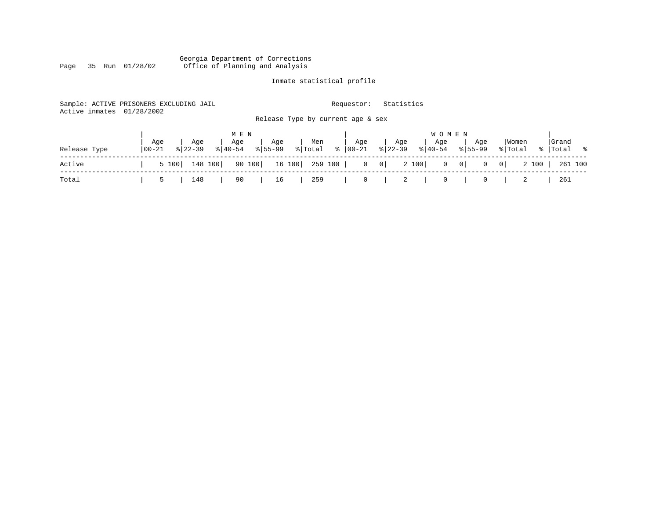#### Georgia Department of Corrections Page 35 Run 01/28/02 Office of Planning and Analysis

## Inmate statistical profile

| Active inmates 01/28/2002 | Sample: ACTIVE PRISONERS EXCLUDING JAIL |                                        | Requestor:                                     | Statistics                                      |                                        |                      |
|---------------------------|-----------------------------------------|----------------------------------------|------------------------------------------------|-------------------------------------------------|----------------------------------------|----------------------|
|                           |                                         |                                        | Release Type by current age & sex              |                                                 |                                        |                      |
|                           |                                         | M E N                                  |                                                | W O M E N                                       |                                        |                      |
| Release Type              | Aqe<br>Aqe<br>  00-21<br>$8122 - 39$    | Age<br>Age<br>$8155 - 99$<br>$8 40-54$ | Age<br>Men<br>$\frac{1}{6}$   00-21<br>% Total | Age<br>Aqe<br>$8 22-39$<br>$\frac{1}{6}$  40-54 | Women<br>Aqe<br>$8155 - 99$<br>% Total | Grand<br>%   Total % |
| Active                    | 5 100                                   | 90 100<br>148 100                      | 16 100   259 100  <br>$0 \qquad 0 \mid$        | 2 100<br>$\begin{array}{cc} 0 & 0 \end{array}$  | 2 100<br> 0 <br>$\overline{0}$         | 261 100              |
| Total                     | 148<br>5                                | 90<br>16                               | 259<br>0                                       | 2<br>$\overline{0}$                             | 0<br>2                                 | 261                  |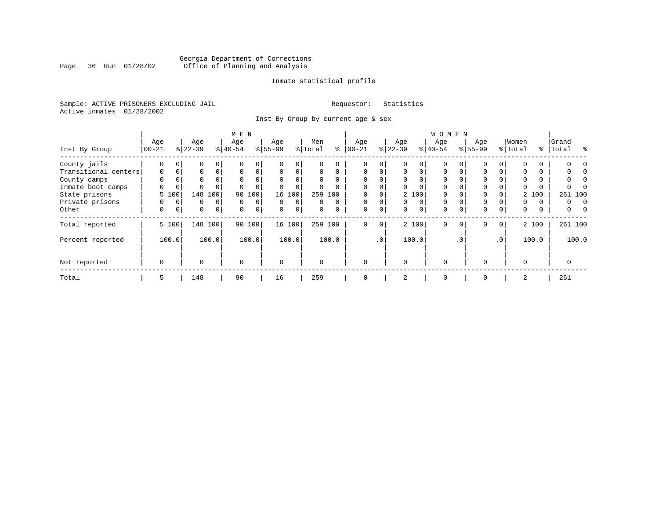### Georgia Department of Corrections<br>Page 36 Run 01/28/02 Office of Planning and Analysis Page 36 Run 01/28/02 Office of Planning and Analysis

#### Inmate statistical profile

Sample: ACTIVE PRISONERS EXCLUDING JAIL **Requestor:** Statistics Active inmates 01/28/2002

Inst By Group by current age & sex

|                      | M E N       |             |             |                |           |             |           |             |          |          |             |          |          |             | WOMEN       |             |             |                 |          |       |           |       |
|----------------------|-------------|-------------|-------------|----------------|-----------|-------------|-----------|-------------|----------|----------|-------------|----------|----------|-------------|-------------|-------------|-------------|-----------------|----------|-------|-----------|-------|
|                      | Age         |             | Age         |                | Age       |             | Age       |             | Men      |          | Age         |          | Age      |             | Age         |             | Age         |                 | Women    |       | Grand     |       |
| Inst By Group        | $00 - 21$   |             | $ 22-39 $   |                | $8 40-54$ |             | $8 55-99$ |             | % Total  | ႜ        | $ 00-21 $   |          | $ 22-39$ |             | $ 40-54 $   |             | $8155 - 99$ |                 | % Total  |       | %   Total | ႜ     |
| County jails         | 0           | $\mathbf 0$ | 0           | 0              |           | 0           |           | 0           | U        |          |             | 0        |          |             | $\Omega$    |             |             |                 |          |       |           |       |
| Transitional centers | $\mathbf 0$ | 0           | 0           | $\Omega$       | $\Omega$  | 0           | $\Omega$  | $\Omega$    | $\Omega$ | $\Omega$ | $\mathbf 0$ | $\Omega$ | 0        | $\Omega$    | $\Omega$    | $\Omega$    | $\Omega$    |                 | $\Omega$ |       |           |       |
| County camps         | $\Omega$    |             | 0           |                | $\Omega$  | 0           |           |             | $\Omega$ | $\Omega$ | $\Omega$    |          |          |             | $\Omega$    |             | $\Omega$    |                 |          |       |           |       |
| Inmate boot camps    | U           | 0           | $\Omega$    |                |           |             |           | $\Omega$    | 0        |          | $\Omega$    |          |          |             | $\Omega$    |             | $\Omega$    |                 |          |       |           |       |
| State prisons        |             | 5 100       | 148         | 100            | 90        | 100         |           | 16 100      | 259      | 100      |             |          |          | 2 100       | $\Omega$    |             | $\Omega$    |                 |          | 2 100 | 261 100   |       |
| Private prisons      | 0           | $\Omega$    | 0           | $\Omega$       | $\Omega$  | $\mathbf 0$ | $\Omega$  | $\Omega$    | 0        | $\Omega$ | $\Omega$    | $\Omega$ | $\Omega$ | $\Omega$    | $\Omega$    |             | $\Omega$    |                 | 0        | 0     | 0         | n     |
| Other                | 0           | 0           | $\mathbf 0$ | $\overline{0}$ | $\Omega$  | $\mathbf 0$ | $\Omega$  | $\mathbf 0$ | $\Omega$ | $\Omega$ | $\mathbf 0$ | 0        | $\Omega$ | $\mathbf 0$ | $\mathbf 0$ | $\Omega$    | $\Omega$    | $\Omega$        | 0        | 0     | 0         |       |
| Total reported       |             | 5 100       |             | 148 100        |           | 90 100      |           | 16 100      |          | 259 100  | 0           | 0        |          | 2 100       | $\Omega$    | $\mathbf 0$ | 0           | 0 <sup>1</sup>  |          | 2 100 | 261 100   |       |
| Percent reported     |             | 100.0       |             | 100.0          |           | 100.0       |           | 100.0       |          | 100.0    |             | .0'      |          | 100.0       |             | $\cdot$ 0   |             | .0 <sup>1</sup> |          | 100.0 |           | 100.0 |
| Not reported         | $\mathbf 0$ |             | $\Omega$    |                | $\Omega$  |             | $\Omega$  |             | $\Omega$ |          | $\Omega$    |          | $\Omega$ |             | $\Omega$    |             | $\cap$      |                 | $\cap$   |       | O         |       |
| Total                | 5           |             | 148         |                | 90        |             | 16        |             | 259      |          | $\mathbf 0$ |          | 2        |             | $\mathbf 0$ |             | $\Omega$    |                 | 2        |       | 261       |       |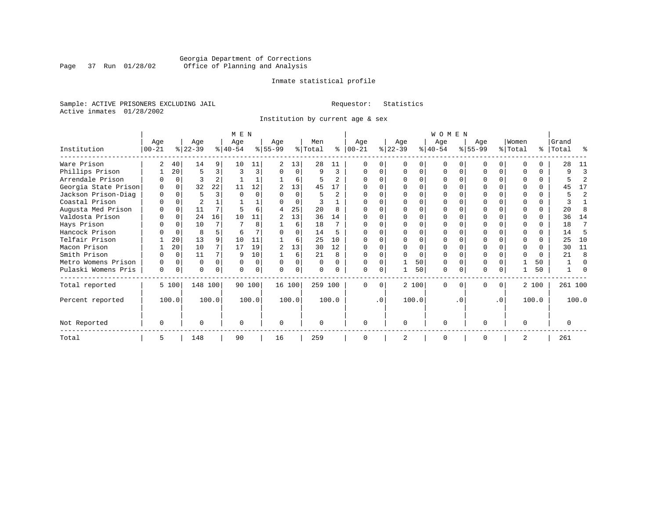### Georgia Department of Corrections<br>Page 37 Run 01/28/02 Office of Planning and Analysis Page 37 Run 01/28/02 Office of Planning and Analysis

#### Inmate statistical profile

Sample: ACTIVE PRISONERS EXCLUDING JAIL **Requestor:** Statistics Active inmates 01/28/2002

Institution by current age & sex

|                      |          |          |           |          | M E N     |          |           |          |          |                |              |           |           |       | <b>WOMEN</b> |          |           |           |          |          |           |              |
|----------------------|----------|----------|-----------|----------|-----------|----------|-----------|----------|----------|----------------|--------------|-----------|-----------|-------|--------------|----------|-----------|-----------|----------|----------|-----------|--------------|
|                      | Age      |          | Age       |          | Age       |          | Age       |          | Men      |                | Age          |           | Age       |       | Age          |          | Aqe       |           | Women    |          | Grand     |              |
| Institution          | $ 00-21$ |          | $ 22-39 $ |          | $8 40-54$ |          | $8 55-99$ |          | % Total  | ៖              | $ 00 - 21$   |           | $ 22-39 $ |       | $ 40-54 $    |          | $8 55-99$ |           | % Total  |          | %   Total | ႜ            |
| Ware Prison          |          | 40       | 14        | 9        | 10        | 11       |           | 13       | 28       | 11             |              |           |           |       |              |          |           |           |          |          | 28        | 11           |
| Phillips Prison      |          | 20       | 5         | 3        |           | 3        |           | $\Omega$ | 9        | 3              |              |           |           |       |              |          |           | 0         |          | 0        |           | 3            |
| Arrendale Prison     |          | $\Omega$ |           |          |           |          |           | 6        |          | 2              |              |           |           |       |              |          |           |           |          | 0        |           |              |
| Georgia State Prison |          | $\Omega$ | 32        | 22       | 11        | 12       |           | 13       | 45       | 17             |              |           |           |       |              |          |           |           |          | $\Omega$ | 45        | 17           |
| Jackson Prison-Diag  |          |          |           | ς        |           |          |           | O        |          | $\mathfrak{D}$ |              |           |           |       |              |          |           |           |          | 0.       |           | 2            |
| Coastal Prison       |          |          |           |          |           |          |           | $\Omega$ |          |                |              |           |           |       |              |          |           |           | ∩        | 0        |           |              |
| Augusta Med Prison   |          | $\Omega$ | 11        | 7        |           | 6        | 4         | 25       | 20       | 8              |              |           |           |       |              |          |           |           |          | $\Omega$ | 20        |              |
| Valdosta Prison      |          |          | 24        | 16       | 10        | 11       | 2         | 13       | 36       | 14             |              |           |           |       |              |          |           |           |          |          | 36        | 14           |
| Hays Prison          |          |          | 10        |          |           | 8        |           | 6        | 18       |                |              |           |           |       |              |          | O         |           | ∩        | 0        | 18        | 7            |
| Hancock Prison       |          |          | 8         | 5.       | 6         |          |           | O        | 14       | 5              |              |           |           |       |              |          |           |           | $\Omega$ | 0        | 14        | 5            |
| Telfair Prison       |          | 20       | 13        | 9        | 10        | 11       |           | 6        | 25       | 10             |              |           |           |       |              |          |           |           |          |          | 25        | 10           |
| Macon Prison         |          | 20       | 10        |          | 17        | 19       | 2         | 13       | 30       | 12             |              |           |           |       |              |          |           |           | ∩        | 0        | 30        | 11           |
| Smith Prison         |          | $\Omega$ | 11        |          | q         | 10       |           | 6        | 21       | 8              |              |           |           | O     |              |          |           |           | $\Omega$ | $\Omega$ | 21        | $\mathsf{R}$ |
| Metro Womens Prison  | O        | $\Omega$ | $\Omega$  | $\Omega$ |           | $\Omega$ | $\Omega$  | O        | $\Omega$ | $\Omega$       |              |           |           | 50    |              |          |           |           |          | 50       |           | ∩            |
| Pulaski Womens Pris  | $\Omega$ | $\Omega$ | U         | 0        |           | 0        |           | O        | 0        |                |              |           |           | 50    | $\Omega$     |          | O         |           |          | 50       |           |              |
| Total reported       |          | 5 100    | 148 100   |          |           | 90 100   |           | 16 100   | 259 100  |                | <sup>0</sup> | $\Omega$  |           | 2 100 | $\Omega$     | $\Omega$ | $\Omega$  | 0         |          | 2 100    | 261 100   |              |
| Percent reported     |          | 100.0    |           | 100.0    |           | 100.0    |           | 100.0    |          | 100.0          |              | $\cdot$ 0 |           | 100.0 |              | . 0      |           | $\cdot$ 0 |          | 100.0    |           | 100.0        |
| Not Reported         | O        |          |           |          | $\Omega$  |          | $\Omega$  |          | $\Omega$ |                | ∩            |           | $\Omega$  |       | $\Omega$     |          | $\Omega$  |           | $\Omega$ |          |           |              |
| Total                | 5        |          | 148       |          | 90        |          | 16        |          | 259      |                |              |           |           |       | $\Omega$     |          | $\Omega$  |           | 2        |          | 261       |              |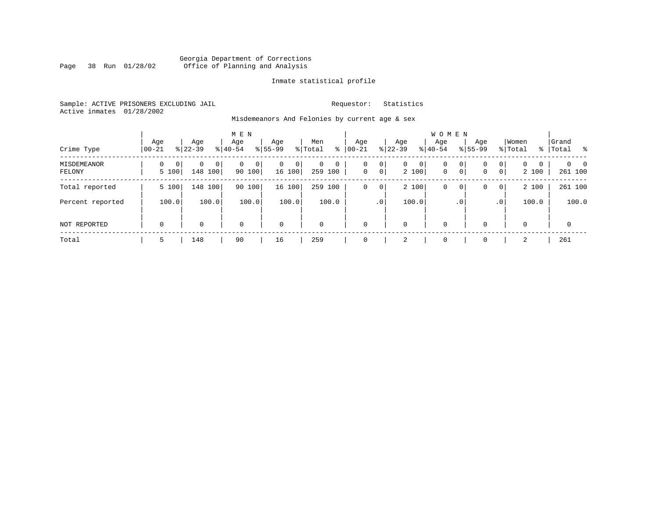#### Georgia Department of Corrections Page 38 Run 01/28/02 Office of Planning and Analysis

#### Inmate statistical profile

Sample: ACTIVE PRISONERS EXCLUDING JAIL **Requestor:** Statistics Active inmates 01/28/2002

Misdemeanors And Felonies by current age & sex

| Crime Type            | Age<br>$00 - 21$                  | Age<br>$8 22-39$               | M E N<br>Age<br>$8 40-54$ | Age<br>$8155 - 99$          | Men<br>ွေ<br>% Total                  | Age<br>$00 - 21$ | Age<br>$ 22 - 39 $                                | <b>WOMEN</b><br>Aqe<br>$8 40-54$ | Age<br>$8155 - 99$ | Women<br>% Total                                                | Grand<br>%   Total         |
|-----------------------|-----------------------------------|--------------------------------|---------------------------|-----------------------------|---------------------------------------|------------------|---------------------------------------------------|----------------------------------|--------------------|-----------------------------------------------------------------|----------------------------|
| MISDEMEANOR<br>FELONY | $\Omega$<br>$\mathbf{0}$<br>5 100 | 0<br>0 <sup>1</sup><br>148 100 | 0<br>$\Omega$<br>90 100   | $\mathbf{0}$<br>0<br>16 100 | $\Omega$<br>$\mathbf 0$<br>259<br>100 | 0<br>$\mathbf 0$ | 0<br>0<br>$\mathbf{0}$<br>$\overline{0}$<br>2 100 | 0<br>$\mathbf{0}$                | 0<br>0<br> 0 <br>0 | $\mathbf{0}$<br>$\Omega$<br>$\Omega$<br>$\overline{0}$<br>2 100 | $\Omega$<br>- 0<br>261 100 |
| Total reported        | 5 100                             | 148 100                        | 90 100                    | 16 100                      | 259<br>100                            | 0                | 2 100<br>0                                        | 0                                | 0<br>0             | 2 100<br>$\overline{0}$                                         | 261 100                    |
| Percent reported      | 100.0                             | 100.0                          | 100.0                     | 100.0                       | 100.0                                 |                  | 100.0<br>.0 <sup>1</sup>                          |                                  | . 0                | 100.0<br>.0 <sup>1</sup>                                        | 100.0                      |
| NOT REPORTED          | $\mathbf 0$                       | 0                              | $\mathbf 0$               | $\mathbf 0$                 | $\mathbf 0$                           | $\mathbf 0$      | 0                                                 | $\mathbf 0$                      | $\Omega$           | $\Omega$                                                        | 0                          |
| Total                 | 5                                 | 148                            | 90                        | 16                          | 259                                   | $\Omega$         | 2                                                 | $\mathbf 0$                      | $\Omega$           | 2                                                               | 261                        |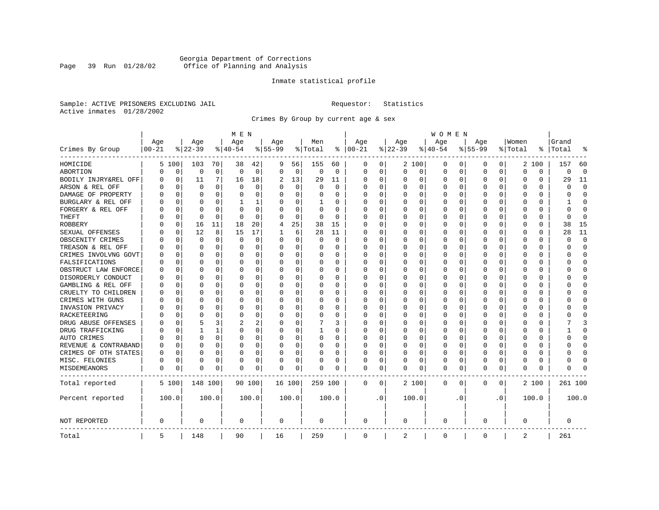### Georgia Department of Corrections<br>Page 39 Run 01/28/02 Office of Planning and Analysis Page 39 Run 01/28/02 Office of Planning and Analysis

#### Inmate statistical profile

Sample: ACTIVE PRISONERS EXCLUDING JAIL **Requestor:** Statistics Active inmates 01/28/2002

Crimes By Group by current age & sex

|                      |           |             |           |             | M E N        |             |             |             |          |             |              |             |             |             | <b>WOMEN</b> |             |             |           |          |          |          |             |
|----------------------|-----------|-------------|-----------|-------------|--------------|-------------|-------------|-------------|----------|-------------|--------------|-------------|-------------|-------------|--------------|-------------|-------------|-----------|----------|----------|----------|-------------|
|                      | Age       |             | Age       |             | Age          |             | Age         |             | Men      |             | Age          |             | Age         |             | Age          |             | Age         |           | Women    |          | Grand    |             |
| Crimes By Group      | $00 - 21$ |             | $8 22-39$ |             | $8 40-54$    |             | $8155 - 99$ |             | % Total  | ႜ           | $ 00-21$     |             | $8$   22-39 |             | $8 40-54$    |             | $8155 - 99$ |           | % Total  | ႜ        | Total    | န္          |
| HOMICIDE             | 5         | 100         | 103       | 70          | 38           | 42          | 9           | 56          | 155      | 60          | 0            | 0           |             | 2 100       | 0            | 0           | 0           | 0         | 2        | 100      | 157      | 60          |
| ABORTION             | 0         | 0           | 0         | $\mathbf 0$ | $\mathbf 0$  | $\mathbf 0$ | $\Omega$    | 0           | 0        | $\mathbf 0$ | $\mathbf 0$  | $\mathbf 0$ | 0           | 0           | 0            | 0           | 0           | 0         | $\Omega$ | 0        | O        | $\mathbf 0$ |
| BODILY INJRY&REL OFF | 0         | $\mathbf 0$ | 11        | 7           | 16           | 18          | 2           | 13          | 29       | 11          | 0            | 0           | 0           | 0           | 0            | $\mathbf 0$ | 0           | 0         | $\Omega$ | 0        | 29       | 11          |
| ARSON & REL OFF      | N         | $\Omega$    | $\Omega$  | $\Omega$    | $\Omega$     | $\Omega$    |             | $\mathbf 0$ | $\Omega$ | 0           | 0            | 0           | 0           | 0           | 0            | $\mathbf 0$ | $\Omega$    | 0         | $\Omega$ | $\Omega$ |          | $\mathbf 0$ |
| DAMAGE OF PROPERTY   | N         | $\Omega$    | $\Omega$  | $\Omega$    | $\Omega$     | 0           |             | $\Omega$    | 0        | O           | 0            | $\Omega$    | $\Omega$    | $\Omega$    | $\Omega$     | $\Omega$    | $\Omega$    | $\Omega$  | $\Omega$ | $\Omega$ |          | $\Omega$    |
| BURGLARY & REL OFF   | 0         | $\Omega$    | $\Omega$  | $\Omega$    |              | 1           | O           | $\Omega$    | 1        | 0           | 0            | $\Omega$    | $\Omega$    | $\Omega$    | 0            | $\Omega$    | $\Omega$    | $\Omega$  | $\Omega$ | $\Omega$ |          | $\Omega$    |
| FORGERY & REL OFF    |           | $\Omega$    | $\Omega$  | $\Omega$    | $\mathsf{C}$ | 0           |             | $\Omega$    | $\Omega$ | $\Omega$    | O            | 0           | 0           | $\Omega$    | 0            | $\mathbf 0$ | $\Omega$    | $\Omega$  | $\Omega$ | $\Omega$ |          | $\Omega$    |
| THEFT                |           | 0           | $\Omega$  | $\Omega$    | $\Omega$     | $\Omega$    |             | $\Omega$    | $\Omega$ | $\Omega$    | <sup>0</sup> | $\Omega$    | $\Omega$    | $\Omega$    | $\Omega$     | 0           | O           | $\Omega$  | $\Omega$ | $\Omega$ | ∩        | $\Omega$    |
| <b>ROBBERY</b>       |           | 0           | 16        | 11          | 18           | 20          | 4           | 25          | 38       | 15          | $\Omega$     | $\Omega$    | $\Omega$    | $\Omega$    | 0            | 0           | O           | $\Omega$  | $\Omega$ | 0        | 38       | 15          |
| SEXUAL OFFENSES      |           | 0           | 12        | 8           | 15           | 17          |             | 6           | 28       | 11          | 0            | 0           | 0           | $\Omega$    | 0            | 0           | O           | 0         | $\Omega$ | O        | 28       | 11          |
| OBSCENITY CRIMES     |           | $\Omega$    | $\Omega$  | $\Omega$    | $\Omega$     | 0           | $\Omega$    | $\Omega$    | O        | $\Omega$    | 0            | $\Omega$    | $\Omega$    | $\Omega$    | $\Omega$     | $\Omega$    | O           | 0         | $\Omega$ | 0        | U        | $\Omega$    |
| TREASON & REL OFF    |           | 0           | $\Omega$  | $\Omega$    | $\Omega$     | 0           | O           | 0           | 0        | $\Omega$    | 0            | $\Omega$    | 0           | 0           | 0            | 0           | 0           | $\Omega$  | 0        | 0        |          | $\Omega$    |
| CRIMES INVOLVNG GOVT |           | 0           | $\Omega$  | $\Omega$    | 0            | 0           |             | 0           | 0        | O           | 0            | $\Omega$    | 0           | $\Omega$    | 0            | $\mathbf 0$ | $\Omega$    | $\Omega$  | $\Omega$ | 0        |          | $\Omega$    |
| FALSIFICATIONS       | N         | $\Omega$    | $\Omega$  | $\Omega$    | O            | 0           |             | 0           | 0        | $\Omega$    | 0            | 0           | 0           | 0           | 0            | 0           | 0           | 0         | $\Omega$ | 0        | ∩        | $\Omega$    |
| OBSTRUCT LAW ENFORCE | O         | $\Omega$    |           | $\Omega$    | O            | 0           |             | 0           | 0        | 0           | 0            | 0           | 0           | $\Omega$    | 0            | 0           | 0           | 0         | $\Omega$ | 0        |          | $\Omega$    |
| DISORDERLY CONDUCT   | N         | $\Omega$    | $\Omega$  | $\Omega$    | C            | 0           |             | $\Omega$    | $\Omega$ | O           | $\Omega$     | $\Omega$    | 0           | $\Omega$    | $\Omega$     | $\mathbf 0$ | $\Omega$    | $\Omega$  | $\Omega$ | $\Omega$ |          | $\Omega$    |
| GAMBLING & REL OFF   | O         | $\Omega$    | $\Omega$  | $\Omega$    | $\Omega$     | 0           |             | 0           | $\Omega$ | 0           | $\Omega$     | $\Omega$    | 0           | $\Omega$    | 0            | 0           | $\Omega$    | $\Omega$  | $\Omega$ | 0        |          | $\Omega$    |
| CRUELTY TO CHILDREN  | 0         | $\mathbf 0$ | $\Omega$  | $\Omega$    | $\Omega$     | 0           |             | 0           | $\Omega$ | 0           | $\Omega$     | 0           | 0           | 0           | $\Omega$     | $\mathbf 0$ | $\Omega$    | $\Omega$  | $\Omega$ | 0        |          | $\Omega$    |
| CRIMES WITH GUNS     |           | $\Omega$    | $\Omega$  | $\Omega$    | $\Omega$     | 0           |             | 0           | $\Omega$ | $\Omega$    | $\Omega$     | $\Omega$    | 0           | $\Omega$    | $\Omega$     | $\mathbf 0$ | $\Omega$    | $\Omega$  | $\Omega$ | $\Omega$ |          | $\Omega$    |
| INVASION PRIVACY     |           | 0           | $\Omega$  | 0           | 0            | 0           |             | 0           | 0        | 0           | $\Omega$     | 0           | 0           | 0           | 0            | $\mathbf 0$ | 0           | $\Omega$  | $\Omega$ | 0        |          | $\Omega$    |
| RACKETEERING         | N         | $\Omega$    | $\Omega$  | 0           | O            | 0           |             | 0           | 0        | 0           | 0            | 0           | 0           | $\Omega$    | 0            | 0           | 0           | 0         | $\Omega$ | 0        |          | $\Omega$    |
| DRUG ABUSE OFFENSES  |           | 0           | 5         | 3           | 2            | 2           |             | $\Omega$    |          | 3           | 0            | $\Omega$    | $\Omega$    | $\Omega$    | 0            | $\Omega$    | $\Omega$    | $\Omega$  | $\Omega$ | $\Omega$ |          | 3           |
| DRUG TRAFFICKING     | O         | $\Omega$    |           | 1           | $\Omega$     | 0           |             | $\Omega$    | 1        | 0           | 0            | $\Omega$    | $\Omega$    | $\Omega$    | <sup>0</sup> | $\Omega$    | O           | 0         | $\Omega$ | 0        |          | $\Omega$    |
| AUTO CRIMES          |           | $\Omega$    | $\Omega$  | $\Omega$    | O            | 0           |             | $\mathbf 0$ | 0        | $\Omega$    | 0            | $\mathbf 0$ | 0           | $\mathbf 0$ | O            | $\mathbf 0$ | $\Omega$    | $\Omega$  | $\Omega$ | O        |          | $\Omega$    |
| REVENUE & CONTRABAND | N         | $\Omega$    | $\Omega$  | $\Omega$    | O            | 0           |             | $\Omega$    | 0        | $\Omega$    | $\Omega$     | $\Omega$    | $\Omega$    | $\Omega$    | O            | $\mathbf 0$ | $\Omega$    | $\Omega$  | $\Omega$ | 0        |          | $\Omega$    |
| CRIMES OF OTH STATES | 0         | 0           | $\Omega$  | $\Omega$    | $\Omega$     | 0           | $\Omega$    | 0           | 0        | $\Omega$    | <sup>0</sup> | $\Omega$    | 0           | 0           | 0            | 0           | 0           | $\Omega$  | $\Omega$ | 0        |          | $\Omega$    |
| MISC. FELONIES       | 0         | $\Omega$    | $\Omega$  | 0           | O            | 0           |             | 0           | 0        | 0           | 0            | 0           | 0           | 0           | 0            | 0           | $\Omega$    | 0         | $\Omega$ | $\Omega$ |          | $\Omega$    |
| <b>MISDEMEANORS</b>  | 0         | 0           | $\Omega$  | 0           | O            | 0           | $\Omega$    | 0           | 0        | 0           | 0            | 0           | 0           | 0           | 0            | 0           | $\Omega$    | 0         | 0        | 0        |          |             |
| Total reported       |           | 5 100       | 148 100   |             |              | 90 100      | 16 100      |             | 259 100  |             | $\mathbf{0}$ | 0           |             | 2 100       | 0            | 0           | 0           | 0         |          | 2 100    | 261 100  |             |
| Percent reported     |           | 100.0       |           | 100.0       |              | 100.0       |             | 100.0       |          | 100.0       |              | $\cdot$ 0   |             | 100.0       |              | . 0         |             | $\cdot$ 0 |          | 100.0    |          | 100.0       |
| NOT REPORTED         | 0         |             | $\Omega$  |             | $\Omega$     |             | $\Omega$    |             | 0        |             | 0            |             | $\Omega$    |             | 0            |             | $\Omega$    |           | $\Omega$ |          | $\Omega$ |             |
| Total                | 5         |             | 148       |             | 90           |             | 16          |             | 259      |             | $\mathbf 0$  |             | 2           |             | $\mathbf 0$  |             | $\Omega$    |           | 2        |          | 261      |             |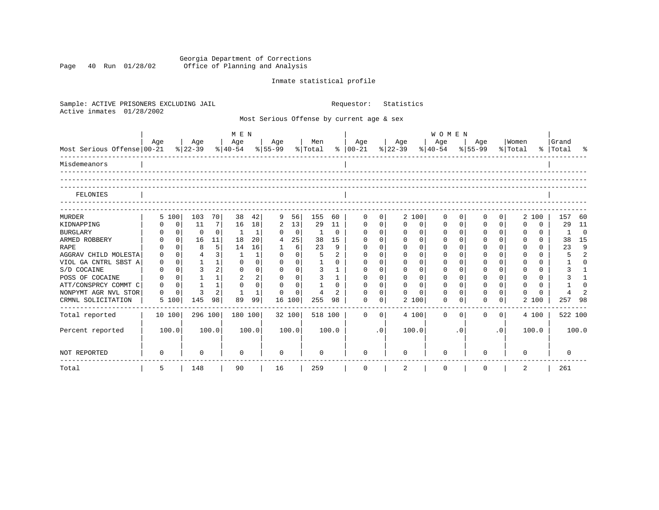Georgia Department of Corrections Page 40 Run 01/28/02 Office of Planning and Analysis

## Inmate statistical profile

| Sample: ACTIVE PRISONERS EXCLUDING JAIL<br>Active inmates<br>01/28/2002 |          |             |              |                |                |              |                                 |                |                |                | Requestor:                                |             | Statistics  |          |                                     |                |          |                |             |          |           |                |
|-------------------------------------------------------------------------|----------|-------------|--------------|----------------|----------------|--------------|---------------------------------|----------------|----------------|----------------|-------------------------------------------|-------------|-------------|----------|-------------------------------------|----------------|----------|----------------|-------------|----------|-----------|----------------|
|                                                                         |          |             |              |                |                |              |                                 |                |                |                | Most Serious Offense by current age & sex |             |             |          |                                     |                |          |                |             |          |           |                |
|                                                                         | Age      |             | Age          |                | M E N<br>  Age |              | Age                             |                | Men            |                | Age                                       |             | Age         |          | WOMEN<br>Age                        |                | Age      |                | Women       |          | Grand     |                |
| Most Serious Offense 00-21                                              |          |             |              |                |                |              | % 22-39 % 40-54 % 55-99 % Total |                |                |                | %   00-21 %   22-39                       |             |             |          | $\frac{8}{40-54}$ $\frac{8}{55-99}$ |                |          |                | % Total     |          | %   Total | ಿ              |
| Misdemeanors                                                            |          |             |              |                |                |              |                                 |                |                |                |                                           |             |             |          |                                     |                |          |                |             |          |           |                |
|                                                                         |          |             |              |                |                |              |                                 |                |                |                |                                           |             |             |          |                                     |                |          |                |             |          |           |                |
| FELONIES                                                                |          |             |              |                |                |              |                                 |                |                |                |                                           |             |             |          |                                     |                |          |                |             |          |           |                |
| <b>MURDER</b>                                                           | 5 100    |             | 103          | 70             | 38             | 42           | 9                               | 56             | 155            | 60             | $\Omega$                                  | $\Omega$    | 2 100       |          | $\Omega$                            | $\overline{0}$ | 0        | 0              |             | 2 100    | 157       | 60             |
| KIDNAPPING                                                              |          | $\mathbf 0$ | 11           | $\overline{7}$ | 16             | 18           | 2                               | 13             | 29             | 11             | $\mathbf 0$                               | $\mathbf 0$ | $\Omega$    | 0        | $\mathbf 0$                         | 0 <sup>1</sup> | $\Omega$ | $\mathbf 0$    | $\mathbf 0$ | $\Omega$ | 29        | 11             |
| <b>BURGLARY</b>                                                         |          | $\mathbf 0$ | $\mathbf 0$  | $\Omega$       | -1             | 1            | $\Omega$                        | $\overline{0}$ | 1              | $\Omega$       | $\mathbf 0$                               | $\mathbf 0$ | $\mathbf 0$ | $\Omega$ | $\mathbf 0$                         | $\circ$        | $\Omega$ | $\Omega$       | 0           | $\Omega$ | -1        | $\bigcirc$     |
| ARMED ROBBERY                                                           |          | $\Omega$    | 16           | 11             | 18             | 20           | 4                               | 25             | 38             | 15             | $\Omega$                                  | $\Omega$    | $\Omega$    | $\Omega$ | $\Omega$                            | $\Omega$       | O        | $\Omega$       | $\Omega$    | $\Omega$ | 38        | 15             |
| <b>RAPE</b>                                                             |          | $\Omega$    | 8            | 5              | 14             | 16           | $\mathbf{1}$                    | 6              | 23             | 9              | $\mathbf 0$                               | $\Omega$    | $\Omega$    | $\Omega$ |                                     | $\Omega$       | O        | $\Omega$       | $\Omega$    | $\Omega$ | 23        | 9              |
| AGGRAV CHILD MOLESTA                                                    | $\Omega$ | $\Omega$    | 4            | 3              | -1             |              | $\Omega$                        | $\Omega$       | 5              | $\overline{a}$ | $\Omega$                                  | $\Omega$    | $\Omega$    | $\Omega$ | 0                                   | $\Omega$       | $\Omega$ | $\Omega$       | $\Omega$    | $\Omega$ | 5         | $\overline{a}$ |
| VIOL GA CNTRL SBST A                                                    | 0        | $\Omega$    | $\mathbf{1}$ | $\mathbf{1}$   | $\Omega$       | $\Omega$     | $\Omega$                        | $\Omega$       | $\mathbf{1}$   | $\Omega$       | $\Omega$                                  | $\Omega$    | $\Omega$    | $\Omega$ | $\Omega$                            | $\Omega$       | $\Omega$ | $\Omega$       | $\Omega$    | $\Omega$ |           | $\cap$         |
| S/D COCAINE                                                             | 0        | $\Omega$    | 3            | $\overline{2}$ | $\Omega$       | $\Omega$     | $\Omega$                        | $\Omega$       | 3              | $\mathbf{1}$   | $\Omega$                                  | $\Omega$    | $\Omega$    | $\Omega$ | $\Omega$                            | $\Omega$       | $\Omega$ | $\Omega$       | $\Omega$    | $\Omega$ | 3         |                |
| POSS OF COCAINE                                                         | $\Omega$ | $\Omega$    | $\mathbf{1}$ | 1              | $\overline{a}$ | 2            | $\Omega$                        | $\Omega$       | 3              | $\mathbf{1}$   | $\Omega$                                  | $\Omega$    | $\Omega$    | $\Omega$ | $\Omega$                            | $\Omega$       | $\Omega$ | $\Omega$       | $\Omega$    | $\Omega$ |           | 1              |
| ATT/CONSPRCY COMMT C                                                    | $\Omega$ | $\Omega$    | $\mathbf{1}$ | 1              | $\Omega$       | $\Omega$     | $\Omega$                        | $\Omega$       | $\mathbf{1}$   | $\cap$         | $\Omega$                                  | $\Omega$    | $\Omega$    | $\Omega$ | $\Omega$                            | $\Omega$       | $\Omega$ | $\Omega$       | $\Omega$    | $\Omega$ |           | $\cap$         |
| NONPYMT AGR NVL STOR                                                    | $\Omega$ | $\Omega$    | ζ            | $\overline{2}$ | $\mathbf{1}$   | $\mathbf{1}$ | $\Omega$                        | $\Omega$       | $\overline{4}$ | $\overline{2}$ | $\Omega$                                  | $\Omega$    | $\cap$      | $\cap$   | $\cap$                              | $\Omega$       | $\cap$   | $\Omega$       | $\Omega$    | $\Omega$ |           | $\mathcal{D}$  |
| CRMNL SOLICITATION                                                      | 5 100    |             | 145          | 98             | 89             | 99           | 16 100                          |                | 255            | 98             | <sup>0</sup>                              | $\Omega$    | 2 100       |          | $\Omega$                            | $\Omega$       | O        | 0              |             | 2 100    | 257       | 98             |
| Total reported                                                          | 10 100   |             | 296 100      |                | 180 100        |              |                                 | 32 100         | 518 100        |                | $\Omega$                                  | $\Omega$    | 4 100       |          | $\Omega$                            | $\Omega$       | $\Omega$ | $\overline{0}$ |             | 4 100    |           | 522 100        |
| Percent reported                                                        | 100.0    |             |              | 100.0          |                | 100.0        |                                 | 100.0          |                | 100.0          |                                           | $\cdot$ 0   | 100.0       |          |                                     | . 0            |          | .0             |             | 100.0    |           | 100.0          |
| NOT REPORTED                                                            | $\Omega$ |             | $\Omega$     |                | $\Omega$       |              | $\Omega$                        |                | $\cap$         |                | <sup>0</sup>                              |             |             |          | ∩                                   |                | ∩        |                | $\Omega$    |          | $\Omega$  |                |
| Total                                                                   | 5        |             | 148          |                | 90             |              | 16                              |                | 259            |                | 0                                         |             | 2           |          | 0                                   |                | $\Omega$ |                | 2           |          | 261       |                |